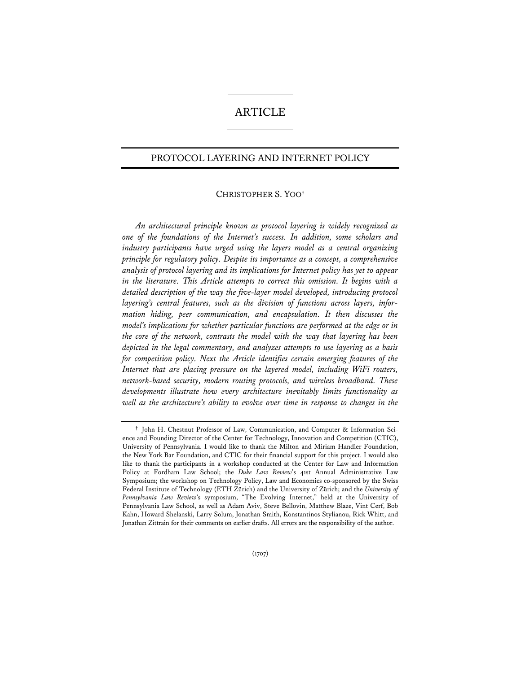# ARTICLE

## PROTOCOL LAYERING AND INTERNET POLICY

### CHRISTOPHER S. YOO**†**

*An architectural principle known as protocol layering is widely recognized as one of the foundations of the Internet's success. In addition, some scholars and industry participants have urged using the layers model as a central organizing principle for regulatory policy. Despite its importance as a concept, a comprehensive analysis of protocol layering and its implications for Internet policy has yet to appear in the literature. This Article attempts to correct this omission. It begins with a detailed description of the way the five-layer model developed, introducing protocol layering's central features, such as the division of functions across layers, information hiding, peer communication, and encapsulation. It then discusses the model's implications for whether particular functions are performed at the edge or in the core of the network, contrasts the model with the way that layering has been depicted in the legal commentary, and analyzes attempts to use layering as a basis for competition policy. Next the Article identifies certain emerging features of the Internet that are placing pressure on the layered model, including WiFi routers, network-based security, modern routing protocols, and wireless broadband. These developments illustrate how every architecture inevitably limits functionality as well as the architecture's ability to evolve over time in response to changes in the* 

**<sup>†</sup>** John H. Chestnut Professor of Law, Communication, and Computer & Information Science and Founding Director of the Center for Technology, Innovation and Competition (CTIC), University of Pennsylvania. I would like to thank the Milton and Miriam Handler Foundation, the New York Bar Foundation, and CTIC for their financial support for this project. I would also like to thank the participants in a workshop conducted at the Center for Law and Information Policy at Fordham Law School; the *Duke Law Review*'s 41st Annual Administrative Law Symposium; the workshop on Technology Policy, Law and Economics co-sponsored by the Swiss Federal Institute of Technology (ETH Zürich) and the University of Zürich; and the *University of Pennsylvania Law Review*'s symposium, "The Evolving Internet," held at the University of Pennsylvania Law School, as well as Adam Aviv, Steve Bellovin, Matthew Blaze, Vint Cerf, Bob Kahn, Howard Shelanski, Larry Solum, Jonathan Smith, Konstantinos Stylianou, Rick Whitt, and Jonathan Zittrain for their comments on earlier drafts. All errors are the responsibility of the author.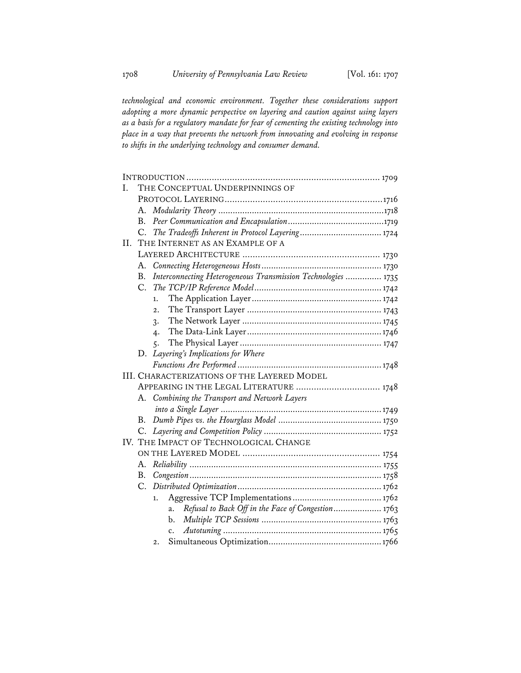*technological and economic environment. Together these considerations support adopting a more dynamic perspective on layering and caution against using layers as a basis for a regulatory mandate for fear of cementing the existing technology into place in a way that prevents the network from innovating and evolving in response to shifts in the underlying technology and consumer demand.* 

| L. | THE CONCEPTUAL UNDERPINNINGS OF |                                                               |  |
|----|---------------------------------|---------------------------------------------------------------|--|
|    |                                 |                                                               |  |
|    | А.                              |                                                               |  |
|    | В.                              |                                                               |  |
|    | C.                              |                                                               |  |
| H. |                                 | THE INTERNET AS AN EXAMPLE OF A                               |  |
|    |                                 |                                                               |  |
|    | А.                              |                                                               |  |
|    | Β.                              | Interconnecting Heterogeneous Transmission Technologies  1735 |  |
|    | C.                              |                                                               |  |
|    |                                 | 1.                                                            |  |
|    |                                 | $\overline{2}$ .                                              |  |
|    |                                 | 3.                                                            |  |
|    |                                 | 4.                                                            |  |
|    |                                 | 5.                                                            |  |
|    | D.                              | Layering's Implications for Where                             |  |
|    |                                 |                                                               |  |
|    |                                 | <b>III. CHARACTERIZATIONS OF THE LAYERED MODEL</b>            |  |
|    |                                 | APPEARING IN THE LEGAL LITERATURE  1748                       |  |
|    | А.                              | Combining the Transport and Network Layers                    |  |
|    |                                 |                                                               |  |
|    | В.                              |                                                               |  |
|    | C.                              |                                                               |  |
|    |                                 | IV. THE IMPACT OF TECHNOLOGICAL CHANGE                        |  |
|    |                                 |                                                               |  |
|    | А.                              |                                                               |  |
|    | B.                              |                                                               |  |
|    | C.                              |                                                               |  |
|    |                                 | 1.                                                            |  |
|    |                                 | Refusal to Back Off in the Face of Congestion 1763<br>a.      |  |
|    |                                 | b.                                                            |  |
|    |                                 | $\mathbf{c}$ .                                                |  |
|    |                                 | 2.                                                            |  |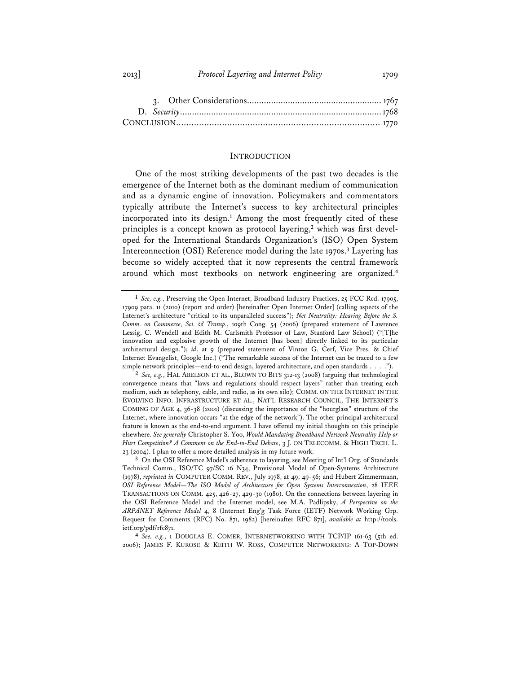2013] *Protocol Layering and Internet Policy* 1709

#### **INTRODUCTION**

One of the most striking developments of the past two decades is the emergence of the Internet both as the dominant medium of communication and as a dynamic engine of innovation. Policymakers and commentators typically attribute the Internet's success to key architectural principles incorporated into its design.**<sup>1</sup>** Among the most frequently cited of these principles is a concept known as protocol layering,**2** which was first developed for the International Standards Organization's (ISO) Open System Interconnection (OSI) Reference model during the late 1970s.**<sup>3</sup>** Layering has become so widely accepted that it now represents the central framework around which most textbooks on network engineering are organized.**<sup>4</sup>**

**<sup>1</sup>** *See, e.g.*, Preserving the Open Internet, Broadband Industry Practices, 25 FCC Rcd. 17905, 17909 para. 11 (2010) (report and order) [hereinafter Open Internet Order] (calling aspects of the Internet's architecture "critical to its unparalleled success"); *Net Neutrality: Hearing Before the S. Comm. on Commerce, Sci. & Transp.*, 109th Cong. 54 (2006) (prepared statement of Lawrence Lessig, C. Wendell and Edith M. Carlsmith Professor of Law, Stanford Law School) ("[T]he innovation and explosive growth of the Internet [has been] directly linked to its particular architectural design."); *id*. at 9 (prepared statement of Vinton G. Cerf, Vice Pres. & Chief Internet Evangelist, Google Inc.) ("The remarkable success of the Internet can be traced to a few simple network principles—end-to-end design, layered architecture, and open standards . . . .").

**<sup>2</sup>** *See, e.g.*, HAL ABELSON ET AL., BLOWN TO BITS 312-13 (2008) (arguing that technological convergence means that "laws and regulations should respect layers" rather than treating each medium, such as telephony, cable, and radio, as its own silo); COMM. ON THE INTERNET IN THE EVOLVING INFO. INFRASTRUCTURE ET AL., NAT'L RESEARCH COUNCIL, THE INTERNET'S COMING OF AGE 4, 36-38 (2001) (discussing the importance of the "hourglass" structure of the Internet, where innovation occurs "at the edge of the network"). The other principal architectural feature is known as the end-to-end argument. I have offered my initial thoughts on this principle elsewhere. *See generally* Christopher S. Yoo, *Would Mandating Broadband Network Neutrality Help or Hurt Competition? A Comment on the End-to-End Debate*, 3 J. ON TELECOMM. & HIGH TECH. L. 23 (2004). I plan to offer a more detailed analysis in my future work.

**<sup>3</sup>** On the OSI Reference Model's adherence to layering, see Meeting of Int'l Org. of Standards Technical Comm., ISO/TC 97/SC 16 N34, Provisional Model of Open-Systems Architecture (1978), *reprinted in* COMPUTER COMM. REV., July 1978, at 49, 49-56; and Hubert Zimmermann, *OSI Reference Model—The ISO Model of Architecture for Open Systems Interconnection*, 28 IEEE TRANSACTIONS ON COMM. 425, 426-27, 429-30 (1980). On the connections between layering in the OSI Reference Model and the Internet model, see M.A. Padlipsky, *A Perspective on the ARPANET Reference Model* 4, 8 (Internet Eng'g Task Force (IETF) Network Working Grp. Request for Comments (RFC) No. 871, 1982) [hereinafter RFC 871], *available at* http://tools. ietf.org/pdf/rfc871.

**<sup>4</sup>** *See, e.g.*, 1 DOUGLAS E. COMER, INTERNETWORKING WITH TCP/IP 161-63 (5th ed. 2006); JAMES F. KUROSE & KEITH W. ROSS, COMPUTER NETWORKING: A TOP-DOWN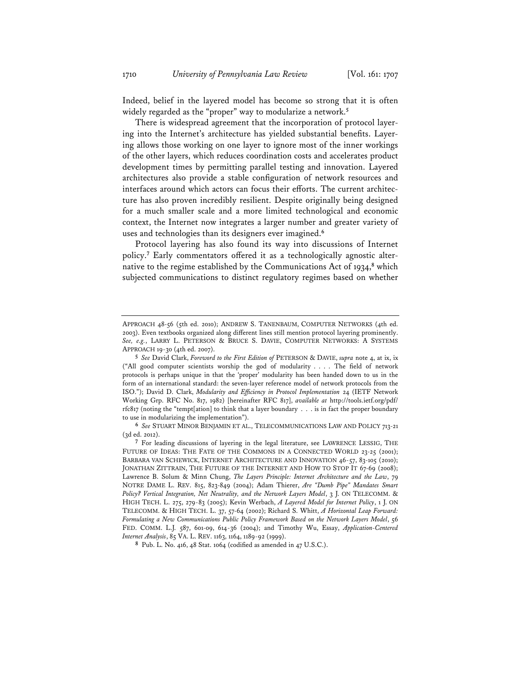Indeed, belief in the layered model has become so strong that it is often widely regarded as the "proper" way to modularize a network.**<sup>5</sup>**

There is widespread agreement that the incorporation of protocol layering into the Internet's architecture has yielded substantial benefits. Layering allows those working on one layer to ignore most of the inner workings of the other layers, which reduces coordination costs and accelerates product development times by permitting parallel testing and innovation. Layered architectures also provide a stable configuration of network resources and interfaces around which actors can focus their efforts. The current architecture has also proven incredibly resilient. Despite originally being designed for a much smaller scale and a more limited technological and economic context, the Internet now integrates a larger number and greater variety of uses and technologies than its designers ever imagined.**<sup>6</sup>**

Protocol layering has also found its way into discussions of Internet policy.**<sup>7</sup>** Early commentators offered it as a technologically agnostic alternative to the regime established by the Communications Act of 1934,**<sup>8</sup>** which subjected communications to distinct regulatory regimes based on whether

**6** *See* STUART MINOR BENJAMIN ET AL., TELECOMMUNICATIONS LAW AND POLICY 713-21 (3d ed. 2012).

**8** Pub. L. No. 416, 48 Stat. 1064 (codified as amended in 47 U.S.C.).

APPROACH 48-56 (5th ed. 2010); ANDREW S. TANENBAUM, COMPUTER NETWORKS (4th ed. 2003). Even textbooks organized along different lines still mention protocol layering prominently. *See, e.g.*, LARRY L. PETERSON & BRUCE S. DAVIE, COMPUTER NETWORKS: A SYSTEMS APPROACH 19-30 (4th ed. 2007).

**<sup>5</sup>** *See* David Clark, *Foreword to the First Edition of* PETERSON & DAVIE, *supra* note 4, at ix, ix ("All good computer scientists worship the god of modularity . . . . The field of network protocols is perhaps unique in that the 'proper' modularity has been handed down to us in the form of an international standard: the seven-layer reference model of network protocols from the ISO."); David D. Clark, *Modularity and Efficiency in Protocol Implementation* 24 (IETF Network Working Grp. RFC No. 817, 1982) [hereinafter RFC 817], *available at* http://tools.ietf.org/pdf/ rfc817 (noting the "tempt[ation] to think that a layer boundary . . . is in fact the proper boundary to use in modularizing the implementation").

**<sup>7</sup>** For leading discussions of layering in the legal literature, see LAWRENCE LESSIG, THE FUTURE OF IDEAS: THE FATE OF THE COMMONS IN A CONNECTED WORLD 23-25 (2001); BARBARA VAN SCHEWICK, INTERNET ARCHITECTURE AND INNOVATION 46-57, 83-105 (2010); JONATHAN ZITTRAIN, THE FUTURE OF THE INTERNET AND HOW TO STOP IT 67-69 (2008); Lawrence B. Solum & Minn Chung, *The Layers Principle: Internet Architecture and the Law*, 79 NOTRE DAME L. REV. 815, 823-849 (2004); Adam Thierer, *Are "Dumb Pipe" Mandates Smart Policy? Vertical Integration, Net Neutrality, and the Network Layers Model*, 3 J. ON TELECOMM. & HIGH TECH. L. 275, 279-83 (2005); Kevin Werbach, *A Layered Model for Internet Policy*, 1 J. ON TELECOMM. & HIGH TECH. L. 37, 57-64 (2002); Richard S. Whitt, *A Horizontal Leap Forward: Formulating a New Communications Public Policy Framework Based on the Network Layers Model*, 56 FED. COMM. L.J. 587, 601-09, 614-36 (2004); and Timothy Wu, Essay, *Application-Centered Internet Analysis*, 85 VA. L. REV. 1163, 1164, 1189-92 (1999).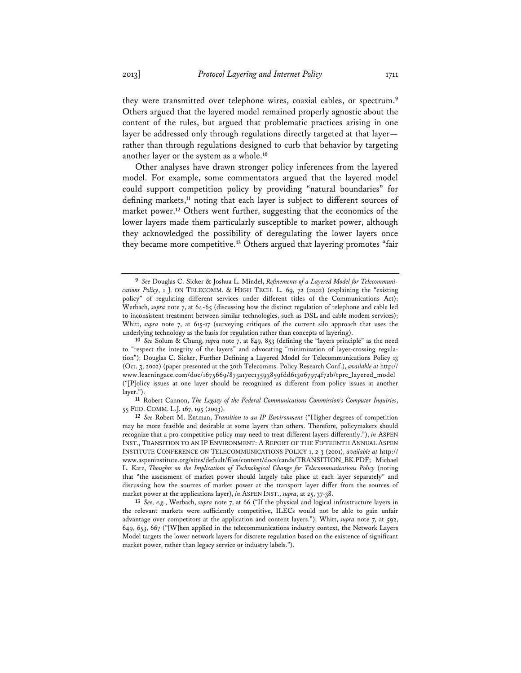they were transmitted over telephone wires, coaxial cables, or spectrum.**<sup>9</sup>** Others argued that the layered model remained properly agnostic about the content of the rules, but argued that problematic practices arising in one layer be addressed only through regulations directly targeted at that layer rather than through regulations designed to curb that behavior by targeting another layer or the system as a whole.**<sup>10</sup>**

Other analyses have drawn stronger policy inferences from the layered model. For example, some commentators argued that the layered model could support competition policy by providing "natural boundaries" for defining markets,**<sup>11</sup>** noting that each layer is subject to different sources of market power.**<sup>12</sup>** Others went further, suggesting that the economics of the lower layers made them particularly susceptible to market power, although they acknowledged the possibility of deregulating the lower layers once they became more competitive.**<sup>13</sup>** Others argued that layering promotes "fair

**<sup>9</sup>** *See* Douglas C. Sicker & Joshua L. Mindel, *Refinements of a Layered Model for Telecommunications Policy*, 1 J. ON TELECOMM. & HIGH TECH. L. 69, 72 (2002) (explaining the "existing policy" of regulating different services under different titles of the Communications Act); Werbach, *supra* note 7, at 64-65 (discussing how the distinct regulation of telephone and cable led to inconsistent treatment between similar technologies, such as DSL and cable modem services); Whitt, *supra* note 7, at 615-17 (surveying critiques of the current silo approach that uses the underlying technology as the basis for regulation rather than concepts of layering).

**<sup>10</sup>** *See* Solum & Chung, *supra* note 7, at 849, 853 (defining the "layers principle" as the need to "respect the integrity of the layers" and advocating "minimization of layer-crossing regulation"); Douglas C. Sicker, Further Defining a Layered Model for Telecommunications Policy 13 (Oct. 3, 2002) (paper presented at the 30th Telecomms. Policy Research Conf.), *available at* http:// www.learningace.com/doc/1675669/875a17ec13593859fdd613067974f72b/tprc\_layered\_model ("[P]olicy issues at one layer should be recognized as different from policy issues at another layer.").

**<sup>11</sup>** Robert Cannon, *The Legacy of the Federal Communications Commission's Computer Inquiries*, 55 FED. COMM. L.J. 167, 195 (2003).

**<sup>12</sup>** *See* Robert M. Entman, *Transition to an IP Environment* ("Higher degrees of competition may be more feasible and desirable at some layers than others. Therefore, policymakers should recognize that a pro-competitive policy may need to treat different layers differently."), *in* ASPEN INST., TRANSITION TO AN IP ENVIRONMENT: A REPORT OF THE FIFTEENTH ANNUAL ASPEN INSTITUTE CONFERENCE ON TELECOMMUNICATIONS POLICY 1, 2-3 (2001), *available at* http:// www.aspeninstitute.org/sites/default/files/content/docs/cands/TRANSITION\_BK.PDF; Michael L. Katz, *Thoughts on the Implications of Technological Change for Telecommunications Policy* (noting that "the assessment of market power should largely take place at each layer separately" and discussing how the sources of market power at the transport layer differ from the sources of market power at the applications layer), *in* ASPEN INST., *supra*, at 25, 37-38.

**<sup>13</sup>** *See, e.g.*, Werbach, *supra* note 7, at 66 ("If the physical and logical infrastructure layers in the relevant markets were sufficiently competitive, ILECs would not be able to gain unfair advantage over competitors at the application and content layers."); Whitt, *supra* note 7, at 592, 649, 653, 667 ("[W]hen applied in the telecommunications industry context, the Network Layers Model targets the lower network layers for discrete regulation based on the existence of significant market power, rather than legacy service or industry labels.").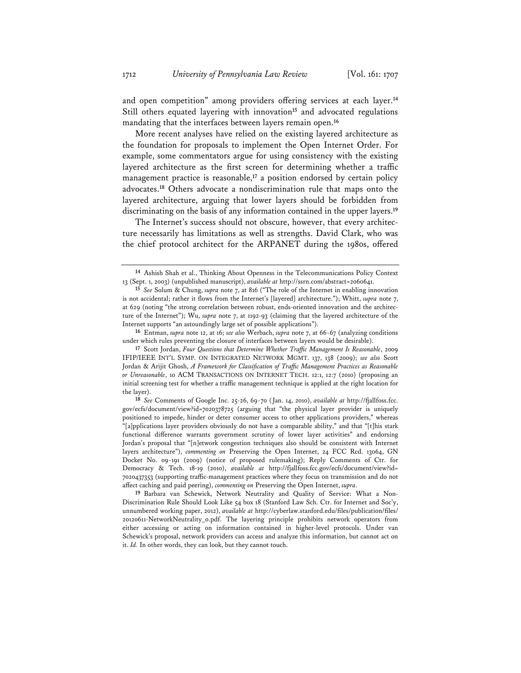and open competition" among providers offering services at each layer.**<sup>14</sup>** Still others equated layering with innovation**<sup>15</sup>** and advocated regulations mandating that the interfaces between layers remain open.**<sup>16</sup>**

More recent analyses have relied on the existing layered architecture as the foundation for proposals to implement the Open Internet Order. For example, some commentators argue for using consistency with the existing layered architecture as the first screen for determining whether a traffic management practice is reasonable,**<sup>17</sup>** a position endorsed by certain policy advocates.**<sup>18</sup>** Others advocate a nondiscrimination rule that maps onto the layered architecture, arguing that lower layers should be forbidden from discriminating on the basis of any information contained in the upper layers.**<sup>19</sup>**

The Internet's success should not obscure, however, that every architecture necessarily has limitations as well as strengths. David Clark, who was the chief protocol architect for the ARPANET during the 1980s, offered

**16** Entman, *supra* note 12, at 16; *see also* Werbach, *supra* note 7, at 66-67 (analyzing conditions under which rules preventing the closure of interfaces between layers would be desirable).

**<sup>14</sup>** Ashish Shah et al., Thinking About Openness in the Telecommunications Policy Context 13 (Sept. 1, 2003) (unpublished manuscript), *available at* http://ssrn.com/abstract=2060641.

**<sup>15</sup>** *See* Solum & Chung, *supra* note 7, at 816 ("The role of the Internet in enabling innovation is not accidental; rather it flows from the Internet's [layered] architecture."); Whitt, *supra* note 7, at 629 (noting "the strong correlation between robust, ends-oriented innovation and the architecture of the Internet"); Wu, *supra* note 7, at 1192-93 (claiming that the layered architecture of the Internet supports "an astoundingly large set of possible applications").

**<sup>17</sup>** Scott Jordan, *Four Questions that Determine Whether Traffic Management Is Reasonable*, 2009 IFIP/IEEE INT'L SYMP. ON INTEGRATED NETWORK MGMT. 137, 138 (2009); *see also* Scott Jordan & Arijit Ghosh, *A Framework for Classification of Traffic Management Practices as Reasonable or Unreasonable*, 10 ACM TRANSACTIONS ON INTERNET TECH. 12:1, 12:7 (2010) (proposing an initial screening test for whether a traffic management technique is applied at the right location for the layer).

**<sup>18</sup>** *See* Comments of Google Inc. 25-26, 69-70 (Jan. 14, 2010), *available at* http://fjallfoss.fcc. gov/ecfs/document/view?id=7020378725 (arguing that "the physical layer provider is uniquely positioned to impede, hinder or deter consumer access to other applications providers," whereas "[a]pplications layer providers obviously do not have a comparable ability," and that "[t]his stark functional difference warrants government scrutiny of lower layer activities" and endorsing Jordan's proposal that "[n]etwork congestion techniques also should be consistent with Internet layers architecture"), *commenting on* Preserving the Open Internet, 24 FCC Rcd. 13064, GN Docket No. 09-191 (2009) (notice of proposed rulemaking); Reply Comments of Ctr. for Democracy & Tech. 18-19 (2010), *available at* http://fjallfoss.fcc.gov/ecfs/document/view?id= 7020437353 (supporting traffic-management practices where they focus on transmission and do not affect caching and paid peering), *commenting on* Preserving the Open Internet, *supra*.

**<sup>19</sup>** Barbara van Schewick, Network Neutrality and Quality of Service: What a Non-Discrimination Rule Should Look Like 54 box 18 (Stanford Law Sch. Ctr. for Internet and Soc'y, unnumbered working paper, 2012), *available at* http://cyberlaw.stanford.edu/files/publication/files/ 20120611-NetworkNeutrality\_0.pdf. The layering principle prohibits network operators from either accessing or acting on information contained in higher-level protocols. Under van Schewick's proposal, network providers can access and analyze this information, but cannot act on it. *Id.* In other words, they can look, but they cannot touch.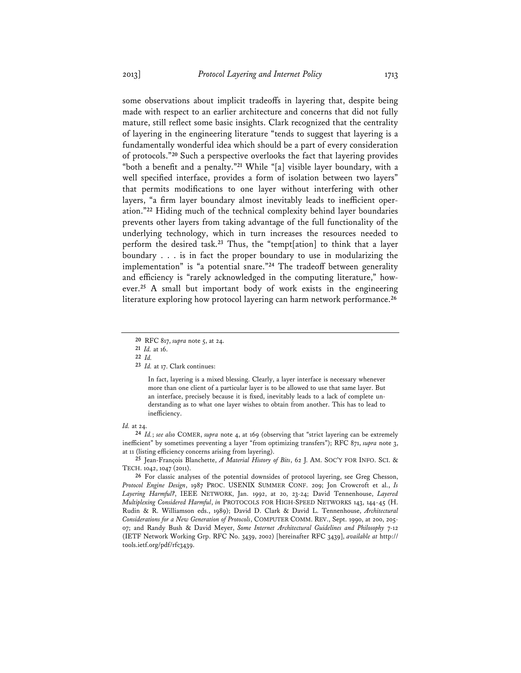some observations about implicit tradeoffs in layering that, despite being made with respect to an earlier architecture and concerns that did not fully mature, still reflect some basic insights. Clark recognized that the centrality of layering in the engineering literature "tends to suggest that layering is a fundamentally wonderful idea which should be a part of every consideration of protocols."**<sup>20</sup>** Such a perspective overlooks the fact that layering provides "both a benefit and a penalty."**<sup>21</sup>** While "[a] visible layer boundary, with a well specified interface, provides a form of isolation between two layers" that permits modifications to one layer without interfering with other layers, "a firm layer boundary almost inevitably leads to inefficient operation."**<sup>22</sup>** Hiding much of the technical complexity behind layer boundaries prevents other layers from taking advantage of the full functionality of the underlying technology, which in turn increases the resources needed to perform the desired task.**<sup>23</sup>** Thus, the "tempt[ation] to think that a layer boundary . . . is in fact the proper boundary to use in modularizing the implementation" is "a potential snare."**<sup>24</sup>** The tradeoff between generality and efficiency is "rarely acknowledged in the computing literature," however.**<sup>25</sup>** A small but important body of work exists in the engineering literature exploring how protocol layering can harm network performance.**<sup>26</sup>**

In fact, layering is a mixed blessing. Clearly, a layer interface is necessary whenever more than one client of a particular layer is to be allowed to use that same layer. But an interface, precisely because it is fixed, inevitably leads to a lack of complete understanding as to what one layer wishes to obtain from another. This has to lead to inefficiency.

#### *Id.* at 24.

**24** *Id.*; *see also* COMER, *supra* note 4, at 169 (observing that "strict layering can be extremely inefficient" by sometimes preventing a layer "from optimizing transfers"); RFC 871, *supra* note 3, at 11 (listing efficiency concerns arising from layering).

**25** Jean-François Blanchette, *A Material History of Bits*, 62 J. AM. SOC'Y FOR INFO. SCI. & TECH. 1042, 1047 (2011).

**26** For classic analyses of the potential downsides of protocol layering, see Greg Chesson, *Protocol Engine Design*, 1987 PROC. USENIX SUMMER CONF. 209; Jon Crowcroft et al., *Is Layering Harmful?*, IEEE NETWORK, Jan. 1992, at 20, 23-24; David Tennenhouse, *Layered Multiplexing Considered Harmful*, *in* PROTOCOLS FOR HIGH-SPEED NETWORKS 143, 144-45 (H. Rudin & R. Williamson eds., 1989); David D. Clark & David L. Tennenhouse, *Architectural Considerations for a New Generation of Protocols*, COMPUTER COMM. REV., Sept. 1990, at 200, 205- 07; and Randy Bush & David Meyer, *Some Internet Architectural Guidelines and Philosophy* 7-12 (IETF Network Working Grp. RFC No. 3439, 2002) [hereinafter RFC 3439], *available at* http:// tools.ietf.org/pdf/rfc3439.

**<sup>20</sup>** RFC 817, *supra* note 5, at 24.

**<sup>21</sup>** *Id.* at 16.

**<sup>22</sup>** *Id.*

**<sup>23</sup>** *Id.* at 17. Clark continues: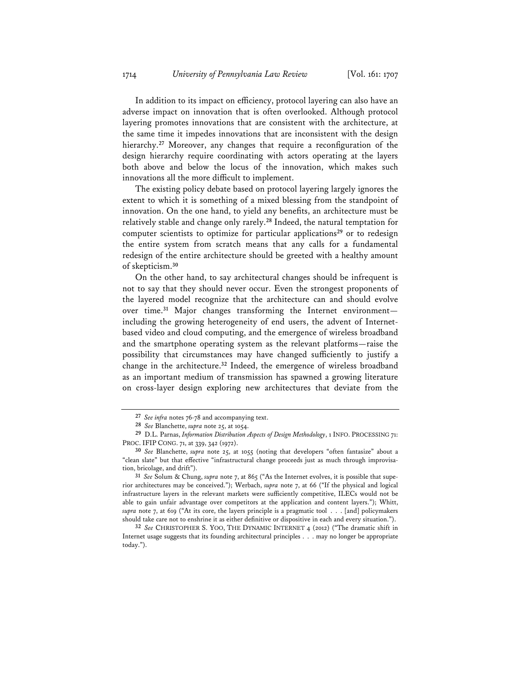In addition to its impact on efficiency, protocol layering can also have an adverse impact on innovation that is often overlooked. Although protocol layering promotes innovations that are consistent with the architecture, at the same time it impedes innovations that are inconsistent with the design hierarchy.**<sup>27</sup>** Moreover, any changes that require a reconfiguration of the design hierarchy require coordinating with actors operating at the layers both above and below the locus of the innovation, which makes such innovations all the more difficult to implement.

The existing policy debate based on protocol layering largely ignores the extent to which it is something of a mixed blessing from the standpoint of innovation. On the one hand, to yield any benefits, an architecture must be relatively stable and change only rarely.**<sup>28</sup>** Indeed, the natural temptation for computer scientists to optimize for particular applications**<sup>29</sup>** or to redesign the entire system from scratch means that any calls for a fundamental redesign of the entire architecture should be greeted with a healthy amount of skepticism.**<sup>30</sup>**

On the other hand, to say architectural changes should be infrequent is not to say that they should never occur. Even the strongest proponents of the layered model recognize that the architecture can and should evolve over time.**<sup>31</sup>** Major changes transforming the Internet environment including the growing heterogeneity of end users, the advent of Internetbased video and cloud computing, and the emergence of wireless broadband and the smartphone operating system as the relevant platforms—raise the possibility that circumstances may have changed sufficiently to justify a change in the architecture.**<sup>32</sup>** Indeed, the emergence of wireless broadband as an important medium of transmission has spawned a growing literature on cross-layer design exploring new architectures that deviate from the

**<sup>27</sup>** *See infra* notes 76-78 and accompanying text.

**<sup>28</sup>** *See* Blanchette, *supra* note 25, at 1054.

**<sup>29</sup>** D.L. Parnas, *Information Distribution Aspects of Design Methodology*, 1 INFO. PROCESSING 71: PROC. IFIP CONG. 71, at 339, 342 (1972).

**<sup>30</sup>** *See* Blanchette, *supra* note 25, at 1055 (noting that developers "often fantasize" about a "clean slate" but that effective "infrastructural change proceeds just as much through improvisation, bricolage, and drift").

**<sup>31</sup>** *See* Solum & Chung, *supra* note 7, at 865 ("As the Internet evolves, it is possible that superior architectures may be conceived."); Werbach, *supra* note 7, at 66 ("If the physical and logical infrastructure layers in the relevant markets were sufficiently competitive, ILECs would not be able to gain unfair advantage over competitors at the application and content layers."); Whitt, *supra* note 7, at 619 ("At its core, the layers principle is a pragmatic tool . . . [and] policymakers should take care not to enshrine it as either definitive or dispositive in each and every situation.").

**<sup>32</sup>** *See* CHRISTOPHER S. YOO, THE DYNAMIC INTERNET 4 (2012) ("The dramatic shift in Internet usage suggests that its founding architectural principles . . . may no longer be appropriate today.").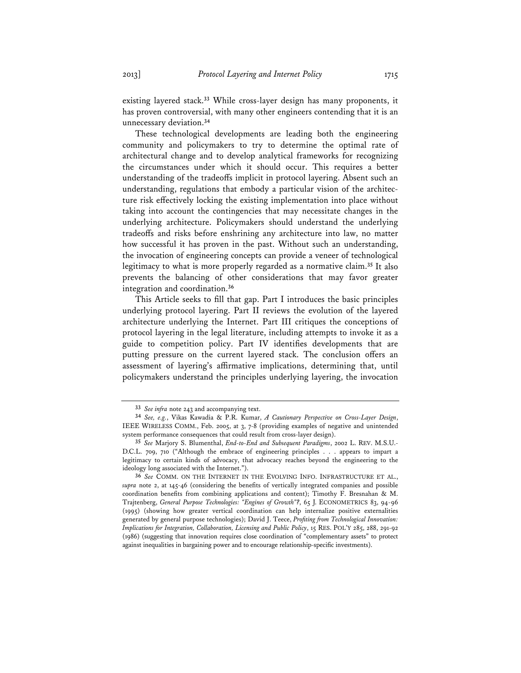existing layered stack.**<sup>33</sup>** While cross-layer design has many proponents, it has proven controversial, with many other engineers contending that it is an unnecessary deviation.**<sup>34</sup>**

These technological developments are leading both the engineering community and policymakers to try to determine the optimal rate of architectural change and to develop analytical frameworks for recognizing the circumstances under which it should occur. This requires a better understanding of the tradeoffs implicit in protocol layering. Absent such an understanding, regulations that embody a particular vision of the architecture risk effectively locking the existing implementation into place without taking into account the contingencies that may necessitate changes in the underlying architecture. Policymakers should understand the underlying tradeoffs and risks before enshrining any architecture into law, no matter how successful it has proven in the past. Without such an understanding, the invocation of engineering concepts can provide a veneer of technological legitimacy to what is more properly regarded as a normative claim.**<sup>35</sup>** It also prevents the balancing of other considerations that may favor greater integration and coordination.**<sup>36</sup>**

This Article seeks to fill that gap. Part I introduces the basic principles underlying protocol layering. Part II reviews the evolution of the layered architecture underlying the Internet. Part III critiques the conceptions of protocol layering in the legal literature, including attempts to invoke it as a guide to competition policy. Part IV identifies developments that are putting pressure on the current layered stack. The conclusion offers an assessment of layering's affirmative implications, determining that, until policymakers understand the principles underlying layering, the invocation

**<sup>33</sup>** *See infra* note 243 and accompanying text.

**<sup>34</sup>** *See, e.g.*, Vikas Kawadia & P.R. Kumar, *A Cautionary Perspective on Cross-Layer Design*, IEEE WIRELESS COMM., Feb. 2005, at 3, 7-8 (providing examples of negative and unintended system performance consequences that could result from cross-layer design).

**<sup>35</sup>** *See* Marjory S. Blumenthal, *End-to-End and Subsequent Paradigms*, 2002 L. REV. M.S.U.- D.C.L. 709, 710 ("Although the embrace of engineering principles . . . appears to impart a legitimacy to certain kinds of advocacy, that advocacy reaches beyond the engineering to the ideology long associated with the Internet.").

**<sup>36</sup>** *See* COMM. ON THE INTERNET IN THE EVOLVING INFO. INFRASTRUCTURE ET AL., *supra* note 2, at 145-46 (considering the benefits of vertically integrated companies and possible coordination benefits from combining applications and content); Timothy F. Bresnahan & M. Trajtenberg, *General Purpose Technologies: "Engines of Growth"?*, 65 J. ECONOMETRICS 83, 94-96 (1995) (showing how greater vertical coordination can help internalize positive externalities generated by general purpose technologies); David J. Teece, *Profiting from Technological Innovation: Implications for Integration, Collaboration, Licensing and Public Policy*, 15 RES. POL'Y 285, 288, 291-92 (1986) (suggesting that innovation requires close coordination of "complementary assets" to protect against inequalities in bargaining power and to encourage relationship-specific investments).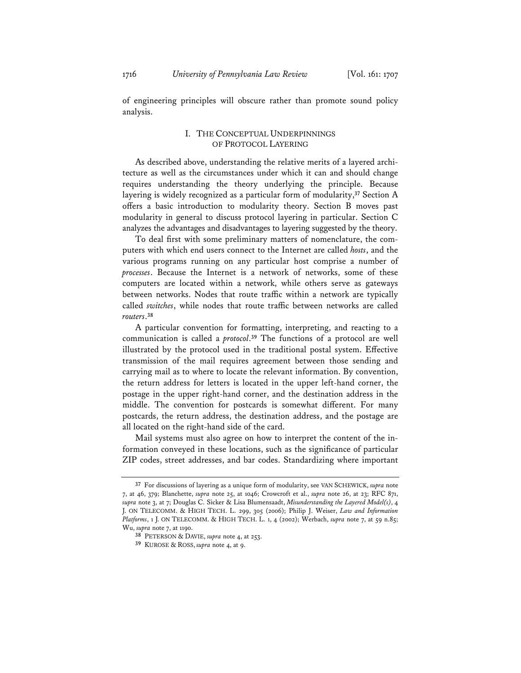of engineering principles will obscure rather than promote sound policy analysis.

## I. THE CONCEPTUAL UNDERPINNINGS OF PROTOCOL LAYERING

As described above, understanding the relative merits of a layered architecture as well as the circumstances under which it can and should change requires understanding the theory underlying the principle. Because layering is widely recognized as a particular form of modularity,**<sup>37</sup>** Section A offers a basic introduction to modularity theory. Section B moves past modularity in general to discuss protocol layering in particular. Section C analyzes the advantages and disadvantages to layering suggested by the theory.

To deal first with some preliminary matters of nomenclature, the computers with which end users connect to the Internet are called *hosts*, and the various programs running on any particular host comprise a number of *processes*. Because the Internet is a network of networks, some of these computers are located within a network, while others serve as gateways between networks. Nodes that route traffic within a network are typically called *switches*, while nodes that route traffic between networks are called *routers*. **38**

A particular convention for formatting, interpreting, and reacting to a communication is called a *protocol*. **<sup>39</sup>** The functions of a protocol are well illustrated by the protocol used in the traditional postal system. Effective transmission of the mail requires agreement between those sending and carrying mail as to where to locate the relevant information. By convention, the return address for letters is located in the upper left-hand corner, the postage in the upper right-hand corner, and the destination address in the middle. The convention for postcards is somewhat different. For many postcards, the return address, the destination address, and the postage are all located on the right-hand side of the card.

Mail systems must also agree on how to interpret the content of the information conveyed in these locations, such as the significance of particular ZIP codes, street addresses, and bar codes. Standardizing where important

**<sup>37</sup>** For discussions of layering as a unique form of modularity, see VAN SCHEWICK, *supra* note 7, at 46, 379; Blanchette, *supra* note 25, at 1046; Crowcroft et al., *supra* note 26, at 23; RFC 871, *supra* note 3, at 7; Douglas C. Sicker & Lisa Blumensaadt, *Misunderstanding the Layered Model(s)*, 4 J. ON TELECOMM. & HIGH TECH. L. 299, 305 (2006); Philip J. Weiser, *Law and Information Platforms*, 1 J. ON TELECOMM. & HIGH TECH. L. 1, 4 (2002); Werbach, *supra* note 7, at 59 n.85; Wu, *supra* note 7, at 1190.

**<sup>38</sup>** PETERSON & DAVIE, *supra* note 4, at 253.

**<sup>39</sup>** KUROSE & ROSS, *supra* note 4, at 9.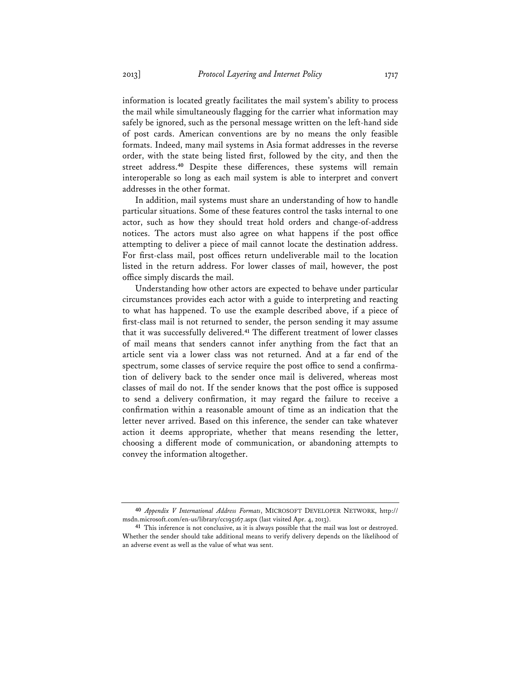information is located greatly facilitates the mail system's ability to process the mail while simultaneously flagging for the carrier what information may safely be ignored, such as the personal message written on the left-hand side of post cards. American conventions are by no means the only feasible formats. Indeed, many mail systems in Asia format addresses in the reverse order, with the state being listed first, followed by the city, and then the street address.**<sup>40</sup>** Despite these differences, these systems will remain interoperable so long as each mail system is able to interpret and convert addresses in the other format.

In addition, mail systems must share an understanding of how to handle particular situations. Some of these features control the tasks internal to one actor, such as how they should treat hold orders and change-of-address notices. The actors must also agree on what happens if the post office attempting to deliver a piece of mail cannot locate the destination address. For first-class mail, post offices return undeliverable mail to the location listed in the return address. For lower classes of mail, however, the post office simply discards the mail.

Understanding how other actors are expected to behave under particular circumstances provides each actor with a guide to interpreting and reacting to what has happened. To use the example described above, if a piece of first-class mail is not returned to sender, the person sending it may assume that it was successfully delivered.**<sup>41</sup>** The different treatment of lower classes of mail means that senders cannot infer anything from the fact that an article sent via a lower class was not returned. And at a far end of the spectrum, some classes of service require the post office to send a confirmation of delivery back to the sender once mail is delivered, whereas most classes of mail do not. If the sender knows that the post office is supposed to send a delivery confirmation, it may regard the failure to receive a confirmation within a reasonable amount of time as an indication that the letter never arrived. Based on this inference, the sender can take whatever action it deems appropriate, whether that means resending the letter, choosing a different mode of communication, or abandoning attempts to convey the information altogether.

**<sup>40</sup>** *Appendix V International Address Formats*, MICROSOFT DEVELOPER NETWORK, http:// msdn.microsoft.com/en-us/library/cc195167.aspx (last visited Apr. 4, 2013).

**<sup>41</sup>** This inference is not conclusive, as it is always possible that the mail was lost or destroyed. Whether the sender should take additional means to verify delivery depends on the likelihood of an adverse event as well as the value of what was sent.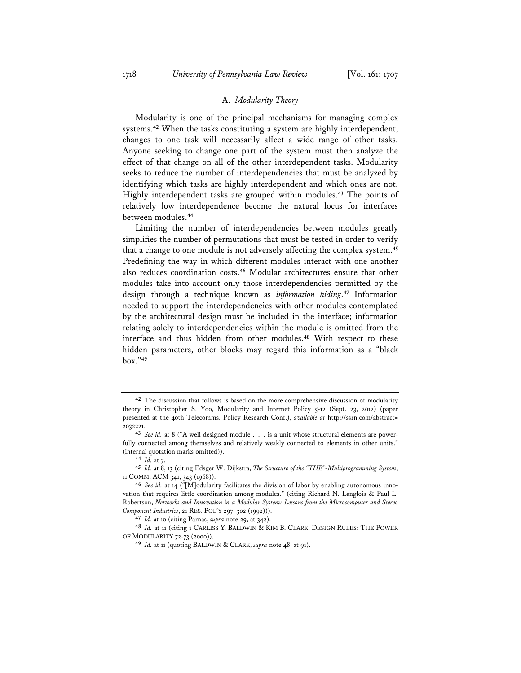#### A. *Modularity Theory*

Modularity is one of the principal mechanisms for managing complex systems.**<sup>42</sup>** When the tasks constituting a system are highly interdependent, changes to one task will necessarily affect a wide range of other tasks. Anyone seeking to change one part of the system must then analyze the effect of that change on all of the other interdependent tasks. Modularity seeks to reduce the number of interdependencies that must be analyzed by identifying which tasks are highly interdependent and which ones are not. Highly interdependent tasks are grouped within modules.**<sup>43</sup>** The points of relatively low interdependence become the natural locus for interfaces between modules.**<sup>44</sup>**

Limiting the number of interdependencies between modules greatly simplifies the number of permutations that must be tested in order to verify that a change to one module is not adversely affecting the complex system.**<sup>45</sup>** Predefining the way in which different modules interact with one another also reduces coordination costs.**<sup>46</sup>** Modular architectures ensure that other modules take into account only those interdependencies permitted by the design through a technique known as *information hiding*. **<sup>47</sup>** Information needed to support the interdependencies with other modules contemplated by the architectural design must be included in the interface; information relating solely to interdependencies within the module is omitted from the interface and thus hidden from other modules.**<sup>48</sup>** With respect to these hidden parameters, other blocks may regard this information as a "black box."**<sup>49</sup>**

**<sup>42</sup>** The discussion that follows is based on the more comprehensive discussion of modularity theory in Christopher S. Yoo, Modularity and Internet Policy 5-12 (Sept. 23, 2012) (paper presented at the 40th Telecomms. Policy Research Conf.), *available at* http://ssrn.com/abstract= 2032221.

**<sup>43</sup>** *See id.* at 8 ("A well designed module . . . is a unit whose structural elements are powerfully connected among themselves and relatively weakly connected to elements in other units." (internal quotation marks omitted)).

**<sup>44</sup>** *Id.* at 7.

**<sup>45</sup>** *Id.* at 8, 13 (citing Edsger W. Dijkstra, *The Structure of the "THE"-Multiprogramming System*, 11 COMM. ACM 341, 343 (1968)).

**<sup>46</sup>** *See id.* at 14 ("[M]odularity facilitates the division of labor by enabling autonomous innovation that requires little coordination among modules." (citing Richard N. Langlois & Paul L. Robertson, *Networks and Innovation in a Modular System: Lessons from the Microcomputer and Stereo Component Industries*, 21 RES. POL'Y 297, 302 (1992))).

**<sup>47</sup>** *Id.* at 10 (citing Parnas, *supra* note 29, at 342).

**<sup>48</sup>** *Id.* at 11 (citing 1 CARLISS Y. BALDWIN & KIM B. CLARK, DESIGN RULES: THE POWER OF MODULARITY 72-73 (2000)).

**<sup>49</sup>** *Id.* at 11 (quoting BALDWIN & CLARK, *supra* note 48, at 91).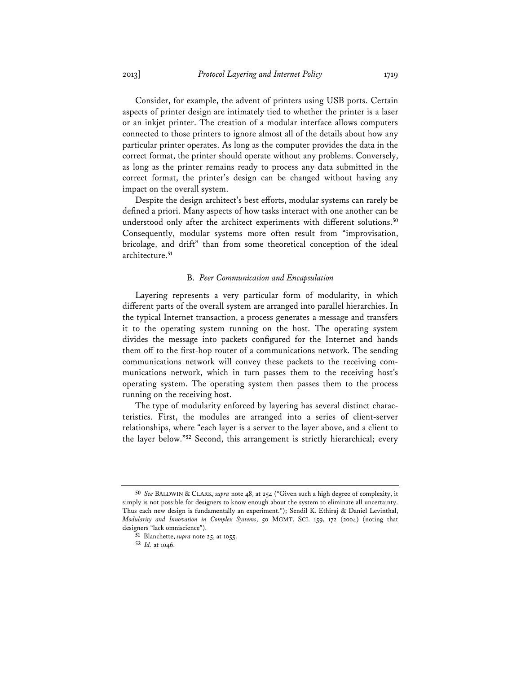Consider, for example, the advent of printers using USB ports. Certain aspects of printer design are intimately tied to whether the printer is a laser or an inkjet printer. The creation of a modular interface allows computers connected to those printers to ignore almost all of the details about how any particular printer operates. As long as the computer provides the data in the correct format, the printer should operate without any problems. Conversely, as long as the printer remains ready to process any data submitted in the correct format, the printer's design can be changed without having any impact on the overall system.

Despite the design architect's best efforts, modular systems can rarely be defined a priori. Many aspects of how tasks interact with one another can be understood only after the architect experiments with different solutions.**<sup>50</sup>** Consequently, modular systems more often result from "improvisation, bricolage, and drift" than from some theoretical conception of the ideal architecture.**<sup>51</sup>**

#### B. *Peer Communication and Encapsulation*

Layering represents a very particular form of modularity, in which different parts of the overall system are arranged into parallel hierarchies. In the typical Internet transaction, a process generates a message and transfers it to the operating system running on the host. The operating system divides the message into packets configured for the Internet and hands them off to the first-hop router of a communications network. The sending communications network will convey these packets to the receiving communications network, which in turn passes them to the receiving host's operating system. The operating system then passes them to the process running on the receiving host.

The type of modularity enforced by layering has several distinct characteristics. First, the modules are arranged into a series of client-server relationships, where "each layer is a server to the layer above, and a client to the layer below."**<sup>52</sup>** Second, this arrangement is strictly hierarchical; every

**<sup>50</sup>** *See* BALDWIN & CLARK, *supra* note 48, at 254 ("Given such a high degree of complexity, it simply is not possible for designers to know enough about the system to eliminate all uncertainty. Thus each new design is fundamentally an experiment."); Sendil K. Ethiraj & Daniel Levinthal, *Modularity and Innovation in Complex Systems*, 50 MGMT. SCI. 159, 172 (2004) (noting that designers "lack omniscience").

**<sup>51</sup>** Blanchette, *supra* note 25, at 1055.

**<sup>52</sup>** *Id.* at 1046.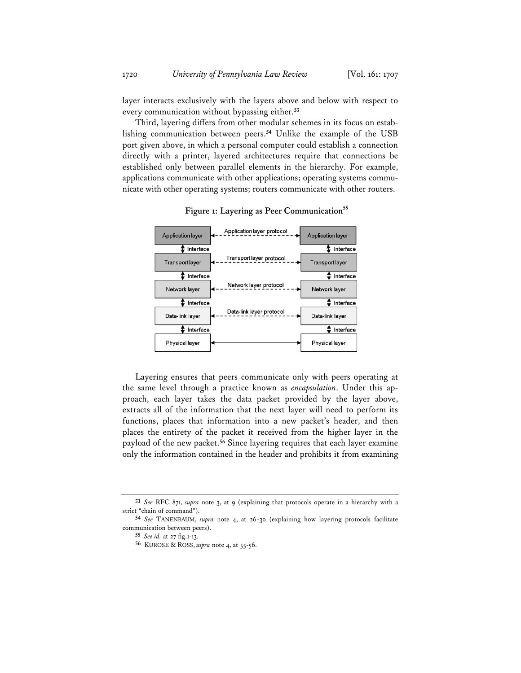layer interacts exclusively with the layers above and below with respect to every communication without bypassing either.**<sup>53</sup>**

Third, layering differs from other modular schemes in its focus on establishing communication between peers.**<sup>54</sup>** Unlike the example of the USB port given above, in which a personal computer could establish a connection directly with a printer, layered architectures require that connections be established only between parallel elements in the hierarchy. For example, applications communicate with other applications; operating systems communicate with other operating systems; routers communicate with other routers.



**Figure 1: Layering as Peer Communication<sup>55</sup>**

Layering ensures that peers communicate only with peers operating at the same level through a practice known as *encapsulation*. Under this approach, each layer takes the data packet provided by the layer above, extracts all of the information that the next layer will need to perform its functions, places that information into a new packet's header, and then places the entirety of the packet it received from the higher layer in the payload of the new packet.**<sup>56</sup>** Since layering requires that each layer examine only the information contained in the header and prohibits it from examining

**<sup>53</sup>** *See* RFC 871, *supra* note 3, at 9 (explaining that protocols operate in a hierarchy with a strict "chain of command").

**<sup>54</sup>** *See* TANENBAUM, *supra* note 4, at 26-30 (explaining how layering protocols facilitate communication between peers).

**<sup>55</sup>** *See id.* at 27 fig.1-13.

**<sup>56</sup>** KUROSE & ROSS, *supra* note 4, at 55-56.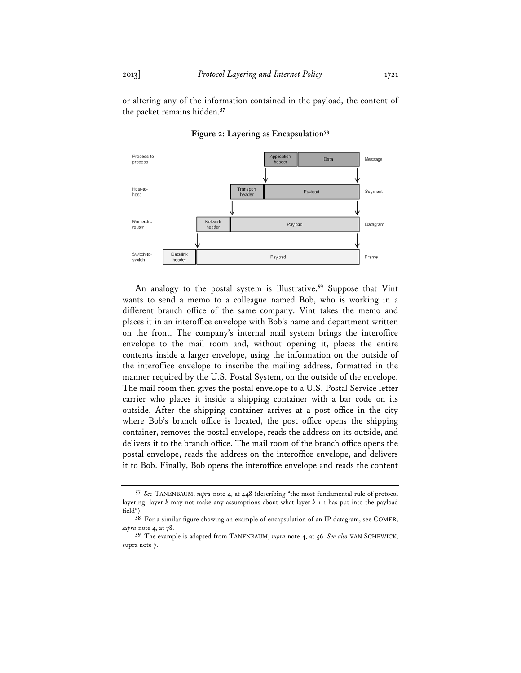or altering any of the information contained in the payload, the content of the packet remains hidden.**<sup>57</sup>**



**Figure 2: Layering as Encapsulation58**

An analogy to the postal system is illustrative.**<sup>59</sup>** Suppose that Vint wants to send a memo to a colleague named Bob, who is working in a different branch office of the same company. Vint takes the memo and places it in an interoffice envelope with Bob's name and department written on the front. The company's internal mail system brings the interoffice envelope to the mail room and, without opening it, places the entire contents inside a larger envelope, using the information on the outside of the interoffice envelope to inscribe the mailing address, formatted in the manner required by the U.S. Postal System, on the outside of the envelope. The mail room then gives the postal envelope to a U.S. Postal Service letter carrier who places it inside a shipping container with a bar code on its outside. After the shipping container arrives at a post office in the city where Bob's branch office is located, the post office opens the shipping container, removes the postal envelope, reads the address on its outside, and delivers it to the branch office. The mail room of the branch office opens the postal envelope, reads the address on the interoffice envelope, and delivers it to Bob. Finally, Bob opens the interoffice envelope and reads the content

**<sup>57</sup>** *See* TANENBAUM, *supra* note 4, at 448 (describing "the most fundamental rule of protocol layering: layer *k* may not make any assumptions about what layer *k* + 1 has put into the payload field").

**<sup>58</sup>** For a similar figure showing an example of encapsulation of an IP datagram, see COMER, *supra* note 4, at 78.

**<sup>59</sup>** The example is adapted from TANENBAUM, *supra* note 4, at 56. *See also* VAN SCHEWICK, supra note 7.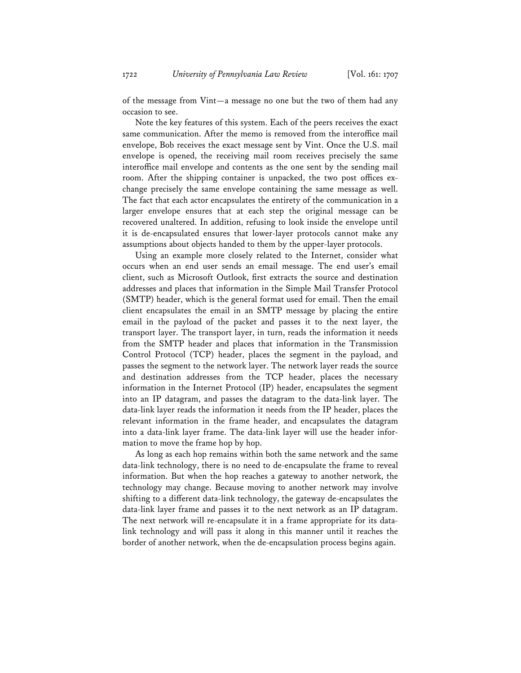of the message from Vint—a message no one but the two of them had any occasion to see.

Note the key features of this system. Each of the peers receives the exact same communication. After the memo is removed from the interoffice mail envelope, Bob receives the exact message sent by Vint. Once the U.S. mail envelope is opened, the receiving mail room receives precisely the same interoffice mail envelope and contents as the one sent by the sending mail room. After the shipping container is unpacked, the two post offices exchange precisely the same envelope containing the same message as well. The fact that each actor encapsulates the entirety of the communication in a larger envelope ensures that at each step the original message can be recovered unaltered. In addition, refusing to look inside the envelope until it is de-encapsulated ensures that lower-layer protocols cannot make any assumptions about objects handed to them by the upper-layer protocols.

Using an example more closely related to the Internet, consider what occurs when an end user sends an email message. The end user's email client, such as Microsoft Outlook, first extracts the source and destination addresses and places that information in the Simple Mail Transfer Protocol (SMTP) header, which is the general format used for email. Then the email client encapsulates the email in an SMTP message by placing the entire email in the payload of the packet and passes it to the next layer, the transport layer. The transport layer, in turn, reads the information it needs from the SMTP header and places that information in the Transmission Control Protocol (TCP) header, places the segment in the payload, and passes the segment to the network layer. The network layer reads the source and destination addresses from the TCP header, places the necessary information in the Internet Protocol (IP) header, encapsulates the segment into an IP datagram, and passes the datagram to the data-link layer. The data-link layer reads the information it needs from the IP header, places the relevant information in the frame header, and encapsulates the datagram into a data-link layer frame. The data-link layer will use the header information to move the frame hop by hop.

As long as each hop remains within both the same network and the same data-link technology, there is no need to de-encapsulate the frame to reveal information. But when the hop reaches a gateway to another network, the technology may change. Because moving to another network may involve shifting to a different data-link technology, the gateway de-encapsulates the data-link layer frame and passes it to the next network as an IP datagram. The next network will re-encapsulate it in a frame appropriate for its datalink technology and will pass it along in this manner until it reaches the border of another network, when the de-encapsulation process begins again.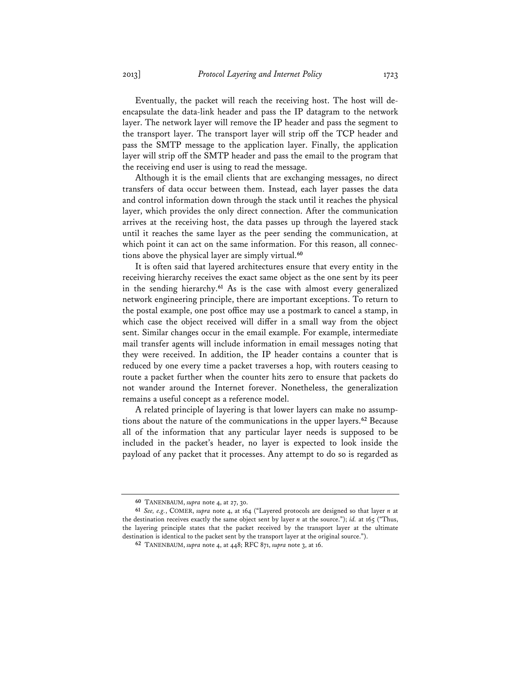Eventually, the packet will reach the receiving host. The host will deencapsulate the data-link header and pass the IP datagram to the network layer. The network layer will remove the IP header and pass the segment to the transport layer. The transport layer will strip off the TCP header and pass the SMTP message to the application layer. Finally, the application layer will strip off the SMTP header and pass the email to the program that the receiving end user is using to read the message.

Although it is the email clients that are exchanging messages, no direct transfers of data occur between them. Instead, each layer passes the data and control information down through the stack until it reaches the physical layer, which provides the only direct connection. After the communication arrives at the receiving host, the data passes up through the layered stack until it reaches the same layer as the peer sending the communication, at which point it can act on the same information. For this reason, all connections above the physical layer are simply virtual.**<sup>60</sup>**

It is often said that layered architectures ensure that every entity in the receiving hierarchy receives the exact same object as the one sent by its peer in the sending hierarchy.**<sup>61</sup>** As is the case with almost every generalized network engineering principle, there are important exceptions. To return to the postal example, one post office may use a postmark to cancel a stamp, in which case the object received will differ in a small way from the object sent. Similar changes occur in the email example. For example, intermediate mail transfer agents will include information in email messages noting that they were received. In addition, the IP header contains a counter that is reduced by one every time a packet traverses a hop, with routers ceasing to route a packet further when the counter hits zero to ensure that packets do not wander around the Internet forever. Nonetheless, the generalization remains a useful concept as a reference model.

A related principle of layering is that lower layers can make no assumptions about the nature of the communications in the upper layers.**<sup>62</sup>** Because all of the information that any particular layer needs is supposed to be included in the packet's header, no layer is expected to look inside the payload of any packet that it processes. Any attempt to do so is regarded as

**<sup>60</sup>** TANENBAUM, *supra* note 4, at 27, 30.

**<sup>61</sup>** *See, e.g.*, COMER, *supra* note 4, at 164 ("Layered protocols are designed so that layer *n* at the destination receives exactly the same object sent by layer *n* at the source."); *id.* at 165 ("Thus, the layering principle states that the packet received by the transport layer at the ultimate destination is identical to the packet sent by the transport layer at the original source.").

**<sup>62</sup>** TANENBAUM, *supra* note 4, at 448; RFC 871, *supra* note 3, at 16.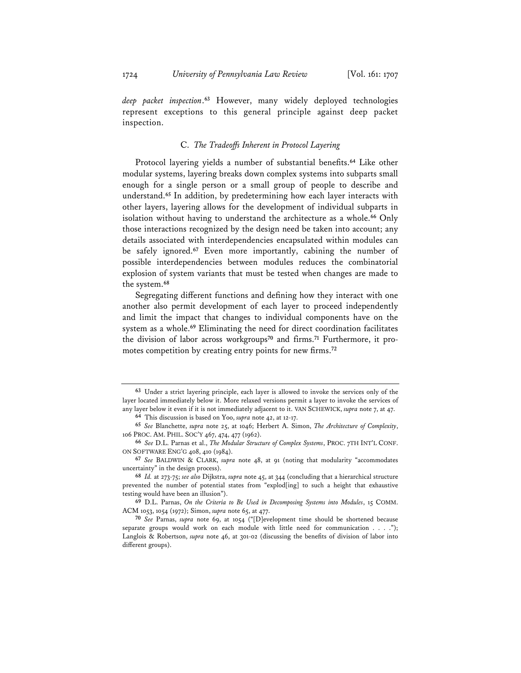*deep packet inspection*. **<sup>63</sup>** However, many widely deployed technologies represent exceptions to this general principle against deep packet inspection.

#### C. *The Tradeoffs Inherent in Protocol Layering*

Protocol layering yields a number of substantial benefits.**<sup>64</sup>** Like other modular systems, layering breaks down complex systems into subparts small enough for a single person or a small group of people to describe and understand.**<sup>65</sup>** In addition, by predetermining how each layer interacts with other layers, layering allows for the development of individual subparts in isolation without having to understand the architecture as a whole.**<sup>66</sup>** Only those interactions recognized by the design need be taken into account; any details associated with interdependencies encapsulated within modules can be safely ignored.**<sup>67</sup>** Even more importantly, cabining the number of possible interdependencies between modules reduces the combinatorial explosion of system variants that must be tested when changes are made to the system.**<sup>68</sup>**

Segregating different functions and defining how they interact with one another also permit development of each layer to proceed independently and limit the impact that changes to individual components have on the system as a whole.**<sup>69</sup>** Eliminating the need for direct coordination facilitates the division of labor across workgroups**70** and firms.**71** Furthermore, it promotes competition by creating entry points for new firms.**<sup>72</sup>**

**<sup>63</sup>** Under a strict layering principle, each layer is allowed to invoke the services only of the layer located immediately below it. More relaxed versions permit a layer to invoke the services of any layer below it even if it is not immediately adjacent to it. VAN SCHEWICK, *supra* note 7, at 47. **64** This discussion is based on Yoo, *supra* note 42, at 12-17.

**<sup>65</sup>** *See* Blanchette, *supra* note 25, at 1046; Herbert A. Simon, *The Architecture of Complexity*, 106 PROC. AM. PHIL. SOC'Y 467, 474, 477 (1962).

**<sup>66</sup>** *See* D.L. Parnas et al., *The Modular Structure of Complex Systems*, PROC. 7TH INT'L CONF. ON SOFTWARE ENG'G 408, 410 (1984).

**<sup>67</sup>** *See* BALDWIN & CLARK, *supra* note 48, at 91 (noting that modularity "accommodates uncertainty" in the design process).

**<sup>68</sup>** *Id.* at 273-75; *see also* Dijkstra, *supra* note 45, at 344 (concluding that a hierarchical structure prevented the number of potential states from "explod[ing] to such a height that exhaustive testing would have been an illusion").

**<sup>69</sup>** D.L. Parnas, *On the Criteria to Be Used in Decomposing Systems into Modules*, 15 COMM. ACM 1053, 1054 (1972); Simon, *supra* note 65, at 477.

**<sup>70</sup>** *See* Parnas, *supra* note 69, at 1054 ("[D]evelopment time should be shortened because separate groups would work on each module with little need for communication . . . ."); Langlois & Robertson, *supra* note 46, at 301-02 (discussing the benefits of division of labor into different groups).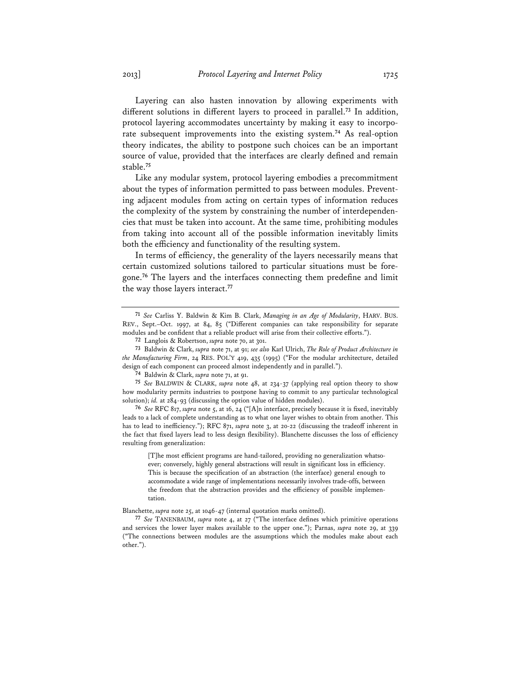Layering can also hasten innovation by allowing experiments with different solutions in different layers to proceed in parallel.**<sup>73</sup>** In addition, protocol layering accommodates uncertainty by making it easy to incorporate subsequent improvements into the existing system.**<sup>74</sup>** As real-option theory indicates, the ability to postpone such choices can be an important source of value, provided that the interfaces are clearly defined and remain stable.**<sup>75</sup>**

Like any modular system, protocol layering embodies a precommitment about the types of information permitted to pass between modules. Preventing adjacent modules from acting on certain types of information reduces the complexity of the system by constraining the number of interdependencies that must be taken into account. At the same time, prohibiting modules from taking into account all of the possible information inevitably limits both the efficiency and functionality of the resulting system.

In terms of efficiency, the generality of the layers necessarily means that certain customized solutions tailored to particular situations must be foregone.**<sup>76</sup>** The layers and the interfaces connecting them predefine and limit the way those layers interact.**<sup>77</sup>**

**76** *See* RFC 817, *supra* note 5, at 16, 24 ("[A]n interface, precisely because it is fixed, inevitably leads to a lack of complete understanding as to what one layer wishes to obtain from another. This has to lead to inefficiency."); RFC 871, *supra* note 3, at 20-22 (discussing the tradeoff inherent in the fact that fixed layers lead to less design flexibility). Blanchette discusses the loss of efficiency resulting from generalization:

[T]he most efficient programs are hand-tailored, providing no generalization whatsoever; conversely, highly general abstractions will result in significant loss in efficiency. This is because the specification of an abstraction (the interface) general enough to accommodate a wide range of implementations necessarily involves trade-offs, between the freedom that the abstraction provides and the efficiency of possible implementation.

Blanchette, *supra* note 25, at 1046-47 (internal quotation marks omitted).

**<sup>71</sup>** *See* Carliss Y. Baldwin & Kim B. Clark, *Managing in an Age of Modularity*, HARV. BUS. REV., Sept.–Oct. 1997, at 84, 85 ("Different companies can take responsibility for separate modules and be confident that a reliable product will arise from their collective efforts.").

**<sup>72</sup>** Langlois & Robertson, *supra* note 70, at 301.

**<sup>73</sup>** Baldwin & Clark, *supra* note 71, at 91; *see also* Karl Ulrich, *The Role of Product Architecture in the Manufacturing Firm*, 24 RES. POL'Y 419, 435 (1995) ("For the modular architecture, detailed design of each component can proceed almost independently and in parallel.").

**<sup>74</sup>** Baldwin & Clark, *supra* note 71, at 91.

**<sup>75</sup>** *See* BALDWIN & CLARK, *supra* note 48, at 234-37 (applying real option theory to show how modularity permits industries to postpone having to commit to any particular technological solution); *id.* at 284-93 (discussing the option value of hidden modules).

**<sup>77</sup>** *See* TANENBAUM, *supra* note 4, at 27 ("The interface defines which primitive operations and services the lower layer makes available to the upper one."); Parnas, *supra* note 29, at 339 ("The connections between modules are the assumptions which the modules make about each other.").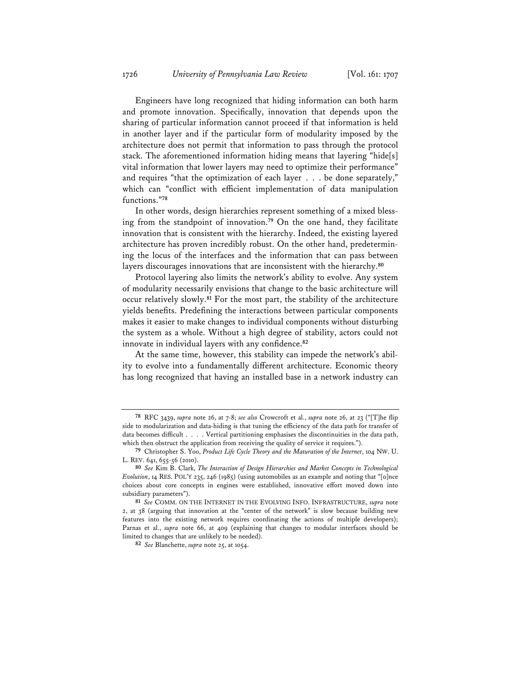Engineers have long recognized that hiding information can both harm and promote innovation. Specifically, innovation that depends upon the sharing of particular information cannot proceed if that information is held in another layer and if the particular form of modularity imposed by the architecture does not permit that information to pass through the protocol stack. The aforementioned information hiding means that layering "hide[s] vital information that lower layers may need to optimize their performance" and requires "that the optimization of each layer . . . be done separately," which can "conflict with efficient implementation of data manipulation functions."**<sup>78</sup>**

In other words, design hierarchies represent something of a mixed blessing from the standpoint of innovation.**<sup>79</sup>** On the one hand, they facilitate innovation that is consistent with the hierarchy. Indeed, the existing layered architecture has proven incredibly robust. On the other hand, predetermining the locus of the interfaces and the information that can pass between layers discourages innovations that are inconsistent with the hierarchy.**<sup>80</sup>**

Protocol layering also limits the network's ability to evolve. Any system of modularity necessarily envisions that change to the basic architecture will occur relatively slowly.**<sup>81</sup>** For the most part, the stability of the architecture yields benefits. Predefining the interactions between particular components makes it easier to make changes to individual components without disturbing the system as a whole. Without a high degree of stability, actors could not innovate in individual layers with any confidence.**<sup>82</sup>**

At the same time, however, this stability can impede the network's ability to evolve into a fundamentally different architecture. Economic theory has long recognized that having an installed base in a network industry can

**<sup>78</sup>** RFC 3439, *supra* note 26, at 7-8; *see also* Crowcroft et al., *supra* note 26, at 23 ("[T]he flip side to modularization and data-hiding is that tuning the efficiency of the data path for transfer of data becomes difficult . . . . Vertical partitioning emphasises the discontinuities in the data path, which then obstruct the application from receiving the quality of service it requires.").

**<sup>79</sup>** Christopher S. Yoo, *Product Life Cycle Theory and the Maturation of the Internet*, 104 NW. U. L. REV. 641, 655-56 (2010).

**<sup>80</sup>** *See* Kim B. Clark, *The Interaction of Design Hierarchies and Market Concepts in Technological Evolution*, 14 RES. POL'Y 235, 246 (1985) (using automobiles as an example and noting that "[o]nce choices about core concepts in engines were established, innovative effort moved down into subsidiary parameters").

**<sup>81</sup>** *See* COMM. ON THE INTERNET IN THE EVOLVING INFO. INFRASTRUCTURE, *supra* note 2, at 38 (arguing that innovation at the "center of the network" is slow because building new features into the existing network requires coordinating the actions of multiple developers); Parnas et al., *supra* note 66, at 409 (explaining that changes to modular interfaces should be limited to changes that are unlikely to be needed).

**<sup>82</sup>** *See* Blanchette, *supra* note 25, at 1054.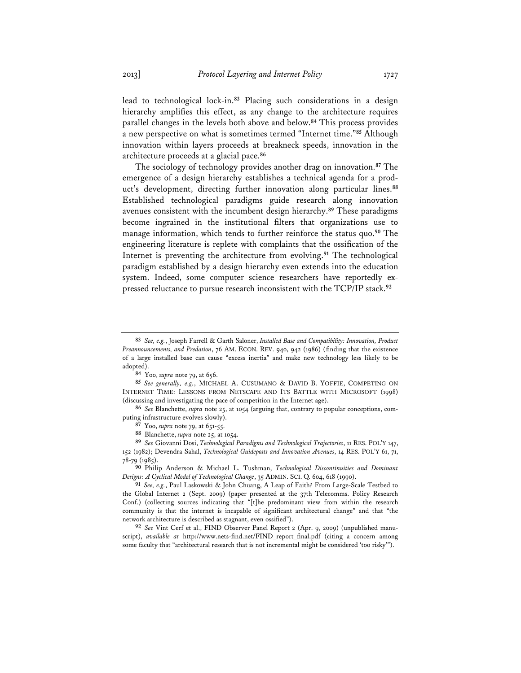lead to technological lock-in.**<sup>83</sup>** Placing such considerations in a design hierarchy amplifies this effect, as any change to the architecture requires parallel changes in the levels both above and below.**<sup>84</sup>** This process provides a new perspective on what is sometimes termed "Internet time."**<sup>85</sup>** Although innovation within layers proceeds at breakneck speeds, innovation in the architecture proceeds at a glacial pace.**<sup>86</sup>**

The sociology of technology provides another drag on innovation.**<sup>87</sup>** The emergence of a design hierarchy establishes a technical agenda for a product's development, directing further innovation along particular lines.**<sup>88</sup>** Established technological paradigms guide research along innovation avenues consistent with the incumbent design hierarchy.**<sup>89</sup>** These paradigms become ingrained in the institutional filters that organizations use to manage information, which tends to further reinforce the status quo.**<sup>90</sup>** The engineering literature is replete with complaints that the ossification of the Internet is preventing the architecture from evolving.**<sup>91</sup>** The technological paradigm established by a design hierarchy even extends into the education system. Indeed, some computer science researchers have reportedly expressed reluctance to pursue research inconsistent with the TCP/IP stack.**<sup>92</sup>**

**90** Philip Anderson & Michael L. Tushman, *Technological Discontinuities and Dominant Designs: A Cyclical Model of Technological Change*, 35 ADMIN. SCI. Q. 604, 618 (1990).

**91** *See, e.g.*, Paul Laskowski & John Chuang, A Leap of Faith? From Large-Scale Testbed to the Global Internet 2 (Sept. 2009) (paper presented at the 37th Telecomms. Policy Research Conf.) (collecting sources indicating that "[t]he predominant view from within the research community is that the internet is incapable of significant architectural change" and that "the network architecture is described as stagnant, even ossified").

**92** *See* Vint Cerf et al., FIND Observer Panel Report 2 (Apr. 9, 2009) (unpublished manuscript), *available at* http://www.nets-find.net/FIND\_report\_final.pdf (citing a concern among some faculty that "architectural research that is not incremental might be considered 'too risky'").

**<sup>83</sup>** *See, e.g.*, Joseph Farrell & Garth Saloner, *Installed Base and Compatibility: Innovation, Product Preannouncements, and Predation*, 76 AM. ECON. REV. 940, 942 (1986) (finding that the existence of a large installed base can cause "excess inertia" and make new technology less likely to be adopted).

**<sup>84</sup>** Yoo, *supra* note 79, at 656.

**<sup>85</sup>** *See generally, e.g.*, MICHAEL A. CUSUMANO & DAVID B. YOFFIE, COMPETING ON INTERNET TIME: LESSONS FROM NETSCAPE AND ITS BATTLE WITH MICROSOFT (1998) (discussing and investigating the pace of competition in the Internet age).

**<sup>86</sup>** *See* Blanchette, *supra* note 25, at 1054 (arguing that, contrary to popular conceptions, computing infrastructure evolves slowly).

**<sup>87</sup>** Yoo, *supra* note 79, at 651-55.

**<sup>88</sup>** Blanchette, *supra* note 25, at 1054.

**<sup>89</sup>** *See* Giovanni Dosi, *Technological Paradigms and Technological Trajectories*, 11 RES. POL'Y 147, 152 (1982); Devendra Sahal, *Technological Guideposts and Innovation Avenues*, 14 RES. POL'Y 61, 71, 78-79 (1985).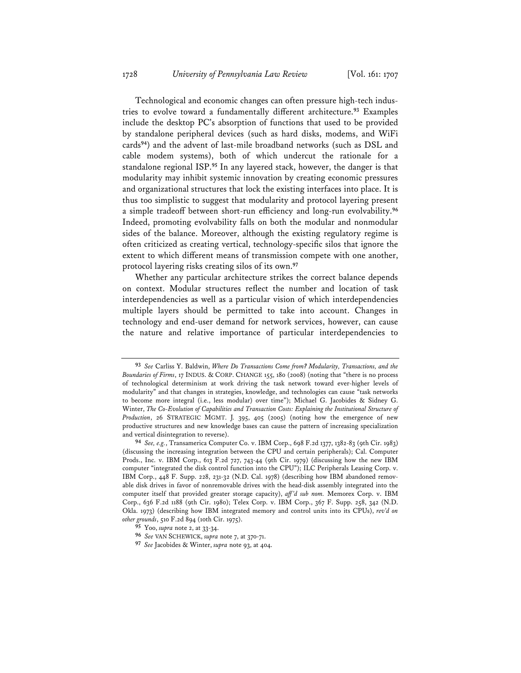Technological and economic changes can often pressure high-tech industries to evolve toward a fundamentally different architecture.**<sup>93</sup>** Examples include the desktop PC's absorption of functions that used to be provided by standalone peripheral devices (such as hard disks, modems, and WiFi cards**<sup>94</sup>**) and the advent of last-mile broadband networks (such as DSL and cable modem systems), both of which undercut the rationale for a standalone regional ISP.**<sup>95</sup>** In any layered stack, however, the danger is that modularity may inhibit systemic innovation by creating economic pressures and organizational structures that lock the existing interfaces into place. It is thus too simplistic to suggest that modularity and protocol layering present a simple tradeoff between short-run efficiency and long-run evolvability.**<sup>96</sup>** Indeed, promoting evolvability falls on both the modular and nonmodular sides of the balance. Moreover, although the existing regulatory regime is often criticized as creating vertical, technology-specific silos that ignore the extent to which different means of transmission compete with one another, protocol layering risks creating silos of its own.**<sup>97</sup>**

Whether any particular architecture strikes the correct balance depends on context. Modular structures reflect the number and location of task interdependencies as well as a particular vision of which interdependencies multiple layers should be permitted to take into account. Changes in technology and end-user demand for network services, however, can cause the nature and relative importance of particular interdependencies to

**<sup>93</sup>** *See* Carliss Y. Baldwin, *Where Do Transactions Come from? Modularity, Transactions, and the Boundaries of Firms*, 17 INDUS. & CORP. CHANGE 155, 180 (2008) (noting that "there is no process of technological determinism at work driving the task network toward ever-higher levels of modularity" and that changes in strategies, knowledge, and technologies can cause "task networks to become more integral (i.e., less modular) over time"); Michael G. Jacobides & Sidney G. Winter, *The Co-Evolution of Capabilities and Transaction Costs: Explaining the Institutional Structure of Production*, 26 STRATEGIC MGMT. J. 395, 405 (2005) (noting how the emergence of new productive structures and new knowledge bases can cause the pattern of increasing specialization and vertical disintegration to reverse).

**<sup>94</sup>** *See, e.g.*, Transamerica Computer Co. v. IBM Corp., 698 F.2d 1377, 1382-83 (9th Cir. 1983) (discussing the increasing integration between the CPU and certain peripherals); Cal. Computer Prods., Inc. v. IBM Corp., 613 F.2d 727, 743-44 (9th Cir. 1979) (discussing how the new IBM computer "integrated the disk control function into the CPU"); ILC Peripherals Leasing Corp. v. IBM Corp., 448 F. Supp. 228, 231-32 (N.D. Cal. 1978) (describing how IBM abandoned removable disk drives in favor of nonremovable drives with the head-disk assembly integrated into the computer itself that provided greater storage capacity), *aff 'd sub nom.* Memorex Corp. v. IBM Corp., 636 F.2d 1188 (9th Cir. 1980); Telex Corp. v. IBM Corp., 367 F. Supp. 258, 342 (N.D. Okla. 1973) (describing how IBM integrated memory and control units into its CPUs), *rev'd on other grounds*, 510 F.2d 894 (10th Cir. 1975).

**<sup>95</sup>** Yoo, *supra* note 2, at 33-34.

**<sup>96</sup>** *See* VAN SCHEWICK, *supra* note 7, at 370-71.

**<sup>97</sup>** *See* Jacobides & Winter, *supra* note 93, at 404.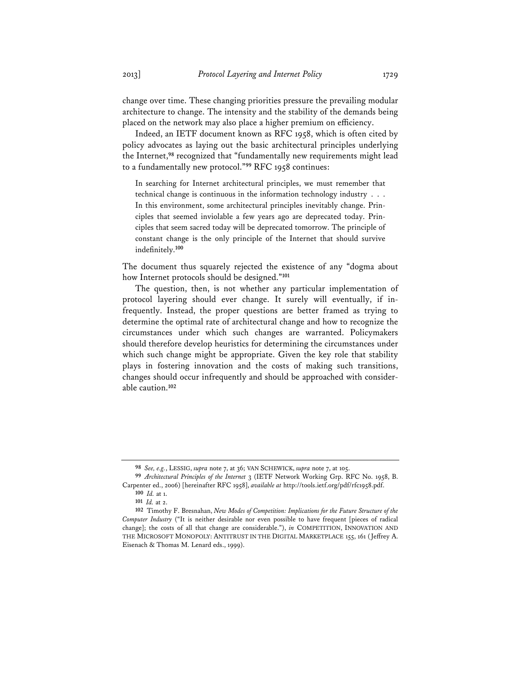change over time. These changing priorities pressure the prevailing modular architecture to change. The intensity and the stability of the demands being placed on the network may also place a higher premium on efficiency.

Indeed, an IETF document known as RFC 1958, which is often cited by policy advocates as laying out the basic architectural principles underlying the Internet,**<sup>98</sup>** recognized that "fundamentally new requirements might lead to a fundamentally new protocol."**<sup>99</sup>** RFC 1958 continues:

In searching for Internet architectural principles, we must remember that technical change is continuous in the information technology industry . . . In this environment, some architectural principles inevitably change. Principles that seemed inviolable a few years ago are deprecated today. Principles that seem sacred today will be deprecated tomorrow. The principle of constant change is the only principle of the Internet that should survive indefinitely.**<sup>100</sup>**

The document thus squarely rejected the existence of any "dogma about how Internet protocols should be designed."**<sup>101</sup>**

The question, then, is not whether any particular implementation of protocol layering should ever change. It surely will eventually, if infrequently. Instead, the proper questions are better framed as trying to determine the optimal rate of architectural change and how to recognize the circumstances under which such changes are warranted. Policymakers should therefore develop heuristics for determining the circumstances under which such change might be appropriate. Given the key role that stability plays in fostering innovation and the costs of making such transitions, changes should occur infrequently and should be approached with considerable caution.**<sup>102</sup>**

**<sup>98</sup>** *See, e.g.*, LESSIG, *supra* note 7, at 36; VAN SCHEWICK, *supra* note 7, at 105.

**<sup>99</sup>** *Architectural Principles of the Internet* 3 (IETF Network Working Grp. RFC No. 1958, B. Carpenter ed., 2006) [hereinafter RFC 1958], *available at* http://tools.ietf.org/pdf/rfc1958.pdf.

**<sup>100</sup>** *Id.* at 1.

**<sup>101</sup>** *Id.* at 2.

**<sup>102</sup>** Timothy F. Bresnahan, *New Modes of Competition: Implications for the Future Structure of the Computer Industry* ("It is neither desirable nor even possible to have frequent [pieces of radical change]; the costs of all that change are considerable."), *in* COMPETITION, INNOVATION AND THE MICROSOFT MONOPOLY: ANTITRUST IN THE DIGITAL MARKETPLACE 155, 161 (Jeffrey A. Eisenach & Thomas M. Lenard eds., 1999).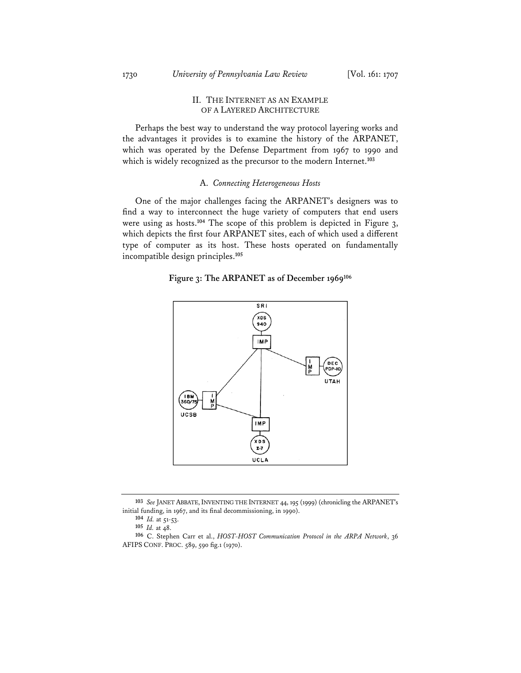### II. THE INTERNET AS AN EXAMPLE OF A LAYERED ARCHITECTURE

Perhaps the best way to understand the way protocol layering works and the advantages it provides is to examine the history of the ARPANET, which was operated by the Defense Department from 1967 to 1990 and which is widely recognized as the precursor to the modern Internet.**<sup>103</sup>**

#### A. *Connecting Heterogeneous Hosts*

One of the major challenges facing the ARPANET's designers was to find a way to interconnect the huge variety of computers that end users were using as hosts.**<sup>104</sup>** The scope of this problem is depicted in Figure 3, which depicts the first four ARPANET sites, each of which used a different type of computer as its host. These hosts operated on fundamentally incompatible design principles.**<sup>105</sup>**

#### **Figure 3: The ARPANET as of December 1969106**



**<sup>103</sup>** *See* JANET ABBATE,INVENTING THE INTERNET 44, 195 (1999) (chronicling the ARPANET's initial funding, in 1967, and its final decommissioning, in 1990).

**<sup>104</sup>** *Id.* at 51-53.

**<sup>105</sup>** *Id.* at 48.

**<sup>106</sup>** C. Stephen Carr et al., *HOST-HOST Communication Protocol in the ARPA Network*, 36 AFIPS CONF. PROC. 589, 590 fig.1 (1970).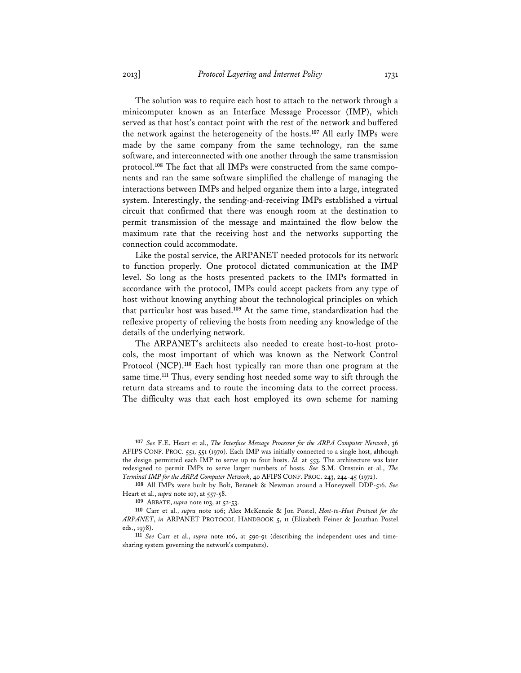The solution was to require each host to attach to the network through a minicomputer known as an Interface Message Processor (IMP), which served as that host's contact point with the rest of the network and buffered the network against the heterogeneity of the hosts.**<sup>107</sup>** All early IMPs were made by the same company from the same technology, ran the same software, and interconnected with one another through the same transmission protocol.**108** The fact that all IMPs were constructed from the same components and ran the same software simplified the challenge of managing the interactions between IMPs and helped organize them into a large, integrated system. Interestingly, the sending-and-receiving IMPs established a virtual circuit that confirmed that there was enough room at the destination to permit transmission of the message and maintained the flow below the maximum rate that the receiving host and the networks supporting the connection could accommodate.

Like the postal service, the ARPANET needed protocols for its network to function properly. One protocol dictated communication at the IMP level. So long as the hosts presented packets to the IMPs formatted in accordance with the protocol, IMPs could accept packets from any type of host without knowing anything about the technological principles on which that particular host was based.**<sup>109</sup>** At the same time, standardization had the reflexive property of relieving the hosts from needing any knowledge of the details of the underlying network.

The ARPANET's architects also needed to create host-to-host protocols, the most important of which was known as the Network Control Protocol (NCP).**<sup>110</sup>** Each host typically ran more than one program at the same time.**<sup>111</sup>** Thus, every sending host needed some way to sift through the return data streams and to route the incoming data to the correct process. The difficulty was that each host employed its own scheme for naming

**<sup>107</sup>** *See* F.E. Heart et al., *The Interface Message Processor for the ARPA Computer Network*, 36 AFIPS CONF. PROC. 551, 551 (1970). Each IMP was initially connected to a single host, although the design permitted each IMP to serve up to four hosts. *Id.* at 553. The architecture was later redesigned to permit IMPs to serve larger numbers of hosts. *See* S.M. Ornstein et al., *The Terminal IMP for the ARPA Computer Network*, 40 AFIPS CONF. PROC. 243, 244-45 (1972).

**<sup>108</sup>** All IMPs were built by Bolt, Beranek & Newman around a Honeywell DDP-516. *See* Heart et al., *supra* note 107, at 557-58.

**<sup>109</sup>** ABBATE, *supra* note 103, at 52-53.

**<sup>110</sup>** Carr et al., *supra* note 106; Alex McKenzie & Jon Postel, *Host-to-Host Protocol for the ARPANET*, *in* ARPANET PROTOCOL HANDBOOK 5, 11 (Elizabeth Feiner & Jonathan Postel eds., 1978).

**<sup>111</sup>** *See* Carr et al., *supra* note 106, at 590-91 (describing the independent uses and timesharing system governing the network's computers).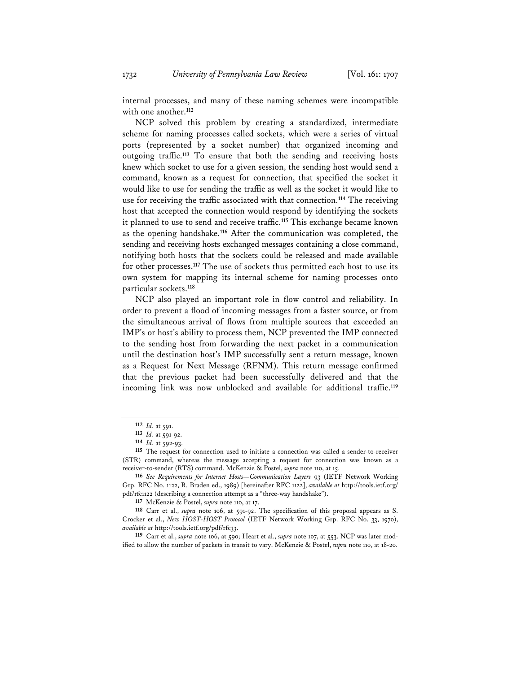internal processes, and many of these naming schemes were incompatible with one another.**<sup>112</sup>**

NCP solved this problem by creating a standardized, intermediate scheme for naming processes called sockets, which were a series of virtual ports (represented by a socket number) that organized incoming and outgoing traffic.**<sup>113</sup>** To ensure that both the sending and receiving hosts knew which socket to use for a given session, the sending host would send a command, known as a request for connection, that specified the socket it would like to use for sending the traffic as well as the socket it would like to use for receiving the traffic associated with that connection.**<sup>114</sup>** The receiving host that accepted the connection would respond by identifying the sockets it planned to use to send and receive traffic.**<sup>115</sup>** This exchange became known as the opening handshake.**<sup>116</sup>** After the communication was completed, the sending and receiving hosts exchanged messages containing a close command, notifying both hosts that the sockets could be released and made available for other processes.**<sup>117</sup>** The use of sockets thus permitted each host to use its own system for mapping its internal scheme for naming processes onto particular sockets.**<sup>118</sup>**

NCP also played an important role in flow control and reliability. In order to prevent a flood of incoming messages from a faster source, or from the simultaneous arrival of flows from multiple sources that exceeded an IMP's or host's ability to process them, NCP prevented the IMP connected to the sending host from forwarding the next packet in a communication until the destination host's IMP successfully sent a return message, known as a Request for Next Message (RFNM). This return message confirmed that the previous packet had been successfully delivered and that the incoming link was now unblocked and available for additional traffic.**<sup>119</sup>**

**<sup>112</sup>** *Id.* at 591.

**<sup>113</sup>** *Id.* at 591-92.

**<sup>114</sup>** *Id.* at 592-93.

**<sup>115</sup>** The request for connection used to initiate a connection was called a sender-to-receiver (STR) command, whereas the message accepting a request for connection was known as a receiver-to-sender (RTS) command. McKenzie & Postel, *supra* note 110, at 15.

**<sup>116</sup>** *See Requirements for Internet Hosts—Communication Layers* 93 (IETF Network Working Grp. RFC No. 1122, R. Braden ed., 1989) [hereinafter RFC 1122], *available at* http://tools.ietf.org/ pdf/rfc1122 (describing a connection attempt as a "three-way handshake").

**<sup>117</sup>** McKenzie & Postel, *supra* note 110, at 17.

**<sup>118</sup>** Carr et al., *supra* note 106, at 591-92. The specification of this proposal appears as S. Crocker et al., *New HOST-HOST Protocol* (IETF Network Working Grp. RFC No. 33, 1970), *available at* http://tools.ietf.org/pdf/rfc33.

**<sup>119</sup>** Carr et al., *supra* note 106, at 590; Heart et al., *supra* note 107, at 553. NCP was later modified to allow the number of packets in transit to vary. McKenzie & Postel, *supra* note 110, at 18-20.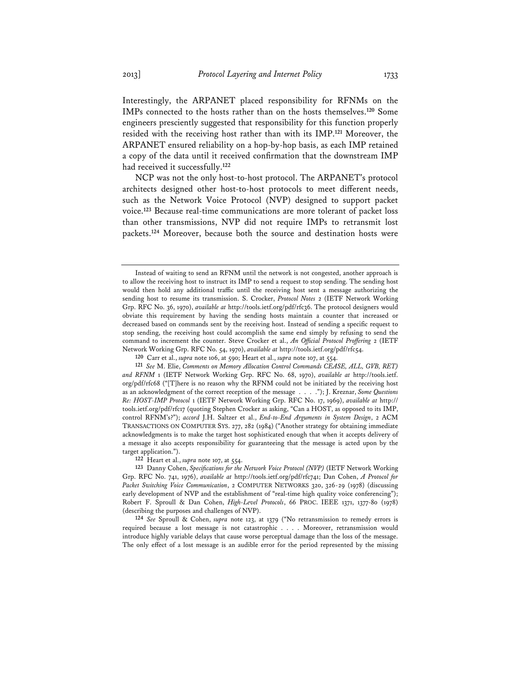Interestingly, the ARPANET placed responsibility for RFNMs on the IMPs connected to the hosts rather than on the hosts themselves.**<sup>120</sup>** Some engineers presciently suggested that responsibility for this function properly resided with the receiving host rather than with its IMP.**<sup>121</sup>** Moreover, the

ARPANET ensured reliability on a hop-by-hop basis, as each IMP retained a copy of the data until it received confirmation that the downstream IMP had received it successfully.**<sup>122</sup>**

NCP was not the only host-to-host protocol. The ARPANET's protocol architects designed other host-to-host protocols to meet different needs, such as the Network Voice Protocol (NVP) designed to support packet voice.**<sup>123</sup>** Because real-time communications are more tolerant of packet loss than other transmissions, NVP did not require IMPs to retransmit lost packets.**<sup>124</sup>** Moreover, because both the source and destination hosts were

Instead of waiting to send an RFNM until the network is not congested, another approach is to allow the receiving host to instruct its IMP to send a request to stop sending. The sending host would then hold any additional traffic until the receiving host sent a message authorizing the sending host to resume its transmission. S. Crocker, *Protocol Notes* 2 (IETF Network Working Grp. RFC No. 36, 1970), *available at* http://tools.ietf.org/pdf/rfc36. The protocol designers would obviate this requirement by having the sending hosts maintain a counter that increased or decreased based on commands sent by the receiving host. Instead of sending a specific request to stop sending, the receiving host could accomplish the same end simply by refusing to send the command to increment the counter. Steve Crocker et al., *An Official Protocol Proffering* 2 (IETF Network Working Grp. RFC No. 54, 1970), *available at* http://tools.ietf.org/pdf/rfc54.

**<sup>120</sup>** Carr et al., *supra* note 106, at 590; Heart et al., *supra* note 107, at 554.

**<sup>121</sup>** *See* M. Elie, *Comments on Memory Allocation Control Commands CEASE, ALL, GVB, RET) and RFNM* 1 (IETF Network Working Grp. RFC No. 68, 1970), *available at* http://tools.ietf. org/pdf/rfc68 ("[T]here is no reason why the RFNM could not be initiated by the receiving host as an acknowledgment of the correct reception of the message . . . ."); J. Kreznar, *Some Questions Re: HOST-IMP Protocol* 1 (IETF Network Working Grp. RFC No. 17, 1969), *available at* http:// tools.ietf.org/pdf/rfc17 (quoting Stephen Crocker as asking, "Can a HOST, as opposed to its IMP, control RFNM's?"); *accord* J.H. Saltzer et al., *End-to-End Arguments in System Design*, 2 ACM TRANSACTIONS ON COMPUTER SYS. 277, 282 (1984) ("Another strategy for obtaining immediate acknowledgments is to make the target host sophisticated enough that when it accepts delivery of a message it also accepts responsibility for guaranteeing that the message is acted upon by the target application.").

**<sup>122</sup>** Heart et al., *supra* note 107, at 554.

**<sup>123</sup>** Danny Cohen, *Specifications for the Network Voice Protocol (NVP)* (IETF Network Working Grp. RFC No. 741, 1976), *available at* http://tools.ietf.org/pdf/rfc741; Dan Cohen, *A Protocol for Packet Switching Voice Communication*, 2 COMPUTER NETWORKS 320, 326-29 (1978) (discussing early development of NVP and the establishment of "real-time high quality voice conferencing"); Robert F. Sproull & Dan Cohen, *High-Level Protocols*, 66 PROC. IEEE 1371, 1377-80 (1978) (describing the purposes and challenges of NVP).

**<sup>124</sup>** *See* Sproull & Cohen, *supra* note 123, at 1379 ("No retransmission to remedy errors is required because a lost message is not catastrophic . . . . Moreover, retransmission would introduce highly variable delays that cause worse perceptual damage than the loss of the message. The only effect of a lost message is an audible error for the period represented by the missing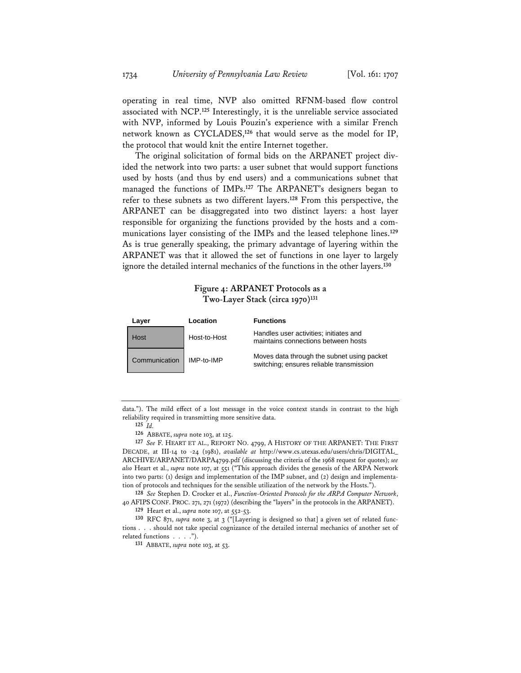operating in real time, NVP also omitted RFNM-based flow control associated with NCP.**<sup>125</sup>** Interestingly, it is the unreliable service associated with NVP, informed by Louis Pouzin's experience with a similar French network known as CYCLADES,**<sup>126</sup>** that would serve as the model for IP, the protocol that would knit the entire Internet together.

The original solicitation of formal bids on the ARPANET project divided the network into two parts: a user subnet that would support functions used by hosts (and thus by end users) and a communications subnet that managed the functions of IMPs.**<sup>127</sup>** The ARPANET's designers began to refer to these subnets as two different layers.**<sup>128</sup>** From this perspective, the ARPANET can be disaggregated into two distinct layers: a host layer responsible for organizing the functions provided by the hosts and a communications layer consisting of the IMPs and the leased telephone lines.**<sup>129</sup>** As is true generally speaking, the primary advantage of layering within the ARPANET was that it allowed the set of functions in one layer to largely ignore the detailed internal mechanics of the functions in the other layers.**<sup>130</sup>**

## **Figure 4: ARPANET Protocols as a Two-Layer Stack (circa 1970)131**

| Laver |               | Location     | <b>Functions</b>                                                                       |
|-------|---------------|--------------|----------------------------------------------------------------------------------------|
|       | Host          | Host-to-Host | Handles user activities; initiates and<br>maintains connections between hosts          |
|       | Communication | IMP-to-IMP   | Moves data through the subnet using packet<br>switching; ensures reliable transmission |

data."). The mild effect of a lost message in the voice context stands in contrast to the high reliability required in transmitting more sensitive data.

**125** *Id.*

**126** ABBATE, *supra* note 103, at 125.

**127** *See* F. HEART ET AL., REPORT NO. 4799, A HISTORY OF THE ARPANET: THE FIRST DECADE, at III-14 to -24 (1981), *available at* http://www.cs.utexas.edu/users/chris/DIGITAL\_ ARCHIVE/ARPANET/DARPA4799.pdf (discussing the criteria of the 1968 request for quotes); *see also* Heart et al., *supra* note 107, at 551 ("This approach divides the genesis of the ARPA Network into two parts: (1) design and implementation of the IMP subnet, and (2) design and implementation of protocols and techniques for the sensible utilization of the network by the Hosts.").

**128** *See* Stephen D. Crocker et al., *Function-Oriented Protocols for the ARPA Computer Network*, 40 AFIPSCONF. PROC. 271, 271 (1972) (describing the "layers" in the protocols in the ARPANET).

**129** Heart et al., *supra* note 107, at 552-53.

**130** RFC 871, *supra* note 3, at 3 ("[Layering is designed so that] a given set of related functions . . . should not take special cognizance of the detailed internal mechanics of another set of related functions . . . .").

**131** ABBATE, *supra* note 103, at 53.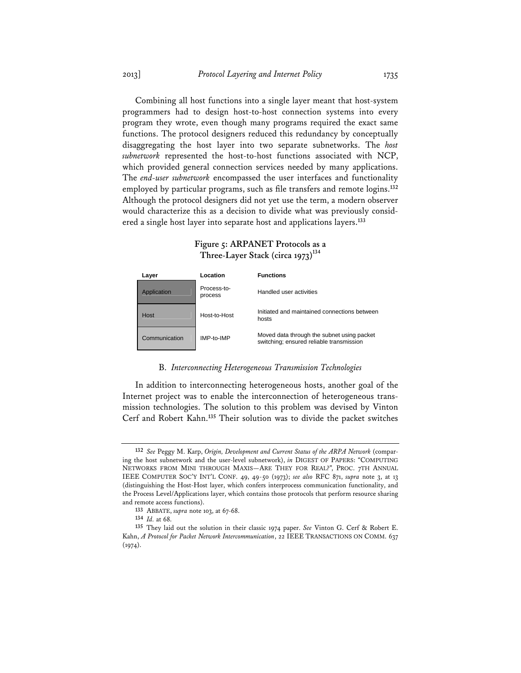Combining all host functions into a single layer meant that host-system programmers had to design host-to-host connection systems into every program they wrote, even though many programs required the exact same functions. The protocol designers reduced this redundancy by conceptually disaggregating the host layer into two separate subnetworks. The *host subnetwork* represented the host-to-host functions associated with NCP, which provided general connection services needed by many applications. The *end-user subnetwork* encompassed the user interfaces and functionality employed by particular programs, such as file transfers and remote logins.**<sup>132</sup>** Although the protocol designers did not yet use the term, a modern observer would characterize this as a decision to divide what was previously considered a single host layer into separate host and applications layers.**<sup>133</sup>**

| Laver         | Location               | <b>Functions</b>                                                                       |
|---------------|------------------------|----------------------------------------------------------------------------------------|
| Application   | Process-to-<br>process | Handled user activities                                                                |
| Host          | Host-to-Host           | Initiated and maintained connections between<br>hosts                                  |
| Communication | IMP-to-IMP             | Moved data through the subnet using packet<br>switching; ensured reliable transmission |

## **Figure 5: ARPANET Protocols as a**  Three-Layer Stack (circa 1973)<sup>134</sup>

#### B. *Interconnecting Heterogeneous Transmission Technologies*

In addition to interconnecting heterogeneous hosts, another goal of the Internet project was to enable the interconnection of heterogeneous transmission technologies. The solution to this problem was devised by Vinton Cerf and Robert Kahn.**<sup>135</sup>** Their solution was to divide the packet switches

**<sup>132</sup>** *See* Peggy M. Karp, *Origin, Development and Current Status of the ARPA Network* (comparing the host subnetwork and the user-level subnetwork), *in* DIGEST OF PAPERS: "COMPUTING NETWORKS FROM MINI THROUGH MAXIS—ARE THEY FOR REAL?", PROC. 7TH ANNUAL IEEE COMPUTER SOC'Y INT'L CONF. 49, 49-50 (1973); *see also* RFC 871, *supra* note 3, at 13 (distinguishing the Host-Host layer, which confers interprocess communication functionality, and the Process Level/Applications layer, which contains those protocols that perform resource sharing and remote access functions).

**<sup>133</sup>** ABBATE, *supra* note 103, at 67-68.

**<sup>134</sup>** *Id.* at 68.

**<sup>135</sup>** They laid out the solution in their classic 1974 paper. *See* Vinton G. Cerf & Robert E. Kahn, *A Protocol for Packet Network Intercommunication*, 22 IEEE TRANSACTIONS ON COMM. 637  $(1974).$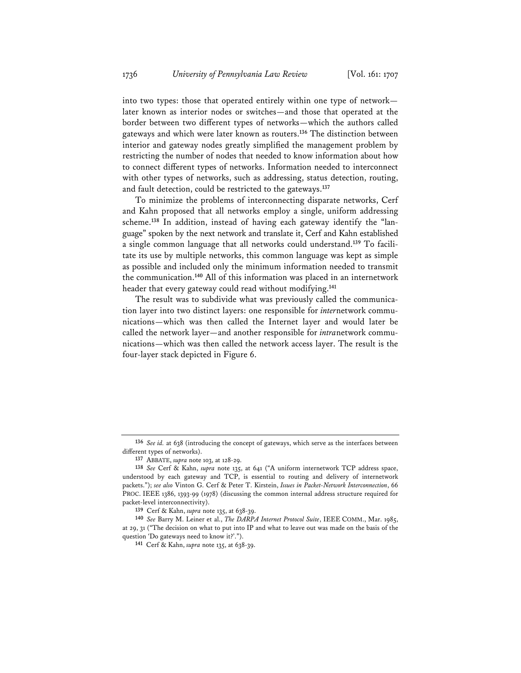into two types: those that operated entirely within one type of network later known as interior nodes or switches—and those that operated at the border between two different types of networks—which the authors called gateways and which were later known as routers.**<sup>136</sup>** The distinction between interior and gateway nodes greatly simplified the management problem by restricting the number of nodes that needed to know information about how to connect different types of networks. Information needed to interconnect with other types of networks, such as addressing, status detection, routing, and fault detection, could be restricted to the gateways.**<sup>137</sup>**

To minimize the problems of interconnecting disparate networks, Cerf and Kahn proposed that all networks employ a single, uniform addressing scheme.**138** In addition, instead of having each gateway identify the "language" spoken by the next network and translate it, Cerf and Kahn established a single common language that all networks could understand.**139** To facilitate its use by multiple networks, this common language was kept as simple as possible and included only the minimum information needed to transmit the communication.**<sup>140</sup>** All of this information was placed in an internetwork header that every gateway could read without modifying.**<sup>141</sup>**

The result was to subdivide what was previously called the communication layer into two distinct layers: one responsible for *inter*network communications—which was then called the Internet layer and would later be called the network layer—and another responsible for *intra*network communications—which was then called the network access layer. The result is the four-layer stack depicted in Figure 6.

**<sup>136</sup>** *See id.* at 638 (introducing the concept of gateways, which serve as the interfaces between different types of networks).

**<sup>137</sup>** ABBATE, *supra* note 103, at 128-29.

**<sup>138</sup>** *See* Cerf & Kahn, *supra* note 135, at 641 ("A uniform internetwork TCP address space, understood by each gateway and TCP, is essential to routing and delivery of internetwork packets."); *see also* Vinton G. Cerf & Peter T. Kirstein, *Issues in Packet-Network Interconnection*, 66 PROC. IEEE 1386, 1393-99 (1978) (discussing the common internal address structure required for packet-level interconnectivity).

**<sup>139</sup>** Cerf & Kahn, *supra* note 135, at 638-39.

**<sup>140</sup>** *See* Barry M. Leiner et al., *The DARPA Internet Protocol Suite*, IEEE COMM., Mar. 1985, at 29, 31 ("The decision on what to put into IP and what to leave out was made on the basis of the question 'Do gateways need to know it?'.").

**<sup>141</sup>** Cerf & Kahn, *supra* note 135, at 638-39.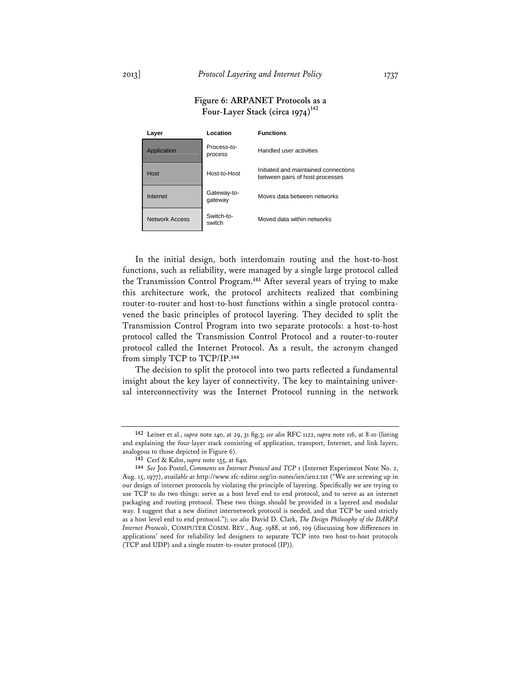## **Figure 6: ARPANET Protocols as a**  Four-Layer Stack (circa 1974)<sup>142</sup>

| Layer          | Location               | <b>Functions</b>                                                        |
|----------------|------------------------|-------------------------------------------------------------------------|
| Application    | Process-to-<br>process | Handled user activities                                                 |
| Host           | Host-to-Host           | Initiated and maintained connections<br>between pairs of host processes |
| Internet       | Gateway-to-<br>gateway | Moves data between networks                                             |
| Network Access | Switch-to-<br>switch   | Moved data within networks                                              |

In the initial design, both interdomain routing and the host-to-host functions, such as reliability, were managed by a single large protocol called the Transmission Control Program.**<sup>143</sup>** After several years of trying to make this architecture work, the protocol architects realized that combining router-to-router and host-to-host functions within a single protocol contravened the basic principles of protocol layering. They decided to split the Transmission Control Program into two separate protocols: a host-to-host protocol called the Transmission Control Protocol and a router-to-router protocol called the Internet Protocol. As a result, the acronym changed from simply TCP to TCP/IP.**<sup>144</sup>**

The decision to split the protocol into two parts reflected a fundamental insight about the key layer of connectivity. The key to maintaining universal interconnectivity was the Internet Protocol running in the network

**<sup>142</sup>** Leiner et al., *supra* note 140, at 29, 31 fig.3; *see also* RFC 1122, *supra* note 116, at 8-10 (listing and explaining the four-layer stack consisting of application, transport, Internet, and link layers, analogous to those depicted in Figure 6).

**<sup>143</sup>** Cerf & Kahn, *supra* note 135, at 640.

**<sup>144</sup>** *See* Jon Postel, *Comments on Internet Protocol and TCP* 1 (Internet Experiment Note No. 2, Aug. 15, 1977), *available at* http://www.rfc-editor.org/in-notes/ien/ien2.txt ("We are screwing up in our design of internet protocols by violating the principle of layering. Specifically we are trying to use TCP to do two things: serve as a host level end to end protocol, and to serve as an internet packaging and routing protocol. These two things should be provided in a layered and modular way. I suggest that a new distinct internetwork protocol is needed, and that TCP be used strictly as a host level end to end protocol."); *see also* David D. Clark, *The Design Philosophy of the DARPA Internet Protocols*, COMPUTER COMM. REV., Aug. 1988, at 106, 109 (discussing how differences in applications' need for reliability led designers to separate TCP into two host-to-host protocols (TCP and UDP) and a single router-to-router protocol (IP)).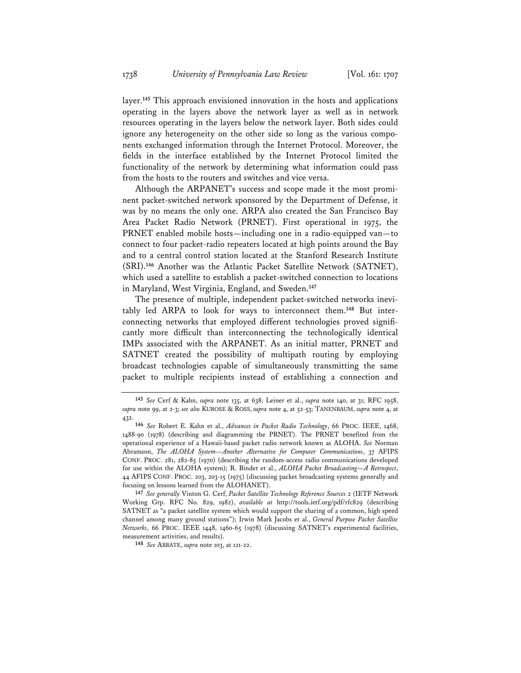layer.**<sup>145</sup>** This approach envisioned innovation in the hosts and applications operating in the layers above the network layer as well as in network resources operating in the layers below the network layer. Both sides could ignore any heterogeneity on the other side so long as the various components exchanged information through the Internet Protocol. Moreover, the fields in the interface established by the Internet Protocol limited the functionality of the network by determining what information could pass from the hosts to the routers and switches and vice versa.

Although the ARPANET's success and scope made it the most prominent packet-switched network sponsored by the Department of Defense, it was by no means the only one. ARPA also created the San Francisco Bay Area Packet Radio Network (PRNET). First operational in 1975, the PRNET enabled mobile hosts—including one in a radio-equipped van—to connect to four packet-radio repeaters located at high points around the Bay and to a central control station located at the Stanford Research Institute (SRI).**<sup>146</sup>** Another was the Atlantic Packet Satellite Network (SATNET), which used a satellite to establish a packet-switched connection to locations in Maryland, West Virginia, England, and Sweden.**<sup>147</sup>**

The presence of multiple, independent packet-switched networks inevitably led ARPA to look for ways to interconnect them.**148** But interconnecting networks that employed different technologies proved significantly more difficult than interconnecting the technologically identical IMPs associated with the ARPANET. As an initial matter, PRNET and SATNET created the possibility of multipath routing by employing broadcast technologies capable of simultaneously transmitting the same packet to multiple recipients instead of establishing a connection and

**148** *See* ABBATE, *supra* note 103, at 121-22.

**<sup>145</sup>** *See* Cerf & Kahn, *supra* note 135, at 638; Leiner et al., *supra* note 140, at 31; RFC 1958, *supra* note 99, at 2-3; *see also* KUROSE & ROSS, *supra* note 4, at 52-53; TANENBAUM, *supra* note 4, at 432.

**<sup>146</sup>** *See* Robert E. Kahn et al., *Advances in Packet Radio Technology*, 66 PROC. IEEE, 1468, 1488-90 (1978) (describing and diagramming the PRNET). The PRNET benefited from the operational experience of a Hawaii-based packet radio network known as ALOHA. *See* Norman Abramson, *The ALOHA System—Another Alternative for Computer Communications*, 37 AFIPS CONF. PROC. 281, 282-85 (1970) (describing the random-access radio communications developed for use within the ALOHA system); R. Binder et al., *ALOHA Packet Broadcasting—A Retrospect*, 44 AFIPS CONF. PROC. 203, 203-15 (1975) (discussing packet broadcasting systems generally and focusing on lessons learned from the ALOHANET).

**<sup>147</sup>** *See generally* Vinton G. Cerf, *Packet Satellite Technology Reference Sources* 2 (IETF Network Working Grp. RFC No. 829, 1982), *available at* http://tools.ietf.org/pdf/rfc829 (describing SATNET as "a packet satellite system which would support the sharing of a common, high speed channel among many ground stations"); Irwin Mark Jacobs et al., *General Purpose Packet Satellite Networks*, 66 PROC. IEEE 1448, 1460-65 (1978) (discussing SATNET's experimental facilities, measurement activities, and results).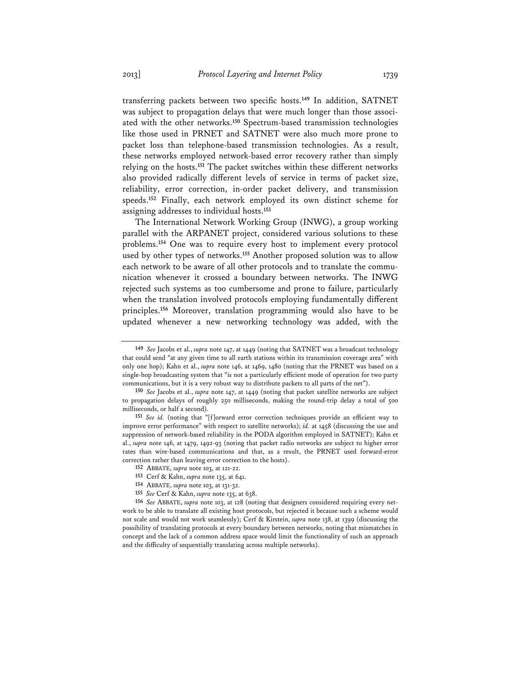transferring packets between two specific hosts.**<sup>149</sup>** In addition, SATNET was subject to propagation delays that were much longer than those associated with the other networks.**<sup>150</sup>** Spectrum-based transmission technologies like those used in PRNET and SATNET were also much more prone to packet loss than telephone-based transmission technologies. As a result, these networks employed network-based error recovery rather than simply relying on the hosts.**<sup>151</sup>** The packet switches within these different networks also provided radically different levels of service in terms of packet size, reliability, error correction, in-order packet delivery, and transmission speeds.**<sup>152</sup>** Finally, each network employed its own distinct scheme for assigning addresses to individual hosts.**<sup>153</sup>**

The International Network Working Group (INWG), a group working parallel with the ARPANET project, considered various solutions to these problems.**<sup>154</sup>** One was to require every host to implement every protocol used by other types of networks.**<sup>155</sup>** Another proposed solution was to allow each network to be aware of all other protocols and to translate the communication whenever it crossed a boundary between networks. The INWG rejected such systems as too cumbersome and prone to failure, particularly when the translation involved protocols employing fundamentally different principles.**<sup>156</sup>** Moreover, translation programming would also have to be updated whenever a new networking technology was added, with the

**<sup>149</sup>** *See* Jacobs et al., *supra* note 147, at 1449 (noting that SATNET was a broadcast technology that could send "at any given time to all earth stations within its transmission coverage area" with only one hop); Kahn et al., *supra* note 146, at 1469, 1480 (noting that the PRNET was based on a single-hop broadcasting system that "is not a particularly efficient mode of operation for two party communications, but it is a very robust way to distribute packets to all parts of the net").

**<sup>150</sup>** *See* Jacobs et al., *supra* note 147, at 1449 (noting that packet satellite networks are subject to propagation delays of roughly 250 milliseconds, making the round-trip delay a total of 500 milliseconds, or half a second).

**<sup>151</sup>** *See id.* (noting that "[f]orward error correction techniques provide an efficient way to improve error performance" with respect to satellite networks); *id.* at 1458 (discussing the use and suppression of network-based reliability in the PODA algorithm employed in SATNET); Kahn et al., *supra* note 146, at 1479, 1492-93 (noting that packet radio networks are subject to higher error rates than wire-based communications and that, as a result, the PRNET used forward-error correction rather than leaving error correction to the hosts).

**<sup>152</sup>** ABBATE, *supra* note 103, at 121-22.

**<sup>153</sup>** Cerf & Kahn, *supra* note 135, at 641.

**<sup>154</sup>** ABBATE, *supra* note 103, at 131-32.

**<sup>155</sup>** *See* Cerf & Kahn, *supra* note 135, at 638.

**<sup>156</sup>** *See* ABBATE, *supra* note 103, at 128 (noting that designers considered requiring every network to be able to translate all existing host protocols, but rejected it because such a scheme would not scale and would not work seamlessly); Cerf & Kirstein, *supra* note 138, at 1399 (discussing the possibility of translating protocols at every boundary between networks, noting that mismatches in concept and the lack of a common address space would limit the functionality of such an approach and the difficulty of sequentially translating across multiple networks).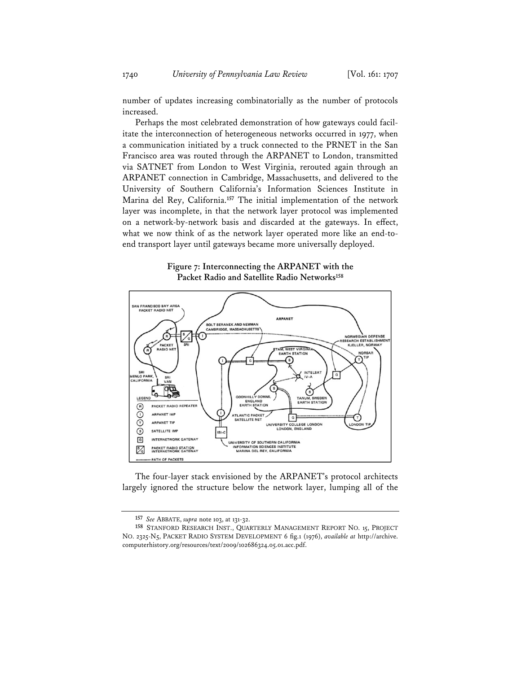number of updates increasing combinatorially as the number of protocols increased.

Perhaps the most celebrated demonstration of how gateways could facilitate the interconnection of heterogeneous networks occurred in 1977, when a communication initiated by a truck connected to the PRNET in the San Francisco area was routed through the ARPANET to London, transmitted via SATNET from London to West Virginia, rerouted again through an ARPANET connection in Cambridge, Massachusetts, and delivered to the University of Southern California's Information Sciences Institute in Marina del Rey, California.**<sup>157</sup>** The initial implementation of the network layer was incomplete, in that the network layer protocol was implemented on a network-by-network basis and discarded at the gateways. In effect, what we now think of as the network layer operated more like an end-toend transport layer until gateways became more universally deployed.

**Figure 7: Interconnecting the ARPANET with the Packet Radio and Satellite Radio Networks158**



The four-layer stack envisioned by the ARPANET's protocol architects largely ignored the structure below the network layer, lumping all of the

**<sup>157</sup>** *See* ABBATE, *supra* note 103, at 131-32.

**<sup>158</sup>** STANFORD RESEARCH INST., QUARTERLY MANAGEMENT REPORT NO. 15, PROJECT NO. 2325-N5, PACKET RADIO SYSTEM DEVELOPMENT 6 fig.1 (1976), *available at* http://archive. computerhistory.org/resources/text/2009/102686324.05.01.acc.pdf.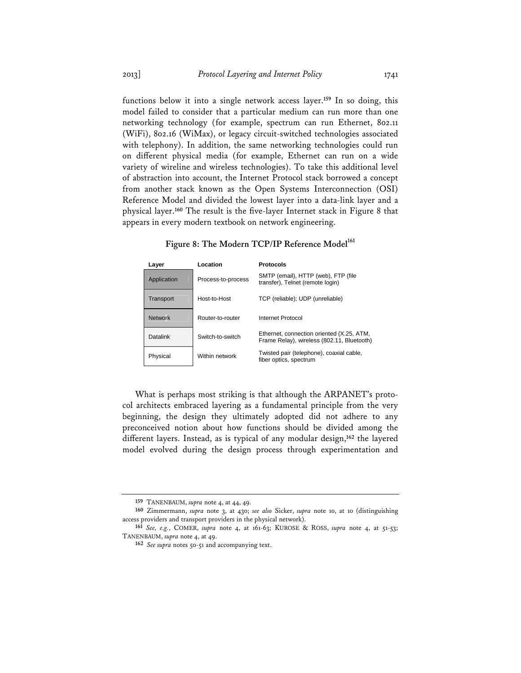functions below it into a single network access layer.**<sup>159</sup>** In so doing, this model failed to consider that a particular medium can run more than one networking technology (for example, spectrum can run Ethernet, 802.11 (WiFi), 802.16 (WiMax), or legacy circuit-switched technologies associated with telephony). In addition, the same networking technologies could run on different physical media (for example, Ethernet can run on a wide variety of wireline and wireless technologies). To take this additional level of abstraction into account, the Internet Protocol stack borrowed a concept from another stack known as the Open Systems Interconnection (OSI) Reference Model and divided the lowest layer into a data-link layer and a physical layer.**<sup>160</sup>** The result is the five-layer Internet stack in Figure 8 that appears in every modern textbook on network engineering.

| Layer          | Location           | <b>Protocols</b>                                                                        |
|----------------|--------------------|-----------------------------------------------------------------------------------------|
| Application    | Process-to-process | SMTP (email), HTTP (web), FTP (file<br>transfer), Telnet (remote login)                 |
| Transport      | Host-to-Host       | TCP (reliable); UDP (unreliable)                                                        |
| <b>Network</b> | Router-to-router   | Internet Protocol                                                                       |
| Datalink       | Switch-to-switch   | Ethernet, connection oriented (X.25, ATM,<br>Frame Relay), wireless (802.11, Bluetooth) |
| Physical       | Within network     | Twisted pair (telephone), coaxial cable,<br>fiber optics, spectrum                      |

**Figure 8: The Modern TCP/IP Reference Model<sup>161</sup>**

What is perhaps most striking is that although the ARPANET's protocol architects embraced layering as a fundamental principle from the very beginning, the design they ultimately adopted did not adhere to any preconceived notion about how functions should be divided among the different layers. Instead, as is typical of any modular design,**<sup>162</sup>** the layered model evolved during the design process through experimentation and

**<sup>159</sup>** TANENBAUM, *supra* note 4, at 44, 49.

**<sup>160</sup>** Zimmermann, *supra* note 3, at 430; *see also* Sicker, *supra* note 10, at 10 (distinguishing access providers and transport providers in the physical network).

**<sup>161</sup>** *See, e.g.*, COMER, *supra* note 4, at 161-63; KUROSE & ROSS, *supra* note 4, at 51-53; TANENBAUM, *supra* note 4, at 49.

**<sup>162</sup>** *See supra* notes 50-51 and accompanying text.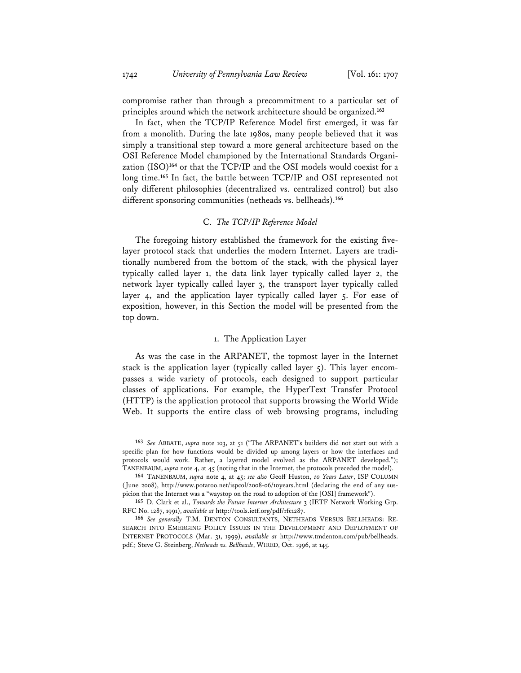compromise rather than through a precommitment to a particular set of principles around which the network architecture should be organized.**<sup>163</sup>**

In fact, when the TCP/IP Reference Model first emerged, it was far from a monolith. During the late 1980s, many people believed that it was simply a transitional step toward a more general architecture based on the OSI Reference Model championed by the International Standards Organization (ISO)**<sup>164</sup>** or that the TCP/IP and the OSI models would coexist for a long time.**<sup>165</sup>** In fact, the battle between TCP/IP and OSI represented not only different philosophies (decentralized vs. centralized control) but also different sponsoring communities (netheads vs. bellheads).**<sup>166</sup>**

#### C. *The TCP/IP Reference Model*

The foregoing history established the framework for the existing fivelayer protocol stack that underlies the modern Internet. Layers are traditionally numbered from the bottom of the stack, with the physical layer typically called layer 1, the data link layer typically called layer 2, the network layer typically called layer 3, the transport layer typically called layer 4, and the application layer typically called layer 5. For ease of exposition, however, in this Section the model will be presented from the top down.

### 1. The Application Layer

As was the case in the ARPANET, the topmost layer in the Internet stack is the application layer (typically called layer 5). This layer encompasses a wide variety of protocols, each designed to support particular classes of applications. For example, the HyperText Transfer Protocol (HTTP) is the application protocol that supports browsing the World Wide Web. It supports the entire class of web browsing programs, including

**<sup>163</sup>** *See* ABBATE, *supra* note 103, at 51 ("The ARPANET's builders did not start out with a specific plan for how functions would be divided up among layers or how the interfaces and protocols would work. Rather, a layered model evolved as the ARPANET developed."); TANENBAUM, *supra* note 4, at 45 (noting that in the Internet, the protocols preceded the model).

**<sup>164</sup>** TANENBAUM, *supra* note 4, at 45; *see also* Geoff Huston, *10 Years Later*, ISP COLUMN (June 2008), http://www.potaroo.net/ispcol/2008-06/10years.html (declaring the end of any suspicion that the Internet was a "waystop on the road to adoption of the [OSI] framework").

**<sup>165</sup>** D. Clark et al., *Towards the Future Internet Architecture* 3 (IETF Network Working Grp. RFC No. 1287, 1991), *available at* http://tools.ietf.org/pdf/rfc1287.

**<sup>166</sup>** *See generally* T.M. DENTON CONSULTANTS, NETHEADS VERSUS BELLHEADS: RE-SEARCH INTO EMERGING POLICY ISSUES IN THE DEVELOPMENT AND DEPLOYMENT OF INTERNET PROTOCOLS (Mar. 31, 1999), *available at* http://www.tmdenton.com/pub/bellheads. pdf.; Steve G. Steinberg, *Netheads vs. Bellheads*, WIRED, Oct. 1996, at 145.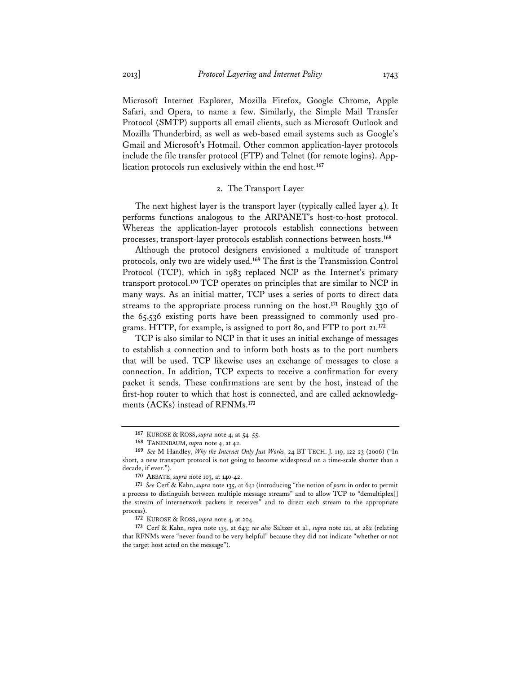Microsoft Internet Explorer, Mozilla Firefox, Google Chrome, Apple Safari, and Opera, to name a few. Similarly, the Simple Mail Transfer Protocol (SMTP) supports all email clients, such as Microsoft Outlook and Mozilla Thunderbird, as well as web-based email systems such as Google's Gmail and Microsoft's Hotmail. Other common application-layer protocols include the file transfer protocol (FTP) and Telnet (for remote logins). Application protocols run exclusively within the end host.**<sup>167</sup>**

#### 2. The Transport Layer

The next highest layer is the transport layer (typically called layer 4). It performs functions analogous to the ARPANET's host-to-host protocol. Whereas the application-layer protocols establish connections between processes, transport-layer protocols establish connections between hosts.**<sup>168</sup>**

Although the protocol designers envisioned a multitude of transport protocols, only two are widely used.**<sup>169</sup>** The first is the Transmission Control Protocol (TCP), which in 1983 replaced NCP as the Internet's primary transport protocol.**<sup>170</sup>** TCP operates on principles that are similar to NCP in many ways. As an initial matter, TCP uses a series of ports to direct data streams to the appropriate process running on the host.**<sup>171</sup>** Roughly 330 of the 65,536 existing ports have been preassigned to commonly used programs. HTTP, for example, is assigned to port 80, and FTP to port 21.**<sup>172</sup>**

TCP is also similar to NCP in that it uses an initial exchange of messages to establish a connection and to inform both hosts as to the port numbers that will be used. TCP likewise uses an exchange of messages to close a connection. In addition, TCP expects to receive a confirmation for every packet it sends. These confirmations are sent by the host, instead of the first-hop router to which that host is connected, and are called acknowledgments (ACKs) instead of RFNMs.**<sup>173</sup>**

**<sup>167</sup>** KUROSE & ROSS, *supra* note 4, at 54-55.

**<sup>168</sup>** TANENBAUM, *supra* note 4, at 42.

**<sup>169</sup>** *See* M Handley, *Why the Internet Only Just Works*, 24 BT TECH. J. 119, 122-23 (2006) ("In short, a new transport protocol is not going to become widespread on a time-scale shorter than a decade, if ever.").

**<sup>170</sup>** ABBATE, *supra* note 103, at 140-42.

**<sup>171</sup>** *See* Cerf & Kahn, *supra* note 135, at 641 (introducing "the notion of *ports* in order to permit a process to distinguish between multiple message streams" and to allow TCP to "demultiplex[] the stream of internetwork packets it receives" and to direct each stream to the appropriate process).

**<sup>172</sup>** KUROSE & ROSS, *supra* note 4, at 204.

**<sup>173</sup>** Cerf & Kahn, *supra* note 135, at 643; *see also* Saltzer et al., *supra* note 121, at 282 (relating that RFNMs were "never found to be very helpful" because they did not indicate "whether or not the target host acted on the message").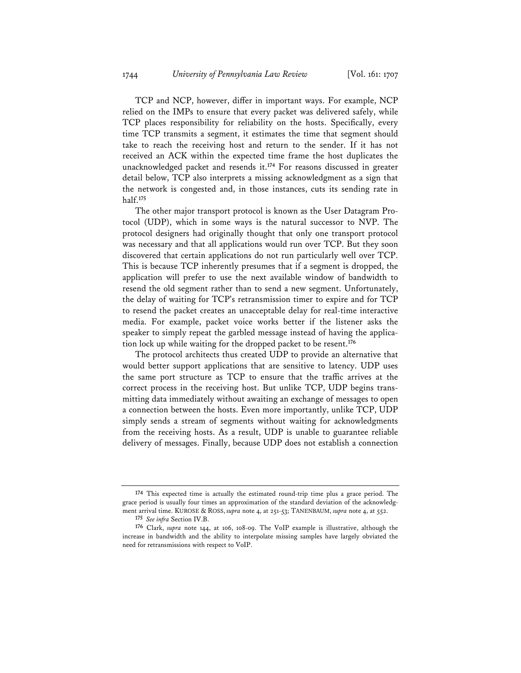TCP and NCP, however, differ in important ways. For example, NCP relied on the IMPs to ensure that every packet was delivered safely, while TCP places responsibility for reliability on the hosts. Specifically, every time TCP transmits a segment, it estimates the time that segment should take to reach the receiving host and return to the sender. If it has not received an ACK within the expected time frame the host duplicates the unacknowledged packet and resends it.**<sup>174</sup>** For reasons discussed in greater detail below, TCP also interprets a missing acknowledgment as a sign that the network is congested and, in those instances, cuts its sending rate in half.**<sup>175</sup>**

The other major transport protocol is known as the User Datagram Protocol (UDP), which in some ways is the natural successor to NVP. The protocol designers had originally thought that only one transport protocol was necessary and that all applications would run over TCP. But they soon discovered that certain applications do not run particularly well over TCP. This is because TCP inherently presumes that if a segment is dropped, the application will prefer to use the next available window of bandwidth to resend the old segment rather than to send a new segment. Unfortunately, the delay of waiting for TCP's retransmission timer to expire and for TCP to resend the packet creates an unacceptable delay for real-time interactive media. For example, packet voice works better if the listener asks the speaker to simply repeat the garbled message instead of having the application lock up while waiting for the dropped packet to be resent.**<sup>176</sup>**

The protocol architects thus created UDP to provide an alternative that would better support applications that are sensitive to latency. UDP uses the same port structure as TCP to ensure that the traffic arrives at the correct process in the receiving host. But unlike TCP, UDP begins transmitting data immediately without awaiting an exchange of messages to open a connection between the hosts. Even more importantly, unlike TCP, UDP simply sends a stream of segments without waiting for acknowledgments from the receiving hosts. As a result, UDP is unable to guarantee reliable delivery of messages. Finally, because UDP does not establish a connection

**<sup>174</sup>** This expected time is actually the estimated round-trip time plus a grace period. The grace period is usually four times an approximation of the standard deviation of the acknowledgment arrival time. KUROSE & ROSS, *supra* note 4, at 251-53; TANENBAUM, *supra* note 4, at 552.

**<sup>175</sup>** *See infra* Section IV.B.

**<sup>176</sup>** Clark, *supra* note 144, at 106, 108-09. The VoIP example is illustrative, although the increase in bandwidth and the ability to interpolate missing samples have largely obviated the need for retransmissions with respect to VoIP.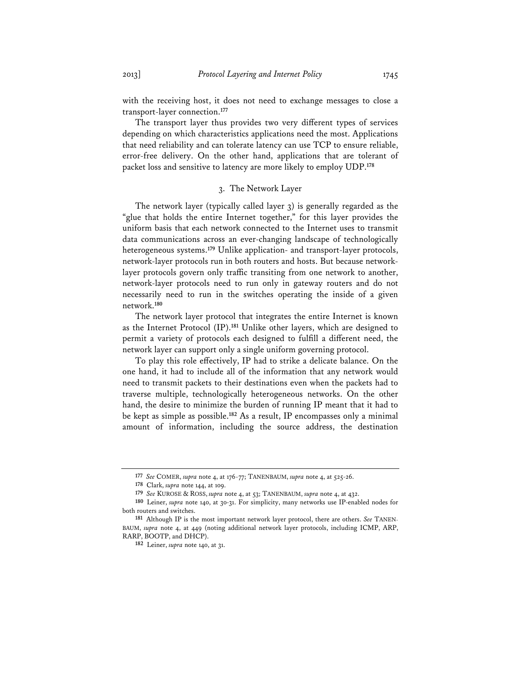with the receiving host, it does not need to exchange messages to close a transport-layer connection.**<sup>177</sup>**

The transport layer thus provides two very different types of services depending on which characteristics applications need the most. Applications that need reliability and can tolerate latency can use TCP to ensure reliable, error-free delivery. On the other hand, applications that are tolerant of packet loss and sensitive to latency are more likely to employ UDP.**<sup>178</sup>**

### 3. The Network Layer

The network layer (typically called layer 3) is generally regarded as the "glue that holds the entire Internet together," for this layer provides the uniform basis that each network connected to the Internet uses to transmit data communications across an ever-changing landscape of technologically heterogeneous systems.**<sup>179</sup>** Unlike application- and transport-layer protocols, network-layer protocols run in both routers and hosts. But because networklayer protocols govern only traffic transiting from one network to another, network-layer protocols need to run only in gateway routers and do not necessarily need to run in the switches operating the inside of a given network.**<sup>180</sup>**

The network layer protocol that integrates the entire Internet is known as the Internet Protocol (IP).**<sup>181</sup>** Unlike other layers, which are designed to permit a variety of protocols each designed to fulfill a different need, the network layer can support only a single uniform governing protocol.

To play this role effectively, IP had to strike a delicate balance. On the one hand, it had to include all of the information that any network would need to transmit packets to their destinations even when the packets had to traverse multiple, technologically heterogeneous networks. On the other hand, the desire to minimize the burden of running IP meant that it had to be kept as simple as possible.**<sup>182</sup>** As a result, IP encompasses only a minimal amount of information, including the source address, the destination

**<sup>177</sup>** *See* COMER, *supra* note 4, at 176-77; TANENBAUM, *supra* note 4, at 525-26.

**<sup>178</sup>** Clark, *supra* note 144, at 109.

**<sup>179</sup>** *See* KUROSE & ROSS, *supra* note 4, at 53; TANENBAUM, *supra* note 4, at 432.

**<sup>180</sup>** Leiner, *supra* note 140, at 30-31. For simplicity, many networks use IP-enabled nodes for both routers and switches.

**<sup>181</sup>** Although IP is the most important network layer protocol, there are others. *See* TANEN-BAUM, *supra* note 4, at 449 (noting additional network layer protocols, including ICMP, ARP, RARP, BOOTP, and DHCP).

**<sup>182</sup>** Leiner, *supra* note 140, at 31.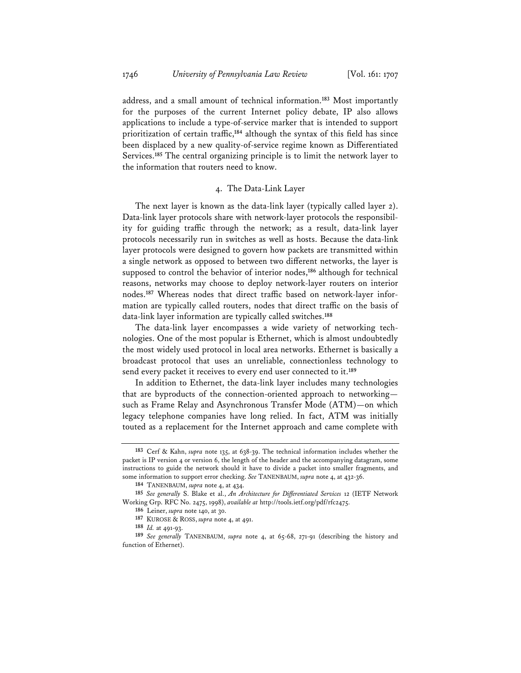address, and a small amount of technical information.**<sup>183</sup>** Most importantly for the purposes of the current Internet policy debate, IP also allows applications to include a type-of-service marker that is intended to support prioritization of certain traffic,**<sup>184</sup>** although the syntax of this field has since been displaced by a new quality-of-service regime known as Differentiated Services.**<sup>185</sup>** The central organizing principle is to limit the network layer to the information that routers need to know.

#### 4. The Data-Link Layer

The next layer is known as the data-link layer (typically called layer 2). Data-link layer protocols share with network-layer protocols the responsibility for guiding traffic through the network; as a result, data-link layer protocols necessarily run in switches as well as hosts. Because the data-link layer protocols were designed to govern how packets are transmitted within a single network as opposed to between two different networks, the layer is supposed to control the behavior of interior nodes,**<sup>186</sup>** although for technical reasons, networks may choose to deploy network-layer routers on interior nodes.**187** Whereas nodes that direct traffic based on network-layer information are typically called routers, nodes that direct traffic on the basis of data-link layer information are typically called switches.**<sup>188</sup>**

The data-link layer encompasses a wide variety of networking technologies. One of the most popular is Ethernet, which is almost undoubtedly the most widely used protocol in local area networks. Ethernet is basically a broadcast protocol that uses an unreliable, connectionless technology to send every packet it receives to every end user connected to it.**<sup>189</sup>**

In addition to Ethernet, the data-link layer includes many technologies that are byproducts of the connection-oriented approach to networking such as Frame Relay and Asynchronous Transfer Mode (ATM)—on which legacy telephone companies have long relied. In fact, ATM was initially touted as a replacement for the Internet approach and came complete with

**<sup>183</sup>** Cerf & Kahn, *supra* note 135, at 638-39. The technical information includes whether the packet is IP version 4 or version 6, the length of the header and the accompanying datagram, some instructions to guide the network should it have to divide a packet into smaller fragments, and some information to support error checking. *See* TANENBAUM, *supra* note 4, at 432-36.

**<sup>184</sup>** TANENBAUM, *supra* note 4, at 434.

**<sup>185</sup>** *See generally* S. Blake et al., *An Architecture for Differentiated Services* 12 (IETF Network Working Grp. RFC No. 2475, 1998), *available at* http://tools.ietf.org/pdf/rfc2475.

**<sup>186</sup>** Leiner, *supra* note 140, at 30.

**<sup>187</sup>** KUROSE & ROSS, *supra* note 4, at 491.

**<sup>188</sup>** *Id.* at 491-93.

**<sup>189</sup>** *See generally* TANENBAUM, *supra* note 4, at 65-68, 271-91 (describing the history and function of Ethernet).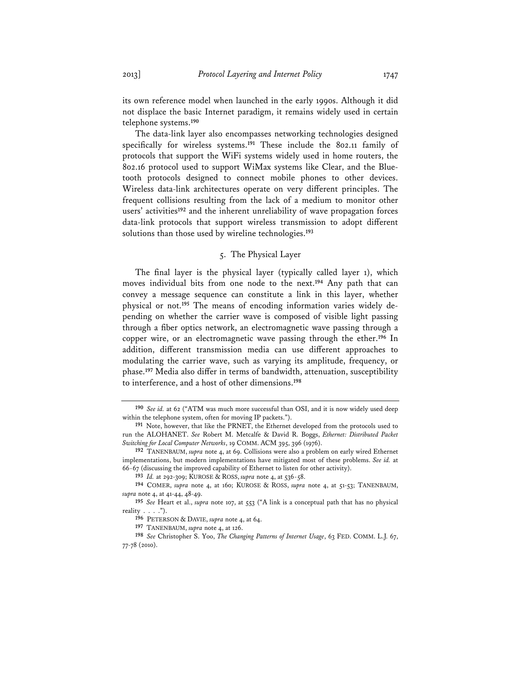its own reference model when launched in the early 1990s. Although it did not displace the basic Internet paradigm, it remains widely used in certain telephone systems.**<sup>190</sup>**

The data-link layer also encompasses networking technologies designed specifically for wireless systems.**<sup>191</sup>** These include the 802.11 family of protocols that support the WiFi systems widely used in home routers, the 802.16 protocol used to support WiMax systems like Clear, and the Bluetooth protocols designed to connect mobile phones to other devices. Wireless data-link architectures operate on very different principles. The frequent collisions resulting from the lack of a medium to monitor other users' activities**<sup>192</sup>** and the inherent unreliability of wave propagation forces data-link protocols that support wireless transmission to adopt different solutions than those used by wireline technologies.**<sup>193</sup>**

#### 5. The Physical Layer

The final layer is the physical layer (typically called layer 1), which moves individual bits from one node to the next.**<sup>194</sup>** Any path that can convey a message sequence can constitute a link in this layer, whether physical or not.**195** The means of encoding information varies widely depending on whether the carrier wave is composed of visible light passing through a fiber optics network, an electromagnetic wave passing through a copper wire, or an electromagnetic wave passing through the ether.**<sup>196</sup>** In addition, different transmission media can use different approaches to modulating the carrier wave, such as varying its amplitude, frequency, or phase.**<sup>197</sup>** Media also differ in terms of bandwidth, attenuation, susceptibility to interference, and a host of other dimensions.**<sup>198</sup>**

**<sup>190</sup>** *See id.* at 62 ("ATM was much more successful than OSI, and it is now widely used deep within the telephone system, often for moving IP packets.").

**<sup>191</sup>** Note, however, that like the PRNET, the Ethernet developed from the protocols used to run the ALOHANET. *See* Robert M. Metcalfe & David R. Boggs, *Ethernet: Distributed Packet Switching for Local Computer Networks*, 19 COMM. ACM 395, 396 (1976).

**<sup>192</sup>** TANENBAUM, *supra* note 4, at 69. Collisions were also a problem on early wired Ethernet implementations, but modern implementations have mitigated most of these problems. *See id.* at 66-67 (discussing the improved capability of Ethernet to listen for other activity).

**<sup>193</sup>** *Id.* at 292-309; KUROSE & ROSS, *supra* note 4, at 536-58.

**<sup>194</sup>** COMER, *supra* note 4, at 160; KUROSE & ROSS, *supra* note 4, at 51-53; TANENBAUM, *supra* note 4, at 41-44, 48-49.

**<sup>195</sup>** *See* Heart et al., *supra* note 107, at 553 ("A link is a conceptual path that has no physical reality  $\ldots$  .").

**<sup>196</sup>** PETERSON & DAVIE, *supra* note 4, at 64.

**<sup>197</sup>** TANENBAUM, *supra* note 4, at 126.

**<sup>198</sup>** *See* Christopher S. Yoo, *The Changing Patterns of Internet Usage*, 63 FED. COMM. L.J. 67, 77-78 (2010).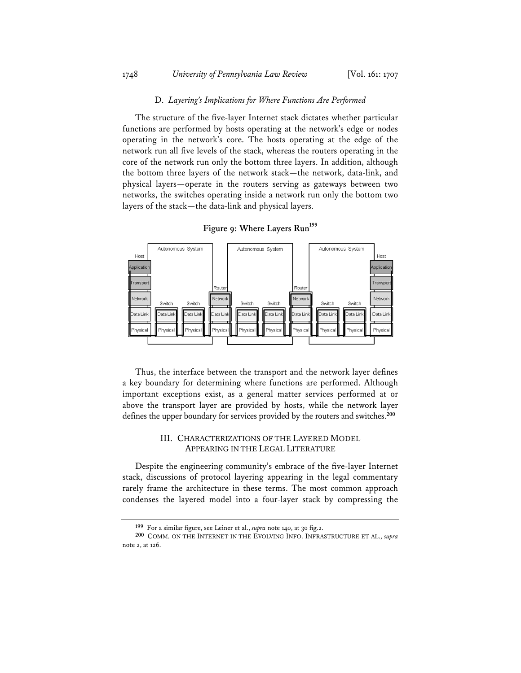#### 1748 *University of Pennsylvania Law Review* [Vol. 161: 1707

#### D. *Layering's Implications for Where Functions Are Performed*

The structure of the five-layer Internet stack dictates whether particular functions are performed by hosts operating at the network's edge or nodes operating in the network's core. The hosts operating at the edge of the network run all five levels of the stack, whereas the routers operating in the core of the network run only the bottom three layers. In addition, although the bottom three layers of the network stack—the network, data-link, and physical layers—operate in the routers serving as gateways between two networks, the switches operating inside a network run only the bottom two layers of the stack—the data-link and physical layers.

Autonomous System Autonomous System Autonomous System Host Host **pplicati** oplicati **Transpr** ranspo Routi Route **Netwo** Networ Networ Switch Switch Switch Switch Switch Switch Data Lin Data Lini Jata Lin lata Li .<br>Data Lin Data Lin ata Lir Data Lir **Data Lir** Data Lir Physica Physica hvsic hvsic hvsi <sup>2</sup>hvsic Physic hvsio Physic Physic

Figure 9: Where Layers Run<sup>199</sup>

Thus, the interface between the transport and the network layer defines a key boundary for determining where functions are performed. Although important exceptions exist, as a general matter services performed at or above the transport layer are provided by hosts, while the network layer defines the upper boundary for services provided by the routers and switches.**<sup>200</sup>**

### III. CHARACTERIZATIONS OF THE LAYERED MODEL APPEARING IN THE LEGAL LITERATURE

Despite the engineering community's embrace of the five-layer Internet stack, discussions of protocol layering appearing in the legal commentary rarely frame the architecture in these terms. The most common approach condenses the layered model into a four-layer stack by compressing the

**<sup>199</sup>** For a similar figure, see Leiner et al., *supra* note 140, at 30 fig.2.

**<sup>200</sup>** COMM. ON THE INTERNET IN THE EVOLVING INFO. INFRASTRUCTURE ET AL., *supra* note 2, at 126.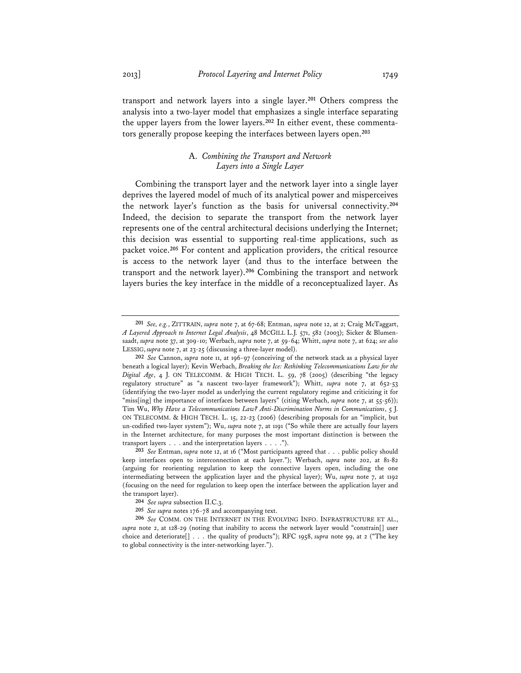transport and network layers into a single layer.**<sup>201</sup>** Others compress the analysis into a two-layer model that emphasizes a single interface separating the upper layers from the lower layers.**202** In either event, these commentators generally propose keeping the interfaces between layers open.**<sup>203</sup>**

### A. *Combining the Transport and Network Layers into a Single Layer*

Combining the transport layer and the network layer into a single layer deprives the layered model of much of its analytical power and misperceives the network layer's function as the basis for universal connectivity.**<sup>204</sup>** Indeed, the decision to separate the transport from the network layer represents one of the central architectural decisions underlying the Internet; this decision was essential to supporting real-time applications, such as packet voice.**<sup>205</sup>** For content and application providers, the critical resource is access to the network layer (and thus to the interface between the transport and the network layer).**<sup>206</sup>** Combining the transport and network layers buries the key interface in the middle of a reconceptualized layer. As

**<sup>201</sup>** *See, e.g.*, ZITTRAIN, *supra* note 7, at 67-68; Entman, *supra* note 12, at 2; Craig McTaggart, *A Layered Approach to Internet Legal Analysis*, 48 MCGILL L.J. 571, 582 (2003); Sicker & Blumensaadt, *supra* note 37, at 309-10; Werbach, *supra* note 7, at 59-64; Whitt, *supra* note 7, at 624; *see also* LESSIG, *supra* note 7, at 23-25 (discussing a three-layer model).

**<sup>202</sup>** *See* Cannon, *supra* note 11, at 196-97 (conceiving of the network stack as a physical layer beneath a logical layer); Kevin Werbach, *Breaking the Ice: Rethinking Telecommunications Law for the Digital Age*, 4 J. ON TELECOMM. & HIGH TECH. L. 59, 78 (2005) (describing "the legacy regulatory structure" as "a nascent two-layer framework"); Whitt, *supra* note 7, at 652-53 (identifying the two-layer model as underlying the current regulatory regime and criticizing it for "miss[ing] the importance of interfaces between layers" (citing Werbach, *supra* note 7, at 55-56)); Tim Wu, *Why Have a Telecommunications Law? Anti-Discrimination Norms in Communications*, 5 J. ON TELECOMM. & HIGH TECH. L. 15, 22-23 (2006) (describing proposals for an "implicit, but un-codified two-layer system"); Wu, *supra* note 7, at 1191 ("So while there are actually four layers in the Internet architecture, for many purposes the most important distinction is between the transport layers . . . and the interpretation layers . . . .").

**<sup>203</sup>** *See* Entman, *supra* note 12, at 16 ("Most participants agreed that . . . public policy should keep interfaces open to interconnection at each layer."); Werbach, *supra* note 202, at 81-82 (arguing for reorienting regulation to keep the connective layers open, including the one intermediating between the application layer and the physical layer); Wu, *supra* note 7, at 1192 (focusing on the need for regulation to keep open the interface between the application layer and the transport layer).

**<sup>204</sup>** *See supra* subsection II.C.3.

**<sup>205</sup>** *See supra* notes 176-78 and accompanying text.

**<sup>206</sup>** *See* COMM. ON THE INTERNET IN THE EVOLVING INFO. INFRASTRUCTURE ET AL., *supra* note 2, at 128-29 (noting that inability to access the network layer would "constrain[] user choice and deteriorate[] . . . the quality of products"); RFC 1958, *supra* note 99, at 2 ("The key to global connectivity is the inter-networking layer.").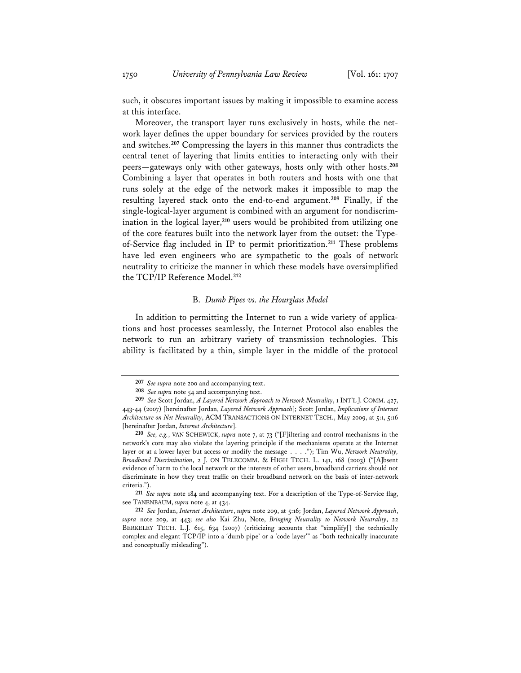such, it obscures important issues by making it impossible to examine access at this interface.

Moreover, the transport layer runs exclusively in hosts, while the network layer defines the upper boundary for services provided by the routers and switches.**<sup>207</sup>** Compressing the layers in this manner thus contradicts the central tenet of layering that limits entities to interacting only with their peers—gateways only with other gateways, hosts only with other hosts.**<sup>208</sup>** Combining a layer that operates in both routers and hosts with one that runs solely at the edge of the network makes it impossible to map the resulting layered stack onto the end-to-end argument.**<sup>209</sup>** Finally, if the single-logical-layer argument is combined with an argument for nondiscrimination in the logical layer,**<sup>210</sup>** users would be prohibited from utilizing one of the core features built into the network layer from the outset: the Typeof-Service flag included in IP to permit prioritization.**<sup>211</sup>** These problems have led even engineers who are sympathetic to the goals of network neutrality to criticize the manner in which these models have oversimplified the TCP/IP Reference Model.**<sup>212</sup>**

#### B. *Dumb Pipes vs. the Hourglass Model*

In addition to permitting the Internet to run a wide variety of applications and host processes seamlessly, the Internet Protocol also enables the network to run an arbitrary variety of transmission technologies. This ability is facilitated by a thin, simple layer in the middle of the protocol

**<sup>207</sup>** *See supra* note 200 and accompanying text.

**<sup>208</sup>** *See supra* note 54 and accompanying text.

**<sup>209</sup>** *See* Scott Jordan, *A Layered Network Approach to Network Neutrality*, 1 INT'L J. COMM. 427, 443-44 (2007) [hereinafter Jordan, *Layered Network Approach*]; Scott Jordan, *Implications of Internet Architecture on Net Neutrality*, ACM TRANSACTIONS ON INTERNET TECH., May 2009, at 5:1, 5:16 [hereinafter Jordan, *Internet Architecture*].

**<sup>210</sup>** *See, e.g.*, VAN SCHEWICK, *supra* note 7, at 73 ("[F]iltering and control mechanisms in the network's core may also violate the layering principle if the mechanisms operate at the Internet layer or at a lower layer but access or modify the message . . . ."); Tim Wu, *Network Neutrality, Broadband Discrimination*, 2 J. ON TELECOMM. & HIGH TECH. L. 141, 168 (2003) ("[A]bsent evidence of harm to the local network or the interests of other users, broadband carriers should not discriminate in how they treat traffic on their broadband network on the basis of inter-network criteria.").

**<sup>211</sup>** *See supra* note 184 and accompanying text. For a description of the Type-of-Service flag, see TANENBAUM, *supra* note 4, at 434.

**<sup>212</sup>** *See* Jordan, *Internet Architecture*, *supra* note 209, at 5:16; Jordan, *Layered Network Approach*, *supra* note 209, at 443; *see also* Kai Zhu, Note, *Bringing Neutrality to Network Neutrality*, 22 BERKELEY TECH. L.J. 615, 634 (2007) (criticizing accounts that "simplify[] the technically complex and elegant TCP/IP into a 'dumb pipe' or a 'code layer'" as "both technically inaccurate and conceptually misleading").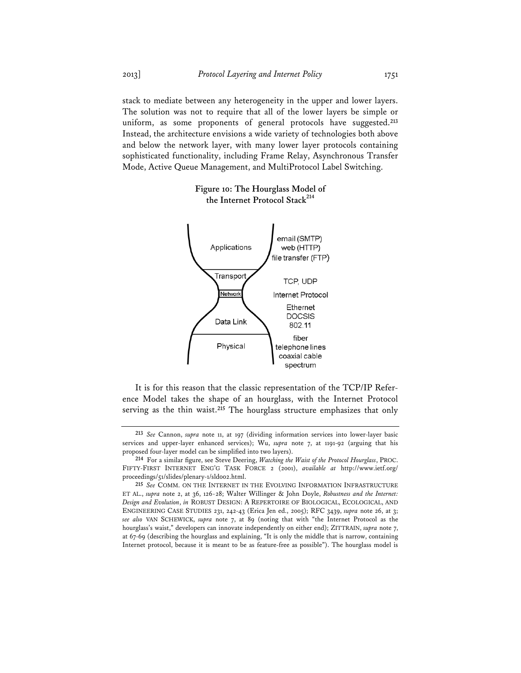stack to mediate between any heterogeneity in the upper and lower layers. The solution was not to require that all of the lower layers be simple or uniform, as some proponents of general protocols have suggested.**<sup>213</sup>** Instead, the architecture envisions a wide variety of technologies both above and below the network layer, with many lower layer protocols containing sophisticated functionality, including Frame Relay, Asynchronous Transfer Mode, Active Queue Management, and MultiProtocol Label Switching.



## **Figure 10: The Hourglass Model of the Internet Protocol Stack<sup>214</sup>**

It is for this reason that the classic representation of the TCP/IP Reference Model takes the shape of an hourglass, with the Internet Protocol serving as the thin waist.**<sup>215</sup>** The hourglass structure emphasizes that only

**<sup>213</sup>** *See* Cannon, *supra* note 11, at 197 (dividing information services into lower-layer basic services and upper-layer enhanced services); Wu, *supra* note 7, at 1191-92 (arguing that his proposed four-layer model can be simplified into two layers).

**<sup>214</sup>** For a similar figure, see Steve Deering, *Watching the Waist of the Protocol Hourglass*, PROC. FIFTY-FIRST INTERNET ENG'G TASK FORCE 2 (2001), *available at* http://www.ietf.org/ proceedings/51/slides/plenary-1/sld002.html.

**<sup>215</sup>** *See* COMM. ON THE INTERNET IN THE EVOLVING INFORMATION INFRASTRUCTURE ET AL., *supra* note 2, at 36, 126-28; Walter Willinger & John Doyle, *Robustness and the Internet: Design and Evolution*, *in* ROBUST DESIGN: A REPERTOIRE OF BIOLOGICAL, ECOLOGICAL, AND ENGINEERING CASE STUDIES 231, 242-43 (Erica Jen ed., 2005); RFC 3439, *supra* note 26, at 3; *see also* VAN SCHEWICK, *supra* note 7, at 89 (noting that with "the Internet Protocol as the hourglass's waist," developers can innovate independently on either end); ZITTRAIN, *supra* note 7, at 67-69 (describing the hourglass and explaining, "It is only the middle that is narrow, containing Internet protocol, because it is meant to be as feature-free as possible"). The hourglass model is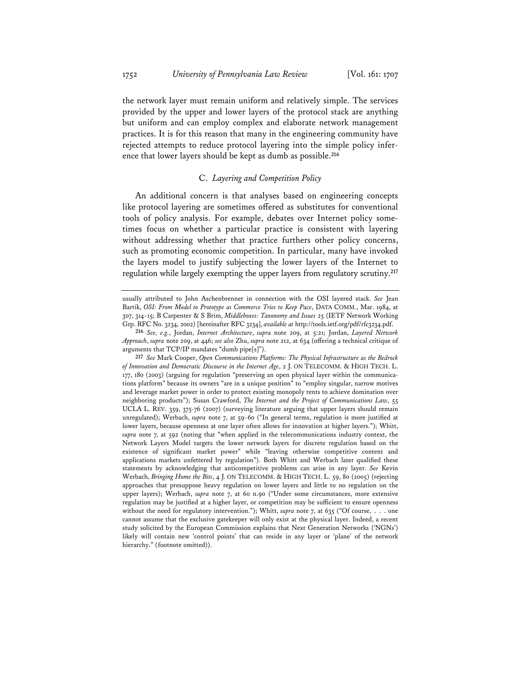the network layer must remain uniform and relatively simple. The services provided by the upper and lower layers of the protocol stack are anything but uniform and can employ complex and elaborate network management practices. It is for this reason that many in the engineering community have rejected attempts to reduce protocol layering into the simple policy inference that lower layers should be kept as dumb as possible.**<sup>216</sup>**

## C. *Layering and Competition Policy*

An additional concern is that analyses based on engineering concepts like protocol layering are sometimes offered as substitutes for conventional tools of policy analysis. For example, debates over Internet policy sometimes focus on whether a particular practice is consistent with layering without addressing whether that practice furthers other policy concerns, such as promoting economic competition. In particular, many have invoked the layers model to justify subjecting the lower layers of the Internet to regulation while largely exempting the upper layers from regulatory scrutiny.**<sup>217</sup>**

usually attributed to John Aschenbrenner in connection with the OSI layered stack. *See* Jean Bartik, *OSI: From Model to Prototype as Commerce Tries to Keep Pace*, DATA COMM., Mar. 1984, at 307, 314-15; B Carpenter & S Brim, *Middleboxes: Taxonomy and Issues* 25 (IETF Network Working Grp. RFC No. 3234, 2002) [hereinafter RFC 3234], *available at* http://tools.ietf.org/pdf/rfc3234.pdf.

**<sup>216</sup>** *See, e.g.*, Jordan, *Internet Architecture*, *supra* note 209, at 5:21; Jordan, *Layered Network Approach*, *supra* note 209, at 446; *see also* Zhu, *supra* note 212, at 634 (offering a technical critique of arguments that TCP/IP mandates "dumb pipe[s]").

**<sup>217</sup>** *See* Mark Cooper, *Open Communications Platforms: The Physical Infrastructure as the Bedrock of Innovation and Democratic Discourse in the Internet Age*, 2 J. ON TELECOMM. & HIGH TECH. L. 177, 180 (2003) (arguing for regulation "preserving an open physical layer within the communications platform" because its owners "are in a unique position" to "employ singular, narrow motives and leverage market power in order to protect existing monopoly rents to achieve domination over neighboring products"); Susan Crawford, *The Internet and the Project of Communications Law*, 55 UCLA L. REV. 359, 375-76 (2007) (surveying literature arguing that upper layers should remain unregulated); Werbach, *supra* note 7, at 59-60 ("In general terms, regulation is more justified at lower layers, because openness at one layer often allows for innovation at higher layers."); Whitt, *supra* note 7, at 592 (noting that "when applied in the telecommunications industry context, the Network Layers Model targets the lower network layers for discrete regulation based on the existence of significant market power" while "leaving otherwise competitive content and applications markets unfettered by regulation"). Both Whitt and Werbach later qualified these statements by acknowledging that anticompetitive problems can arise in any layer. *See* Kevin Werbach, *Bringing Home the Bits*, 4 J. ON TELECOMM. & HIGH TECH. L. 59, 80 (2005) (rejecting approaches that presuppose heavy regulation on lower layers and little to no regulation on the upper layers); Werbach, *supra* note 7, at 60 n.90 ("Under some circumstances, more extensive regulation may be justified at a higher layer, or competition may be sufficient to ensure openness without the need for regulatory intervention."); Whitt, *supra* note 7, at 635 ("Of course, . . . one cannot assume that the exclusive gatekeeper will only exist at the physical layer. Indeed, a recent study solicited by the European Commission explains that Next Generation Networks ('NGNs') likely will contain new 'control points' that can reside in any layer or 'plane' of the network hierarchy." (footnote omitted)).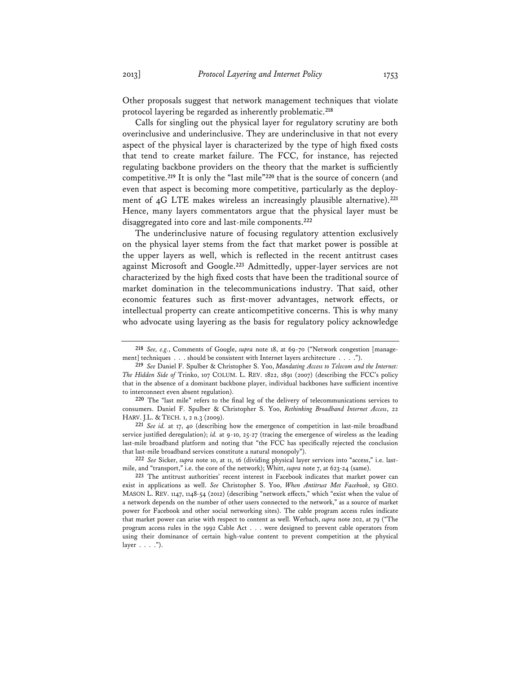Other proposals suggest that network management techniques that violate protocol layering be regarded as inherently problematic.**<sup>218</sup>**

Calls for singling out the physical layer for regulatory scrutiny are both overinclusive and underinclusive. They are underinclusive in that not every aspect of the physical layer is characterized by the type of high fixed costs that tend to create market failure. The FCC, for instance, has rejected regulating backbone providers on the theory that the market is sufficiently competitive.**<sup>219</sup>** It is only the "last mile"**<sup>220</sup>** that is the source of concern (and even that aspect is becoming more competitive, particularly as the deployment of 4G LTE makes wireless an increasingly plausible alternative).**<sup>221</sup>** Hence, many layers commentators argue that the physical layer must be disaggregated into core and last-mile components.**<sup>222</sup>**

The underinclusive nature of focusing regulatory attention exclusively on the physical layer stems from the fact that market power is possible at the upper layers as well, which is reflected in the recent antitrust cases against Microsoft and Google.**<sup>223</sup>** Admittedly, upper-layer services are not characterized by the high fixed costs that have been the traditional source of market domination in the telecommunications industry. That said, other economic features such as first-mover advantages, network effects, or intellectual property can create anticompetitive concerns. This is why many who advocate using layering as the basis for regulatory policy acknowledge

**221** *See id.* at 17, 40 (describing how the emergence of competition in last-mile broadband service justified deregulation); *id.* at 9-10, 25-27 (tracing the emergence of wireless as the leading last-mile broadband platform and noting that "the FCC has specifically rejected the conclusion that last-mile broadband services constitute a natural monopoly").

**222** *See* Sicker, *supra* note 10, at 11, 16 (dividing physical layer services into "access," i.e. lastmile, and "transport," i.e. the core of the network); Whitt, *supra* note 7, at 623-24 (same).

**223** The antitrust authorities' recent interest in Facebook indicates that market power can exist in applications as well. *See* Christopher S. Yoo, *When Antitrust Met Facebook*, 19 GEO. MASON L. REV. 1147, 1148-54 (2012) (describing "network effects," which "exist when the value of a network depends on the number of other users connected to the network," as a source of market power for Facebook and other social networking sites). The cable program access rules indicate that market power can arise with respect to content as well. Werbach, *supra* note 202, at 79 ("The program access rules in the 1992 Cable Act . . . were designed to prevent cable operators from using their dominance of certain high-value content to prevent competition at the physical layer  $\ldots$  .").

**<sup>218</sup>** *See, e.g.*, Comments of Google, *supra* note 18, at 69-70 ("Network congestion [management] techniques . . . should be consistent with Internet layers architecture . . . .").

**<sup>219</sup>** *See* Daniel F. Spulber & Christopher S. Yoo, *Mandating Access to Telecom and the Internet: The Hidden Side of* Trinko, 107 COLUM. L. REV. 1822, 1891 (2007) (describing the FCC's policy that in the absence of a dominant backbone player, individual backbones have sufficient incentive to interconnect even absent regulation).

**<sup>220</sup>** The "last mile" refers to the final leg of the delivery of telecommunications services to consumers. Daniel F. Spulber & Christopher S. Yoo, *Rethinking Broadband Internet Access*, 22 HARV. J.L. & TECH. 1, 2 n.3 (2009).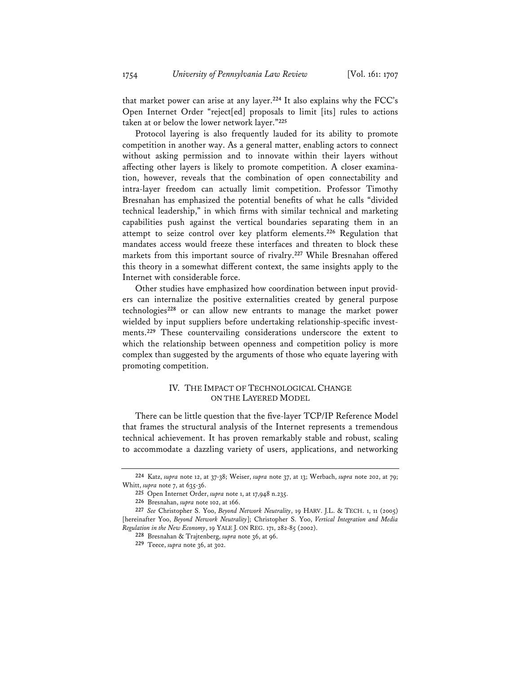that market power can arise at any layer.**<sup>224</sup>** It also explains why the FCC's Open Internet Order "reject[ed] proposals to limit [its] rules to actions taken at or below the lower network layer."**<sup>225</sup>**

Protocol layering is also frequently lauded for its ability to promote competition in another way. As a general matter, enabling actors to connect without asking permission and to innovate within their layers without affecting other layers is likely to promote competition. A closer examination, however, reveals that the combination of open connectability and intra-layer freedom can actually limit competition. Professor Timothy Bresnahan has emphasized the potential benefits of what he calls "divided technical leadership," in which firms with similar technical and marketing capabilities push against the vertical boundaries separating them in an attempt to seize control over key platform elements.**<sup>226</sup>** Regulation that mandates access would freeze these interfaces and threaten to block these markets from this important source of rivalry.**<sup>227</sup>** While Bresnahan offered this theory in a somewhat different context, the same insights apply to the Internet with considerable force.

Other studies have emphasized how coordination between input providers can internalize the positive externalities created by general purpose technologies**<sup>228</sup>** or can allow new entrants to manage the market power wielded by input suppliers before undertaking relationship-specific investments.**<sup>229</sup>** These countervailing considerations underscore the extent to which the relationship between openness and competition policy is more complex than suggested by the arguments of those who equate layering with promoting competition.

## IV. THE IMPACT OF TECHNOLOGICAL CHANGE ON THE LAYERED MODEL

There can be little question that the five-layer TCP/IP Reference Model that frames the structural analysis of the Internet represents a tremendous technical achievement. It has proven remarkably stable and robust, scaling to accommodate a dazzling variety of users, applications, and networking

**<sup>224</sup>** Katz, *supra* note 12, at 37-38; Weiser, *supra* note 37, at 13; Werbach, *supra* note 202, at 79; Whitt, *supra* note 7, at 635-36.

**<sup>225</sup>** Open Internet Order, *supra* note 1, at 17,948 n.235.

**<sup>226</sup>** Bresnahan, *supra* note 102, at 166.

**<sup>227</sup>** *See* Christopher S. Yoo, *Beyond Network Neutrality*, 19 HARV. J.L. & TECH. 1, 11 (2005) [hereinafter Yoo, *Beyond Network Neutrality*]; Christopher S. Yoo, *Vertical Integration and Media Regulation in the New Economy*, 19 YALE J. ON REG. 171, 282-85 (2002).

**<sup>228</sup>** Bresnahan & Trajtenberg, *supra* note 36, at 96.

**<sup>229</sup>** Teece, *supra* note 36, at 302.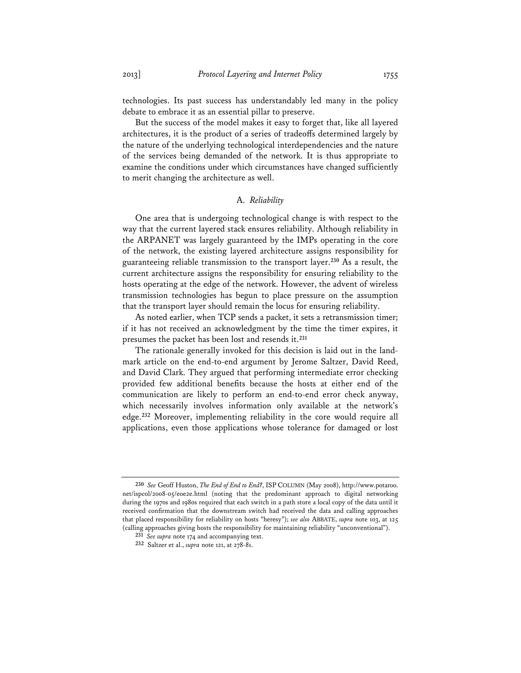technologies. Its past success has understandably led many in the policy debate to embrace it as an essential pillar to preserve.

But the success of the model makes it easy to forget that, like all layered architectures, it is the product of a series of tradeoffs determined largely by the nature of the underlying technological interdependencies and the nature of the services being demanded of the network. It is thus appropriate to examine the conditions under which circumstances have changed sufficiently to merit changing the architecture as well.

## A. *Reliability*

One area that is undergoing technological change is with respect to the way that the current layered stack ensures reliability. Although reliability in the ARPANET was largely guaranteed by the IMPs operating in the core of the network, the existing layered architecture assigns responsibility for guaranteeing reliable transmission to the transport layer.**<sup>230</sup>** As a result, the current architecture assigns the responsibility for ensuring reliability to the hosts operating at the edge of the network. However, the advent of wireless transmission technologies has begun to place pressure on the assumption that the transport layer should remain the locus for ensuring reliability.

As noted earlier, when TCP sends a packet, it sets a retransmission timer; if it has not received an acknowledgment by the time the timer expires, it presumes the packet has been lost and resends it.**<sup>231</sup>**

The rationale generally invoked for this decision is laid out in the landmark article on the end-to-end argument by Jerome Saltzer, David Reed, and David Clark. They argued that performing intermediate error checking provided few additional benefits because the hosts at either end of the communication are likely to perform an end-to-end error check anyway, which necessarily involves information only available at the network's edge.**<sup>232</sup>** Moreover, implementing reliability in the core would require all applications, even those applications whose tolerance for damaged or lost

**<sup>230</sup>** *See* Geoff Huston, *The End of End to End?*, ISP COLUMN (May 2008), http://www.potaroo. net/ispcol/2008-05/eoe2e.html (noting that the predominant approach to digital networking during the 1970s and 1980s required that each switch in a path store a local copy of the data until it received confirmation that the downstream switch had received the data and calling approaches that placed responsibility for reliability on hosts "heresy"); *see also* ABBATE, *supra* note 103, at 125 (calling approaches giving hosts the responsibility for maintaining reliability "unconventional").

**<sup>231</sup>** *See supra* note 174 and accompanying text.

**<sup>232</sup>** Saltzer et al., *supra* note 121, at 278-81.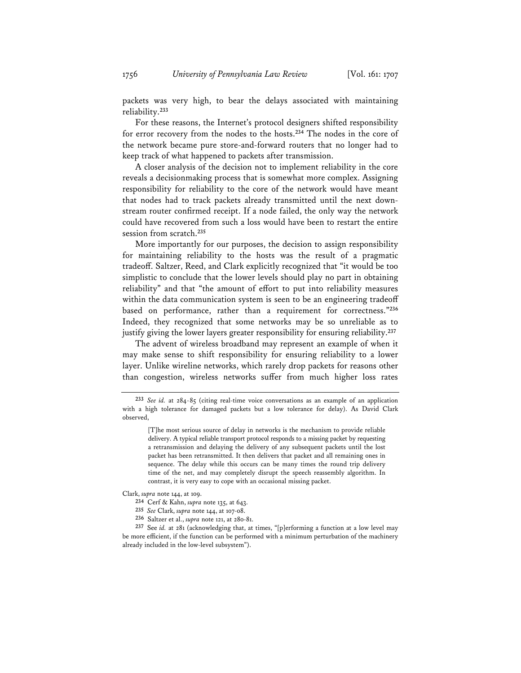1756 *University of Pennsylvania Law Review* [Vol. 161: 1707

packets was very high, to bear the delays associated with maintaining reliability.**<sup>233</sup>**

For these reasons, the Internet's protocol designers shifted responsibility for error recovery from the nodes to the hosts.**<sup>234</sup>** The nodes in the core of the network became pure store-and-forward routers that no longer had to keep track of what happened to packets after transmission.

A closer analysis of the decision not to implement reliability in the core reveals a decisionmaking process that is somewhat more complex. Assigning responsibility for reliability to the core of the network would have meant that nodes had to track packets already transmitted until the next downstream router confirmed receipt. If a node failed, the only way the network could have recovered from such a loss would have been to restart the entire session from scratch.**<sup>235</sup>**

More importantly for our purposes, the decision to assign responsibility for maintaining reliability to the hosts was the result of a pragmatic tradeoff. Saltzer, Reed, and Clark explicitly recognized that "it would be too simplistic to conclude that the lower levels should play no part in obtaining reliability" and that "the amount of effort to put into reliability measures within the data communication system is seen to be an engineering tradeoff based on performance, rather than a requirement for correctness."**<sup>236</sup>** Indeed, they recognized that some networks may be so unreliable as to justify giving the lower layers greater responsibility for ensuring reliability.**<sup>237</sup>**

The advent of wireless broadband may represent an example of when it may make sense to shift responsibility for ensuring reliability to a lower layer. Unlike wireline networks, which rarely drop packets for reasons other than congestion, wireless networks suffer from much higher loss rates

**<sup>233</sup>** *See id.* at 284-85 (citing real-time voice conversations as an example of an application with a high tolerance for damaged packets but a low tolerance for delay). As David Clark observed,

<sup>[</sup>T]he most serious source of delay in networks is the mechanism to provide reliable delivery. A typical reliable transport protocol responds to a missing packet by requesting a retransmission and delaying the delivery of any subsequent packets until the lost packet has been retransmitted. It then delivers that packet and all remaining ones in sequence. The delay while this occurs can be many times the round trip delivery time of the net, and may completely disrupt the speech reassembly algorithm. In contrast, it is very easy to cope with an occasional missing packet.

Clark, *supra* note 144, at 109.

**<sup>234</sup>** Cerf & Kahn, *supra* note 135, at 643.

**<sup>235</sup>** *See* Clark, *supra* note 144, at 107-08.

**<sup>236</sup>** Saltzer et al., *supra* note 121, at 280-81.

**<sup>237</sup>** See *id.* at 281 (acknowledging that, at times, "[p]erforming a function at a low level may be more efficient, if the function can be performed with a minimum perturbation of the machinery already included in the low-level subsystem").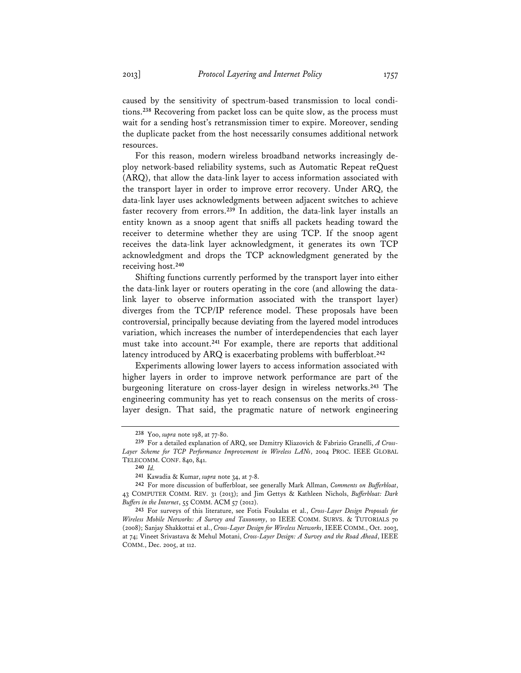caused by the sensitivity of spectrum-based transmission to local conditions.**<sup>238</sup>** Recovering from packet loss can be quite slow, as the process must wait for a sending host's retransmission timer to expire. Moreover, sending the duplicate packet from the host necessarily consumes additional network resources.

For this reason, modern wireless broadband networks increasingly deploy network-based reliability systems, such as Automatic Repeat reQuest (ARQ), that allow the data-link layer to access information associated with the transport layer in order to improve error recovery. Under ARQ, the data-link layer uses acknowledgments between adjacent switches to achieve faster recovery from errors.**<sup>239</sup>** In addition, the data-link layer installs an entity known as a snoop agent that sniffs all packets heading toward the receiver to determine whether they are using TCP. If the snoop agent receives the data-link layer acknowledgment, it generates its own TCP acknowledgment and drops the TCP acknowledgment generated by the receiving host.**<sup>240</sup>**

Shifting functions currently performed by the transport layer into either the data-link layer or routers operating in the core (and allowing the datalink layer to observe information associated with the transport layer) diverges from the TCP/IP reference model. These proposals have been controversial, principally because deviating from the layered model introduces variation, which increases the number of interdependencies that each layer must take into account.**<sup>241</sup>** For example, there are reports that additional latency introduced by ARQ is exacerbating problems with bufferbloat.**<sup>242</sup>**

Experiments allowing lower layers to access information associated with higher layers in order to improve network performance are part of the burgeoning literature on cross-layer design in wireless networks.**<sup>243</sup>** The engineering community has yet to reach consensus on the merits of crosslayer design. That said, the pragmatic nature of network engineering

**<sup>238</sup>** Yoo, *supra* note 198, at 77-80.

**<sup>239</sup>** For a detailed explanation of ARQ, see Dzmitry Kliazovich & Fabrizio Granelli, *A Cross-Layer Scheme for TCP Performance Improvement in Wireless LANs*, 2004 PROC. IEEE GLOBAL TELECOMM. CONF. 840, 841.

**<sup>240</sup>** *Id.* 

**<sup>241</sup>** Kawadia & Kumar, *supra* note 34, at 7-8.

**<sup>242</sup>** For more discussion of bufferbloat, see generally Mark Allman, *Comments on Bufferbloat*, 43 COMPUTER COMM. REV. 31 (2013); and Jim Gettys & Kathleen Nichols, *Bufferbloat: Dark Buffers in the Internet*, 55 COMM. ACM 57 (2012).

**<sup>243</sup>** For surveys of this literature, see Fotis Foukalas et al., *Cross-Layer Design Proposals for Wireless Mobile Networks: A Survey and Taxonomy*, 10 IEEE COMM. SURVS. & TUTORIALS 70 (2008); Sanjay Shakkottai et al., *Cross-Layer Design for Wireless Networks*, IEEE COMM., Oct. 2003, at 74; Vineet Srivastava & Mehul Motani, *Cross-Layer Design: A Survey and the Road Ahead*, IEEE COMM., Dec. 2005, at 112.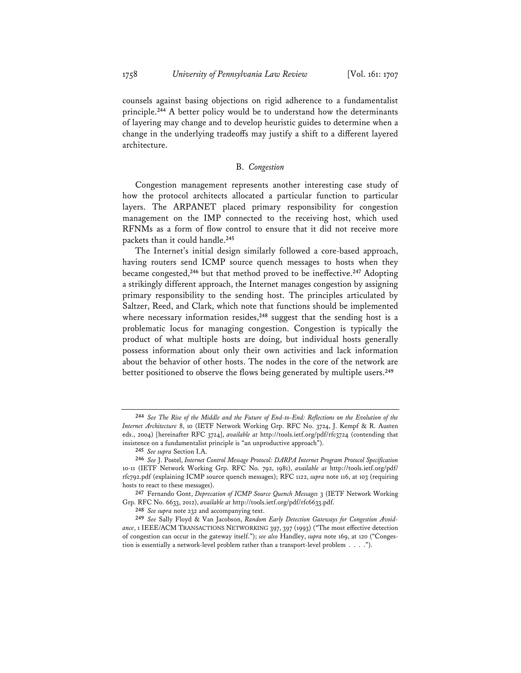counsels against basing objections on rigid adherence to a fundamentalist principle.**<sup>244</sup>** A better policy would be to understand how the determinants of layering may change and to develop heuristic guides to determine when a change in the underlying tradeoffs may justify a shift to a different layered architecture.

### B. *Congestion*

Congestion management represents another interesting case study of how the protocol architects allocated a particular function to particular layers. The ARPANET placed primary responsibility for congestion management on the IMP connected to the receiving host, which used RFNMs as a form of flow control to ensure that it did not receive more packets than it could handle.**<sup>245</sup>**

The Internet's initial design similarly followed a core-based approach, having routers send ICMP source quench messages to hosts when they became congested,**<sup>246</sup>** but that method proved to be ineffective.**<sup>247</sup>** Adopting a strikingly different approach, the Internet manages congestion by assigning primary responsibility to the sending host. The principles articulated by Saltzer, Reed, and Clark, which note that functions should be implemented where necessary information resides,<sup>248</sup> suggest that the sending host is a problematic locus for managing congestion. Congestion is typically the product of what multiple hosts are doing, but individual hosts generally possess information about only their own activities and lack information about the behavior of other hosts. The nodes in the core of the network are better positioned to observe the flows being generated by multiple users.**<sup>249</sup>**

**<sup>244</sup>** *See The Rise of the Middle and the Future of End-to-End: Reflections on the Evolution of the Internet Architecture* 8, 10 (IETF Network Working Grp. RFC No. 3724, J. Kempf & R. Austen eds., 2004) [hereinafter RFC 3724], *available at* http://tools.ietf.org/pdf/rfc3724 (contending that insistence on a fundamentalist principle is "an unproductive approach").

**<sup>245</sup>** *See supra* Section I.A.

**<sup>246</sup>** *See* J. Postel, *Internet Control Message Protocol: DARPA Internet Program Protocol Specification* 10-11 (IETF Network Working Grp. RFC No. 792, 1981), *available at* http://tools.ietf.org/pdf/ rfc792.pdf (explaining ICMP source quench messages); RFC 1122, *supra* note 116, at 103 (requiring hosts to react to these messages).

**<sup>247</sup>** Fernando Gont, *Deprecation of ICMP Source Quench Messages* 3 (IETF Network Working Grp. RFC No. 6633, 2012), *available at* http://tools.ietf.org/pdf/rfc6633.pdf.

**<sup>248</sup>** *See supra* note 232 and accompanying text.

**<sup>249</sup>** *See* Sally Floyd & Van Jacobson, *Random Early Detection Gateways for Congestion Avoidance*, 1 IEEE/ACM TRANSACTIONS NETWORKING 397, 397 (1993) ("The most effective detection of congestion can occur in the gateway itself."); *see also* Handley, *supra* note 169, at 120 ("Congestion is essentially a network-level problem rather than a transport-level problem . . . .").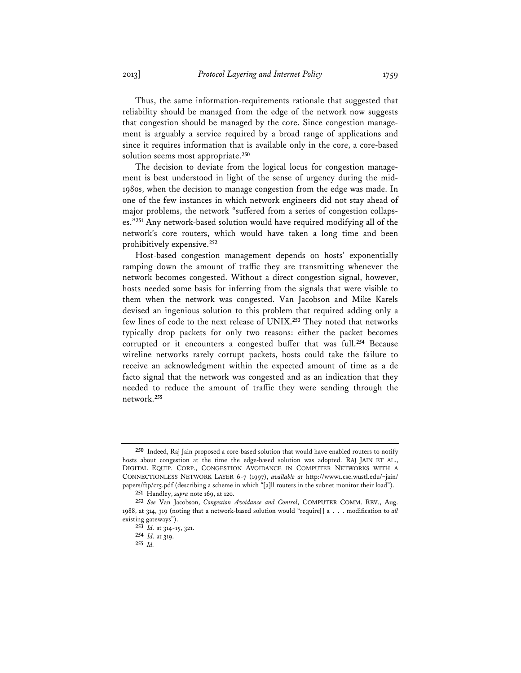Thus, the same information-requirements rationale that suggested that reliability should be managed from the edge of the network now suggests that congestion should be managed by the core. Since congestion management is arguably a service required by a broad range of applications and since it requires information that is available only in the core, a core-based solution seems most appropriate.**<sup>250</sup>**

The decision to deviate from the logical locus for congestion management is best understood in light of the sense of urgency during the mid-1980s, when the decision to manage congestion from the edge was made. In one of the few instances in which network engineers did not stay ahead of major problems, the network "suffered from a series of congestion collapses."**<sup>251</sup>** Any network-based solution would have required modifying all of the network's core routers, which would have taken a long time and been prohibitively expensive.**<sup>252</sup>**

Host-based congestion management depends on hosts' exponentially ramping down the amount of traffic they are transmitting whenever the network becomes congested. Without a direct congestion signal, however, hosts needed some basis for inferring from the signals that were visible to them when the network was congested. Van Jacobson and Mike Karels devised an ingenious solution to this problem that required adding only a few lines of code to the next release of UNIX.**<sup>253</sup>** They noted that networks typically drop packets for only two reasons: either the packet becomes corrupted or it encounters a congested buffer that was full.**<sup>254</sup>** Because wireline networks rarely corrupt packets, hosts could take the failure to receive an acknowledgment within the expected amount of time as a de facto signal that the network was congested and as an indication that they needed to reduce the amount of traffic they were sending through the network.**<sup>255</sup>**

**<sup>250</sup>** Indeed, Raj Jain proposed a core-based solution that would have enabled routers to notify hosts about congestion at the time the edge-based solution was adopted. RAJ JAIN ET AL., DIGITAL EQUIP. CORP., CONGESTION AVOIDANCE IN COMPUTER NETWORKS WITH A CONNECTIONLESS NETWORK LAYER 6-7 (1997), *available at* http://www1.cse.wustl.edu/~jain/ papers/ftp/cr5.pdf (describing a scheme in which "[a]ll routers in the subnet monitor their load").

**<sup>251</sup>** Handley, *supra* note 169, at 120.

**<sup>252</sup>** *See* Van Jacobson, *Congestion Avoidance and Control*, COMPUTER COMM. REV., Aug. 1988, at 314, 319 (noting that a network-based solution would "require[] a . . . modification to *all* existing gateways").

**<sup>253</sup>** *Id.* at 314-15, 321.

**<sup>254</sup>** *Id.* at 319.

**<sup>255</sup>** *Id.*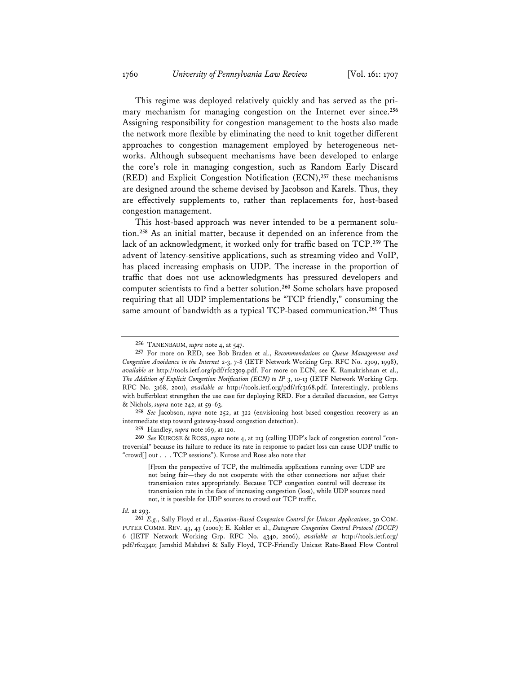This regime was deployed relatively quickly and has served as the primary mechanism for managing congestion on the Internet ever since.**<sup>256</sup>** Assigning responsibility for congestion management to the hosts also made the network more flexible by eliminating the need to knit together different approaches to congestion management employed by heterogeneous networks. Although subsequent mechanisms have been developed to enlarge the core's role in managing congestion, such as Random Early Discard (RED) and Explicit Congestion Notification (ECN),**<sup>257</sup>** these mechanisms are designed around the scheme devised by Jacobson and Karels. Thus, they are effectively supplements to, rather than replacements for, host-based congestion management.

This host-based approach was never intended to be a permanent solution.**<sup>258</sup>** As an initial matter, because it depended on an inference from the lack of an acknowledgment, it worked only for traffic based on TCP.**<sup>259</sup>** The advent of latency-sensitive applications, such as streaming video and VoIP, has placed increasing emphasis on UDP. The increase in the proportion of traffic that does not use acknowledgments has pressured developers and computer scientists to find a better solution.**<sup>260</sup>** Some scholars have proposed requiring that all UDP implementations be "TCP friendly," consuming the same amount of bandwidth as a typical TCP-based communication.**<sup>261</sup>** Thus

**259** Handley, *supra* note 169, at 120.

**260** *See* KUROSE & ROSS, *supra* note 4, at 213 (calling UDP's lack of congestion control "controversial" because its failure to reduce its rate in response to packet loss can cause UDP traffic to "crowd[] out . . . TCP sessions"). Kurose and Rose also note that

[f]rom the perspective of TCP, the multimedia applications running over UDP are not being fair—they do not cooperate with the other connections nor adjust their transmission rates appropriately. Because TCP congestion control will decrease its transmission rate in the face of increasing congestion (loss), while UDP sources need not, it is possible for UDP sources to crowd out TCP traffic.

#### *Id.* at 293.

**261** *E.g.*, Sally Floyd et al., *Equation-Based Congestion Control for Unicast Applications*, 30 COM-PUTER COMM. REV. 43, 43 (2000); E. Kohler et al., *Datagram Congestion Control Protocol (DCCP)* 6 (IETF Network Working Grp. RFC No. 4340, 2006), *available at* http://tools.ietf.org/ pdf/rfc4340; Jamshid Mahdavi & Sally Floyd, TCP-Friendly Unicast Rate-Based Flow Control

**<sup>256</sup>** TANENBAUM, *supra* note 4, at 547.

**<sup>257</sup>** For more on RED, see Bob Braden et al., *Recommendations on Queue Management and Congestion Avoidance in the Internet* 2-3, 7-8 (IETF Network Working Grp. RFC No. 2309, 1998), *available at* http://tools.ietf.org/pdf/rfc2309.pdf. For more on ECN, see K. Ramakrishnan et al., *The Addition of Explicit Congestion Notification (ECN) to IP* 3, 10-13 (IETF Network Working Grp. RFC No. 3168, 2001), *available at* http://tools.ietf.org/pdf/rfc3168.pdf. Interestingly, problems with bufferbloat strengthen the use case for deploying RED. For a detailed discussion, see Gettys & Nichols, *supra* note 242, at 59-63.

**<sup>258</sup>** *See* Jacobson, *supra* note 252, at 322 (envisioning host-based congestion recovery as an intermediate step toward gateway-based congestion detection).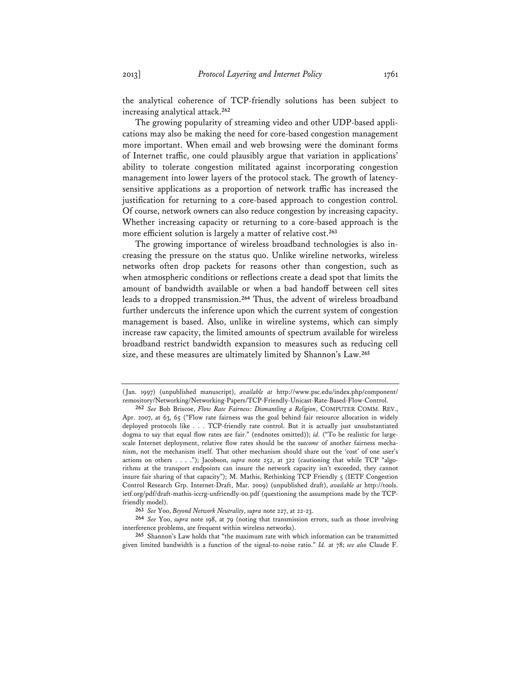the analytical coherence of TCP-friendly solutions has been subject to increasing analytical attack.**<sup>262</sup>**

The growing popularity of streaming video and other UDP-based applications may also be making the need for core-based congestion management more important. When email and web browsing were the dominant forms of Internet traffic, one could plausibly argue that variation in applications' ability to tolerate congestion militated against incorporating congestion management into lower layers of the protocol stack. The growth of latencysensitive applications as a proportion of network traffic has increased the justification for returning to a core-based approach to congestion control. Of course, network owners can also reduce congestion by increasing capacity. Whether increasing capacity or returning to a core-based approach is the more efficient solution is largely a matter of relative cost.**<sup>263</sup>**

The growing importance of wireless broadband technologies is also increasing the pressure on the status quo. Unlike wireline networks, wireless networks often drop packets for reasons other than congestion, such as when atmospheric conditions or reflections create a dead spot that limits the amount of bandwidth available or when a bad handoff between cell sites leads to a dropped transmission.**<sup>264</sup>** Thus, the advent of wireless broadband further undercuts the inference upon which the current system of congestion management is based. Also, unlike in wireline systems, which can simply increase raw capacity, the limited amounts of spectrum available for wireless broadband restrict bandwidth expansion to measures such as reducing cell size, and these measures are ultimately limited by Shannon's Law.**<sup>265</sup>**

<sup>(</sup>Jan. 1997) (unpublished manuscript), *available at* http://www.psc.edu/index.php/component/ remository/Networking/Networking-Papers/TCP-Friendly-Unicast-Rate-Based-Flow-Control.

**<sup>262</sup>** *See* Bob Briscoe, *Flow Rate Fairness: Dismantling a Religion*, COMPUTER COMM. REV., Apr. 2007, at 63, 65 ("Flow rate fairness was the goal behind fair resource allocation in widely deployed protocols like . . . TCP-friendly rate control. But it is actually just unsubstantiated dogma to say that equal flow rates are fair." (endnotes omitted)); *id.* ("To be realistic for largescale Internet deployment, relative flow rates should be the *outcome* of another fairness mechanism, not the mechanism itself. That other mechanism should share out the 'cost' of one user's actions on others . . . ."); Jacobson, *supra* note 252, at 322 (cautioning that while TCP "algorithms at the transport endpoints can insure the network capacity isn't exceeded, they cannot insure fair sharing of that capacity"); M. Mathis, Rethinking TCP Friendly 5 (IETF Congestion Control Research Grp. Internet-Draft, Mar. 2009) (unpublished draft), *available at* http://tools. ietf.org/pdf/draft-mathis-iccrg-unfriendly-00.pdf (questioning the assumptions made by the TCPfriendly model).

**<sup>263</sup>** *See* Yoo, *Beyond Network Neutrality*, *supra* note 227, at 22-23.

**<sup>264</sup>** *See* Yoo, *supra* note 198, at 79 (noting that transmission errors, such as those involving interference problems, are frequent within wireless networks).

**<sup>265</sup>** Shannon's Law holds that "the maximum rate with which information can be transmitted given limited bandwidth is a function of the signal-to-noise ratio." *Id.* at 78; *see also* Claude F.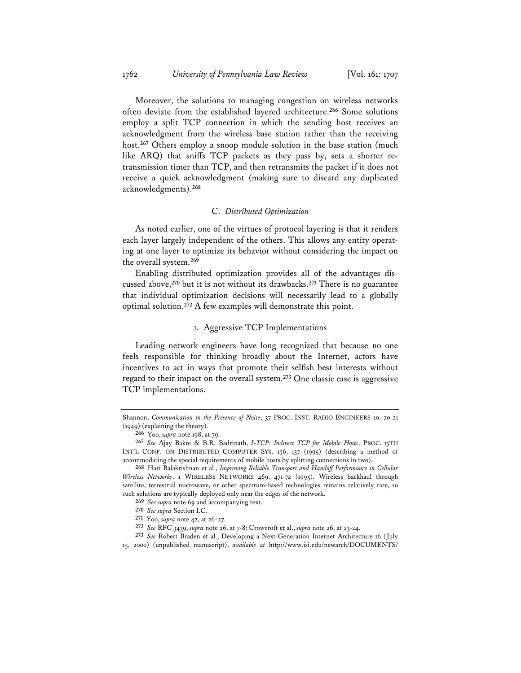Moreover, the solutions to managing congestion on wireless networks often deviate from the established layered architecture.**<sup>266</sup>** Some solutions employ a split TCP connection in which the sending host receives an acknowledgment from the wireless base station rather than the receiving host.**<sup>267</sup>** Others employ a snoop module solution in the base station (much like ARQ) that sniffs TCP packets as they pass by, sets a shorter retransmission timer than TCP, and then retransmits the packet if it does not receive a quick acknowledgment (making sure to discard any duplicated acknowledgments).**<sup>268</sup>**

#### C. *Distributed Optimization*

As noted earlier, one of the virtues of protocol layering is that it renders each layer largely independent of the others. This allows any entity operating at one layer to optimize its behavior without considering the impact on the overall system.**<sup>269</sup>**

Enabling distributed optimization provides all of the advantages discussed above,**<sup>270</sup>** but it is not without its drawbacks.**<sup>271</sup>** There is no guarantee that individual optimization decisions will necessarily lead to a globally optimal solution.**<sup>272</sup>** A few examples will demonstrate this point.

## 1. Aggressive TCP Implementations

Leading network engineers have long recognized that because no one feels responsible for thinking broadly about the Internet, actors have incentives to act in ways that promote their selfish best interests without regard to their impact on the overall system.**<sup>273</sup>** One classic case is aggressive TCP implementations.

Shannon, *Communication in the Presence of Noise*, 37 PROC. INST. RADIO ENGINEERS 10, 20-21 (1949) (explaining the theory).

**<sup>266</sup>** Yoo, *supra* note 198, at 79.

**<sup>267</sup>** *See* Ajay Bakre & B.R. Badrinath, *I-TCP: Indirect TCP for Mobile Hosts*, PROC. 15TH INT'L CONF. ON DISTRIBUTED COMPUTER SYS. 136, 137 (1995) (describing a method of accommodating the special requirements of mobile hosts by splitting connections in two).

**<sup>268</sup>** Hari Balakrishnan et al., *Improving Reliable Transport and Handoff Performance in Cellular Wireless Networks*, 1 WIRELESS NETWORKS 469, 471-72 (1995). Wireless backhaul through satellite, terrestrial microwave, or other spectrum-based technologies remains relatively rare, so such solutions are typically deployed only near the edges of the network.

**<sup>269</sup>** *See supra* note 69 and accompanying text.

**<sup>270</sup>** *See supra* Section I.C.

**<sup>271</sup>** Yoo, *supra* note 42, at 26-27.

**<sup>272</sup>** *See* RFC 3439, *supra* note 26, at 7-8; Crowcroft et al., *supra* note 26, at 23-24.

**<sup>273</sup>** *See* Robert Braden et al., Developing a Next-Generation Internet Architecture 16 (July 15, 2000) (unpublished manuscript), *available at* http://www.isi.edu/newarch/DOCUMENTS/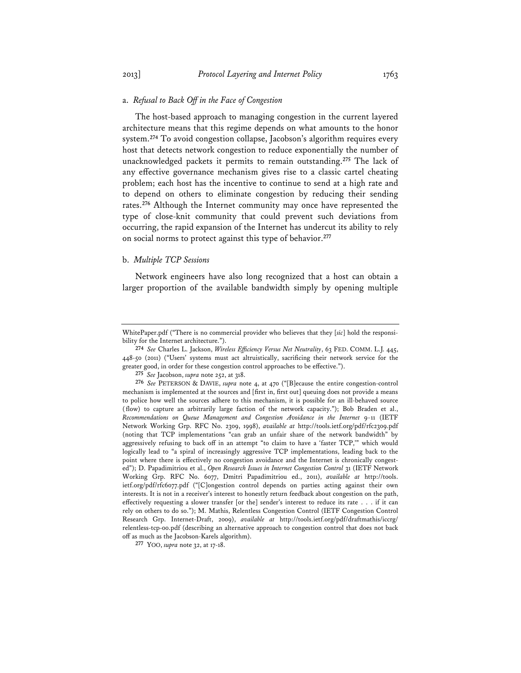The host-based approach to managing congestion in the current layered architecture means that this regime depends on what amounts to the honor system.**<sup>274</sup>** To avoid congestion collapse, Jacobson's algorithm requires every host that detects network congestion to reduce exponentially the number of unacknowledged packets it permits to remain outstanding.**<sup>275</sup>** The lack of any effective governance mechanism gives rise to a classic cartel cheating problem; each host has the incentive to continue to send at a high rate and to depend on others to eliminate congestion by reducing their sending rates.**<sup>276</sup>** Although the Internet community may once have represented the type of close-knit community that could prevent such deviations from occurring, the rapid expansion of the Internet has undercut its ability to rely on social norms to protect against this type of behavior.**<sup>277</sup>**

#### b. *Multiple TCP Sessions*

Network engineers have also long recognized that a host can obtain a larger proportion of the available bandwidth simply by opening multiple

WhitePaper.pdf ("There is no commercial provider who believes that they [*sic*] hold the responsibility for the Internet architecture.").

**<sup>274</sup>** *See* Charles L. Jackson, *Wireless Efficiency Versus Net Neutrality*, 63 FED. COMM. L.J. 445, 448-50 (2011) ("Users' systems must act altruistically, sacrificing their network service for the greater good, in order for these congestion control approaches to be effective.").

**<sup>275</sup>** *See* Jacobson, *supra* note 252, at 318.

**<sup>276</sup>** *See* PETERSON & DAVIE, *supra* note 4, at 470 ("[B]ecause the entire congestion-control mechanism is implemented at the sources and [first in, first out] queuing does not provide a means to police how well the sources adhere to this mechanism, it is possible for an ill-behaved source (flow) to capture an arbitrarily large faction of the network capacity."); Bob Braden et al., *Recommendations on Queue Management and Congestion Avoidance in the Internet* 9-11 (IETF Network Working Grp. RFC No. 2309, 1998), *available at* http://tools.ietf.org/pdf/rfc2309.pdf (noting that TCP implementations "can grab an unfair share of the network bandwidth" by aggressively refusing to back off in an attempt "to claim to have a 'faster TCP,'" which would logically lead to "a spiral of increasingly aggressive TCP implementations, leading back to the point where there is effectively no congestion avoidance and the Internet is chronically congested"); D. Papadimitriou et al., *Open Research Issues in Internet Congestion Control* 31 (IETF Network Working Grp. RFC No. 6077, Dmitri Papadimitriou ed., 2011), *available at* http://tools. ietf.org/pdf/rfc6077.pdf ("[C]ongestion control depends on parties acting against their own interests. It is not in a receiver's interest to honestly return feedback about congestion on the path, effectively requesting a slower transfer [or the] sender's interest to reduce its rate . . . if it can rely on others to do so."); M. Mathis, Relentless Congestion Control (IETF Congestion Control Research Grp. Internet-Draft, 2009), *available at* http://tools.ietf.org/pdf/draftmathis/iccrg/ relentless-tcp-00.pdf (describing an alternative approach to congestion control that does not back off as much as the Jacobson-Karels algorithm).

**<sup>277</sup>** YOO, *supra* note 32, at 17-18.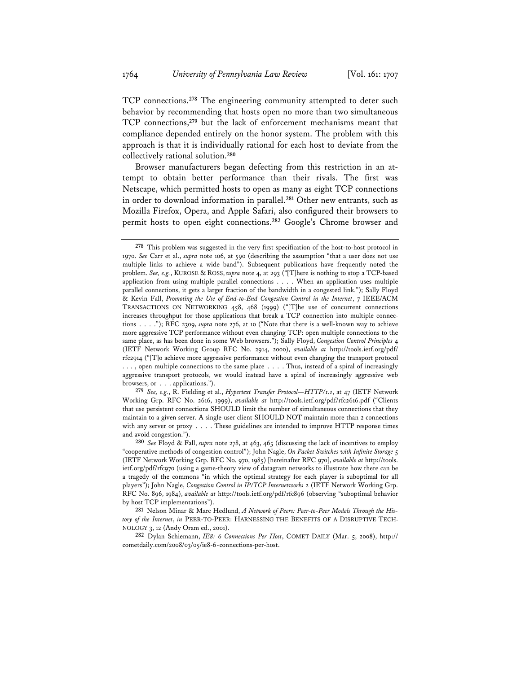TCP connections.**<sup>278</sup>** The engineering community attempted to deter such behavior by recommending that hosts open no more than two simultaneous TCP connections,**<sup>279</sup>** but the lack of enforcement mechanisms meant that compliance depended entirely on the honor system. The problem with this approach is that it is individually rational for each host to deviate from the collectively rational solution.**<sup>280</sup>**

Browser manufacturers began defecting from this restriction in an attempt to obtain better performance than their rivals. The first was Netscape, which permitted hosts to open as many as eight TCP connections in order to download information in parallel.**<sup>281</sup>** Other new entrants, such as Mozilla Firefox, Opera, and Apple Safari, also configured their browsers to permit hosts to open eight connections.**<sup>282</sup>** Google's Chrome browser and

**279** *See, e.g.*, R. Fielding et al., *Hypertext Transfer Protocol—HTTP/1.1*, at 47 (IETF Network Working Grp. RFC No. 2616, 1999), *available at* http://tools.ietf.org/pdf/rfc2616.pdf ("Clients that use persistent connections SHOULD limit the number of simultaneous connections that they maintain to a given server. A single-user client SHOULD NOT maintain more than 2 connections with any server or proxy . . . . These guidelines are intended to improve HTTP response times and avoid congestion.").

**281** Nelson Minar & Marc Hedlund, *A Network of Peers: Peer-to-Peer Models Through the History of the Internet*, *in* PEER-TO-PEER: HARNESSING THE BENEFITS OF A DISRUPTIVE TECH-NOLOGY 3, 12 (Andy Oram ed., 2001).

**282** Dylan Schiemann, *IE8: 6 Connections Per Host*, COMET DAILY (Mar. 5, 2008), http:// cometdaily.com/2008/03/05/ie8-6-connections-per-host.

**<sup>278</sup>** This problem was suggested in the very first specification of the host-to-host protocol in 1970. *See* Carr et al., *supra* note 106, at 590 (describing the assumption "that a user does not use multiple links to achieve a wide band"). Subsequent publications have frequently noted the problem. *See, e.g.*, KUROSE & ROSS, *supra* note 4, at 293 ("[T]here is nothing to stop a TCP-based application from using multiple parallel connections . . . . When an application uses multiple parallel connections, it gets a larger fraction of the bandwidth in a congested link."); Sally Floyd & Kevin Fall, *Promoting the Use of End-to-End Congestion Control in the Internet*, 7 IEEE/ACM TRANSACTIONS ON NETWORKING 458, 468 (1999) ("[T]he use of concurrent connections increases throughput for those applications that break a TCP connection into multiple connections . . . ."); RFC 2309, *supra* note 276, at 10 ("Note that there is a well-known way to achieve more aggressive TCP performance without even changing TCP: open multiple connections to the same place, as has been done in some Web browsers."); Sally Floyd, *Congestion Control Principles* 4 (IETF Network Working Group RFC No. 2914, 2000), *available at* http://tools.ietf.org/pdf/ rfc2914 ("[T]o achieve more aggressive performance without even changing the transport protocol . . . , open multiple connections to the same place . . . . Thus, instead of a spiral of increasingly aggressive transport protocols, we would instead have a spiral of increasingly aggressive web browsers, or . . . applications.").

**<sup>280</sup>** *See* Floyd & Fall, *supra* note 278, at 463, 465 (discussing the lack of incentives to employ "cooperative methods of congestion control"); John Nagle, *On Packet Switches with Infinite Storage* 5 (IETF Network Working Grp. RFC No. 970, 1985) [hereinafter RFC 970], *available at* http://tools. ietf.org/pdf/rfc970 (using a game-theory view of datagram networks to illustrate how there can be a tragedy of the commons "in which the optimal strategy for each player is suboptimal for all players"); John Nagle, *Congestion Control in IP/TCP Internetworks* 2 (IETF Network Working Grp. RFC No. 896, 1984), *available at* http://tools.ietf.org/pdf/rfc896 (observing "suboptimal behavior by host TCP implementations").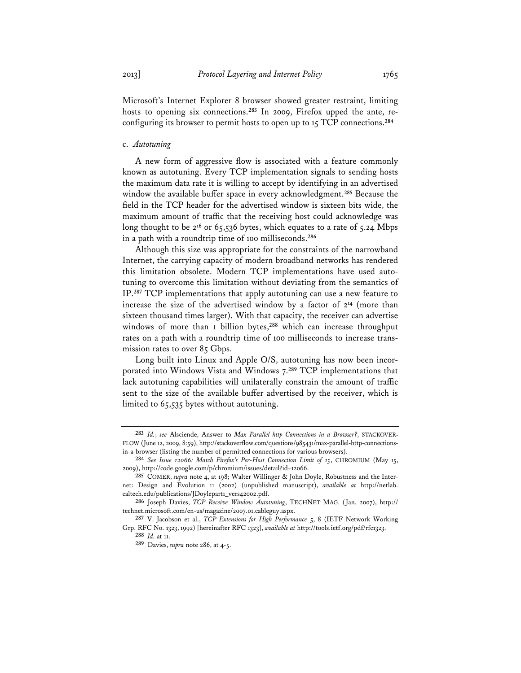Microsoft's Internet Explorer 8 browser showed greater restraint, limiting hosts to opening six connections.**283** In 2009, Firefox upped the ante, reconfiguring its browser to permit hosts to open up to 15 TCP connections.**<sup>284</sup>**

#### c. *Autotuning*

A new form of aggressive flow is associated with a feature commonly known as autotuning. Every TCP implementation signals to sending hosts the maximum data rate it is willing to accept by identifying in an advertised window the available buffer space in every acknowledgment.**<sup>285</sup>** Because the field in the TCP header for the advertised window is sixteen bits wide, the maximum amount of traffic that the receiving host could acknowledge was long thought to be 2<sup>16</sup> or 65,536 bytes, which equates to a rate of 5.24 Mbps in a path with a roundtrip time of 100 milliseconds.**<sup>286</sup>**

Although this size was appropriate for the constraints of the narrowband Internet, the carrying capacity of modern broadband networks has rendered this limitation obsolete. Modern TCP implementations have used autotuning to overcome this limitation without deviating from the semantics of IP.**<sup>287</sup>** TCP implementations that apply autotuning can use a new feature to increase the size of the advertised window by a factor of 2**<sup>14</sup>** (more than sixteen thousand times larger). With that capacity, the receiver can advertise windows of more than 1 billion bytes,<sup>288</sup> which can increase throughput rates on a path with a roundtrip time of 100 milliseconds to increase transmission rates to over 85 Gbps.

Long built into Linux and Apple O/S, autotuning has now been incorporated into Windows Vista and Windows 7.**<sup>289</sup>** TCP implementations that lack autotuning capabilities will unilaterally constrain the amount of traffic sent to the size of the available buffer advertised by the receiver, which is limited to 65,535 bytes without autotuning.

**<sup>283</sup>** *Id.*; *see* Alsciende, Answer to *Max Parallel http Connections in a Browser?*, STACKOVER-FLOW (June 12, 2009, 8:59), http://stackoverflow.com/questions/985431/max-parallel-http-connectionsin-a-browser (listing the number of permitted connections for various browsers).

**<sup>284</sup>** *See Issue 12066: Match Firefox's Per-Host Connection Limit of 15*, CHROMIUM (May 15, 2009), http://code.google.com/p/chromium/issues/detail?id=12066.

**<sup>285</sup>** COMER, *supra* note 4, at 198; Walter Willinger & John Doyle, Robustness and the Internet: Design and Evolution 11 (2002) (unpublished manuscript), *available at* http://netlab. caltech.edu/publications/JDoylepart1\_vers42002.pdf.

**<sup>286</sup>** Joseph Davies, *TCP Receive Window Autotuning*, TECHNET MAG. (Jan. 2007), http:// technet.microsoft.com/en-us/magazine/2007.01.cableguy.aspx.

**<sup>287</sup>** V. Jacobson et al., *TCP Extensions for High Performance* 5, 8 (IETF Network Working Grp. RFC No. 1323, 1992) [hereinafter RFC 1323], *available at* http://tools.ietf.org/pdf/rfc1323.

**<sup>288</sup>** *Id.* at 11.

**<sup>289</sup>** Davies, *supra* note 286, at 4-5.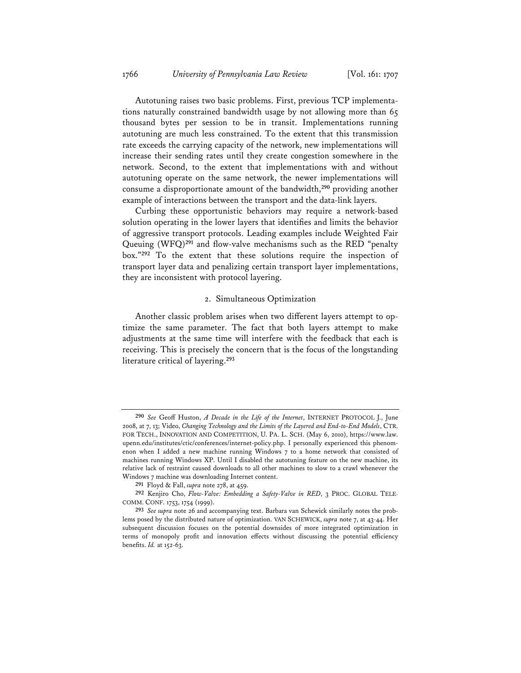Autotuning raises two basic problems. First, previous TCP implementations naturally constrained bandwidth usage by not allowing more than 65 thousand bytes per session to be in transit. Implementations running autotuning are much less constrained. To the extent that this transmission rate exceeds the carrying capacity of the network, new implementations will increase their sending rates until they create congestion somewhere in the network. Second, to the extent that implementations with and without autotuning operate on the same network, the newer implementations will consume a disproportionate amount of the bandwidth,**<sup>290</sup>** providing another example of interactions between the transport and the data-link layers.

Curbing these opportunistic behaviors may require a network-based solution operating in the lower layers that identifies and limits the behavior of aggressive transport protocols. Leading examples include Weighted Fair Queuing (WFQ)**<sup>291</sup>** and flow-valve mechanisms such as the RED "penalty box."**<sup>292</sup>** To the extent that these solutions require the inspection of transport layer data and penalizing certain transport layer implementations, they are inconsistent with protocol layering.

#### 2. Simultaneous Optimization

Another classic problem arises when two different layers attempt to optimize the same parameter. The fact that both layers attempt to make adjustments at the same time will interfere with the feedback that each is receiving. This is precisely the concern that is the focus of the longstanding literature critical of layering.**<sup>293</sup>**

**<sup>290</sup>** *See* Geoff Huston, *A Decade in the Life of the Internet*, INTERNET PROTOCOL J., June 2008, at 7, 13; Video, *Changing Technology and the Limits of the Layered and End-to-End Models*, CTR. FOR TECH., INNOVATION AND COMPETITION, U. PA. L. SCH. (May 6, 2010), https://www.law. upenn.edu/institutes/ctic/conferences/internet-policy.php. I personally experienced this phenomenon when I added a new machine running Windows 7 to a home network that consisted of machines running Windows XP. Until I disabled the autotuning feature on the new machine, its relative lack of restraint caused downloads to all other machines to slow to a crawl whenever the Windows 7 machine was downloading Internet content.

**<sup>291</sup>** Floyd & Fall, *supra* note 278, at 459.

**<sup>292</sup>** Kenjiro Cho, *Flow-Valve: Embedding a Safety-Valve in RED*, 3 PROC. GLOBAL TELE-COMM. CONF. 1753, 1754 (1999).

**<sup>293</sup>** *See supra* note 26 and accompanying text. Barbara van Schewick similarly notes the problems posed by the distributed nature of optimization. VAN SCHEWICK, *supra* note 7, at 43-44. Her subsequent discussion focuses on the potential downsides of more integrated optimization in terms of monopoly profit and innovation effects without discussing the potential efficiency benefits. *Id.* at 152-63.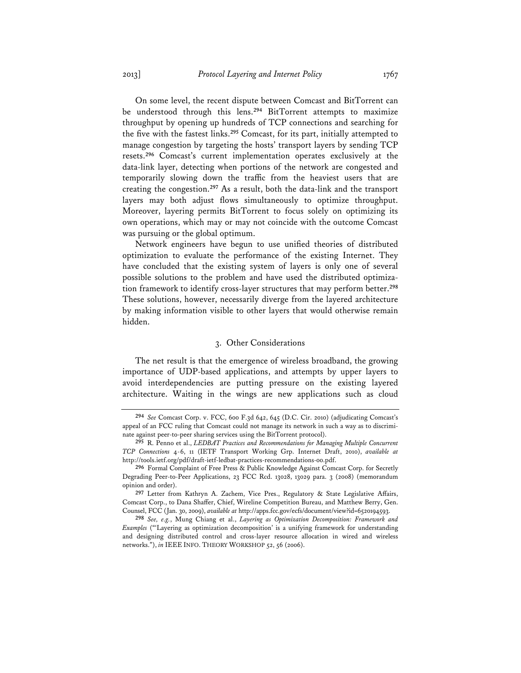On some level, the recent dispute between Comcast and BitTorrent can be understood through this lens.**<sup>294</sup>** BitTorrent attempts to maximize throughput by opening up hundreds of TCP connections and searching for the five with the fastest links.**<sup>295</sup>** Comcast, for its part, initially attempted to manage congestion by targeting the hosts' transport layers by sending TCP resets.**<sup>296</sup>** Comcast's current implementation operates exclusively at the data-link layer, detecting when portions of the network are congested and temporarily slowing down the traffic from the heaviest users that are creating the congestion.**<sup>297</sup>** As a result, both the data-link and the transport layers may both adjust flows simultaneously to optimize throughput. Moreover, layering permits BitTorrent to focus solely on optimizing its own operations, which may or may not coincide with the outcome Comcast was pursuing or the global optimum.

Network engineers have begun to use unified theories of distributed optimization to evaluate the performance of the existing Internet. They have concluded that the existing system of layers is only one of several possible solutions to the problem and have used the distributed optimization framework to identify cross-layer structures that may perform better.**<sup>298</sup>** These solutions, however, necessarily diverge from the layered architecture by making information visible to other layers that would otherwise remain hidden.

### 3. Other Considerations

The net result is that the emergence of wireless broadband, the growing importance of UDP-based applications, and attempts by upper layers to avoid interdependencies are putting pressure on the existing layered architecture. Waiting in the wings are new applications such as cloud

**<sup>294</sup>** *See* Comcast Corp. v. FCC, 600 F.3d 642, 645 (D.C. Cir. 2010) (adjudicating Comcast's appeal of an FCC ruling that Comcast could not manage its network in such a way as to discriminate against peer-to-peer sharing services using the BitTorrent protocol).

**<sup>295</sup>** R. Penno et al., *LEDBAT Practices and Recommendations for Managing Multiple Concurrent TCP Connections* 4-6, 11 (IETF Transport Working Grp. Internet Draft, 2010), *available at*  http://tools.ietf.org/pdf/draft-ietf-ledbat-practices-recommendations-00.pdf.

**<sup>296</sup>** Formal Complaint of Free Press & Public Knowledge Against Comcast Corp. for Secretly Degrading Peer-to-Peer Applications, 23 FCC Rcd. 13028, 13029 para. 3 (2008) (memorandum opinion and order).

**<sup>297</sup>** Letter from Kathryn A. Zachem, Vice Pres., Regulatory & State Legislative Affairs, Comcast Corp., to Dana Shaffer, Chief, Wireline Competition Bureau, and Matthew Berry, Gen. Counsel, FCC (Jan. 30, 2009), *available at* http://apps.fcc.gov/ecfs/document/view?id=6520194593.

**<sup>298</sup>** *See, e.g.*, Mung Chiang et al., *Layering as Optimization Decomposition: Framework and Examples* ("'Layering as optimization decomposition' is a unifying framework for understanding and designing distributed control and cross-layer resource allocation in wired and wireless networks."), *in* IEEE INFO. THEORY WORKSHOP 52, 56 (2006).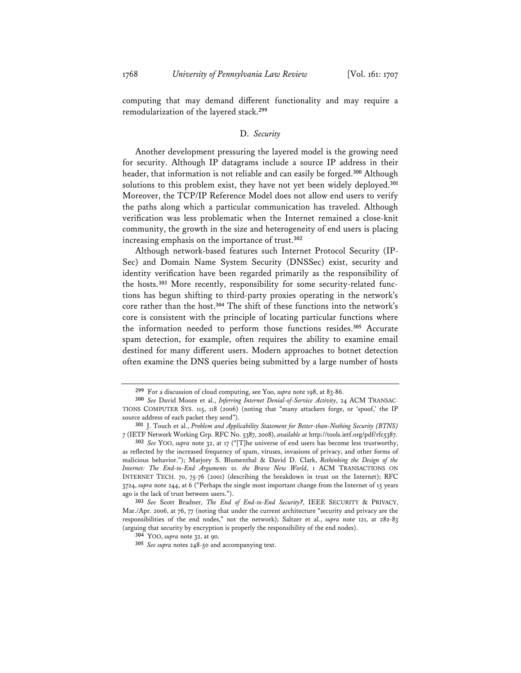computing that may demand different functionality and may require a remodularization of the layered stack.**<sup>299</sup>**

### D. *Security*

Another development pressuring the layered model is the growing need for security. Although IP datagrams include a source IP address in their header, that information is not reliable and can easily be forged.**<sup>300</sup>** Although solutions to this problem exist, they have not yet been widely deployed.**<sup>301</sup>** Moreover, the TCP/IP Reference Model does not allow end users to verify the paths along which a particular communication has traveled. Although verification was less problematic when the Internet remained a close-knit community, the growth in the size and heterogeneity of end users is placing increasing emphasis on the importance of trust.**<sup>302</sup>**

Although network-based features such Internet Protocol Security (IP-Sec) and Domain Name System Security (DNSSec) exist, security and identity verification have been regarded primarily as the responsibility of the hosts.**303** More recently, responsibility for some security-related functions has begun shifting to third-party proxies operating in the network's core rather than the host.**<sup>304</sup>** The shift of these functions into the network's core is consistent with the principle of locating particular functions where the information needed to perform those functions resides.**<sup>305</sup>** Accurate spam detection, for example, often requires the ability to examine email destined for many different users. Modern approaches to botnet detection often examine the DNS queries being submitted by a large number of hosts

**<sup>299</sup>** For a discussion of cloud computing, see Yoo, *supra* note 198, at 83-86.

**<sup>300</sup>** *See* David Moore et al., *Inferring Internet Denial-of-Service Activity*, 24 ACM TRANSAC-TIONS COMPUTER SYS. 115, 118 (2006) (noting that "many attackers forge, or 'spoof,' the IP source address of each packet they send").

**<sup>301</sup>** J. Touch et al., *Problem and Applicability Statement for Better-than-Nothing Security (BTNS)* 7 (IETF Network Working Grp. RFC No. 5387, 2008), *available at* http://tools.ietf.org/pdf/rfc5387.

**<sup>302</sup>** *See* YOO, *supra* note 32, at 17 ("[T]he universe of end users has become less trustworthy, as reflected by the increased frequency of spam, viruses, invasions of privacy, and other forms of malicious behavior."); Marjory S. Blumenthal & David D. Clark, *Rethinking the Design of the Internet: The End-to-End Arguments vs. the Brave New World*, 1 ACM TRANSACTIONS ON INTERNET TECH. 70, 75-76 (2001) (describing the breakdown in trust on the Internet); RFC 3724, *supra* note 244, at 6 ("Perhaps the single most important change from the Internet of 15 years ago is the lack of trust between users.").

**<sup>303</sup>** *See* Scott Bradner, *The End of End-to-End Security?*, IEEE SECURITY & PRIVACY, Mar./Apr. 2006, at 76, 77 (noting that under the current architecture "security and privacy are the responsibilities of the end nodes," not the network); Saltzer et al., *supra* note 121, at 282-83 (arguing that security by encryption is properly the responsibility of the end nodes).

**<sup>304</sup>** YOO, *supra* note 32, at 90.

**<sup>305</sup>** *See supra* notes 248-50 and accompanying text.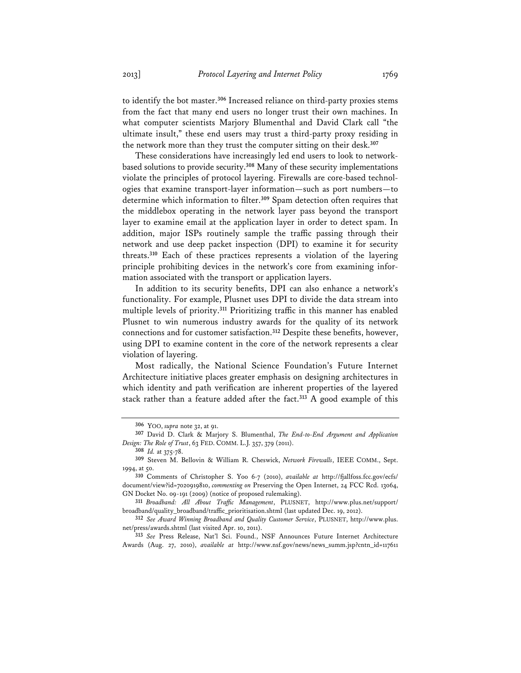to identify the bot master.**<sup>306</sup>** Increased reliance on third-party proxies stems from the fact that many end users no longer trust their own machines. In what computer scientists Marjory Blumenthal and David Clark call "the ultimate insult," these end users may trust a third-party proxy residing in the network more than they trust the computer sitting on their desk.**<sup>307</sup>**

These considerations have increasingly led end users to look to networkbased solutions to provide security.**<sup>308</sup>** Many of these security implementations violate the principles of protocol layering. Firewalls are core-based technologies that examine transport-layer information—such as port numbers—to determine which information to filter.**<sup>309</sup>** Spam detection often requires that the middlebox operating in the network layer pass beyond the transport layer to examine email at the application layer in order to detect spam. In addition, major ISPs routinely sample the traffic passing through their network and use deep packet inspection (DPI) to examine it for security threats.**<sup>310</sup>** Each of these practices represents a violation of the layering principle prohibiting devices in the network's core from examining information associated with the transport or application layers.

In addition to its security benefits, DPI can also enhance a network's functionality. For example, Plusnet uses DPI to divide the data stream into multiple levels of priority.**<sup>311</sup>** Prioritizing traffic in this manner has enabled Plusnet to win numerous industry awards for the quality of its network connections and for customer satisfaction.**<sup>312</sup>** Despite these benefits, however, using DPI to examine content in the core of the network represents a clear violation of layering.

Most radically, the National Science Foundation's Future Internet Architecture initiative places greater emphasis on designing architectures in which identity and path verification are inherent properties of the layered stack rather than a feature added after the fact.**<sup>313</sup>** A good example of this

**<sup>306</sup>** YOO, *supra* note 32, at 91.

**<sup>307</sup>** David D. Clark & Marjory S. Blumenthal, *The End-to-End Argument and Application Design: The Role of Trust*, 63 FED. COMM. L.J. 357, 379 (2011).

**<sup>308</sup>** *Id.* at 375-78.

**<sup>309</sup>** Steven M. Bellovin & William R. Cheswick, *Network Firewalls*, IEEE COMM., Sept. 1994, at 50.

**<sup>310</sup>** Comments of Christopher S. Yoo 6-7 (2010), *available at* http://fjallfoss.fcc.gov/ecfs/ document/view?id=7020919810, *commenting on* Preserving the Open Internet, 24 FCC Rcd. 13064, GN Docket No. 09-191 (2009) (notice of proposed rulemaking).

**<sup>311</sup>** *Broadband: All About Traffic Management*, PLUSNET, http://www.plus.net/support/ broadband/quality\_broadband/traffic\_prioritisation.shtml (last updated Dec. 19, 2012).

**<sup>312</sup>** *See Award Winning Broadband and Quality Customer Service*, PLUSNET, http://www.plus. net/press/awards.shtml (last visited Apr. 10, 2011).

**<sup>313</sup>** *See* Press Release, Nat'l Sci. Found., NSF Announces Future Internet Architecture Awards (Aug. 27, 2010), *available at* http://www.nsf.gov/news/news\_summ.jsp?cntn\_id=117611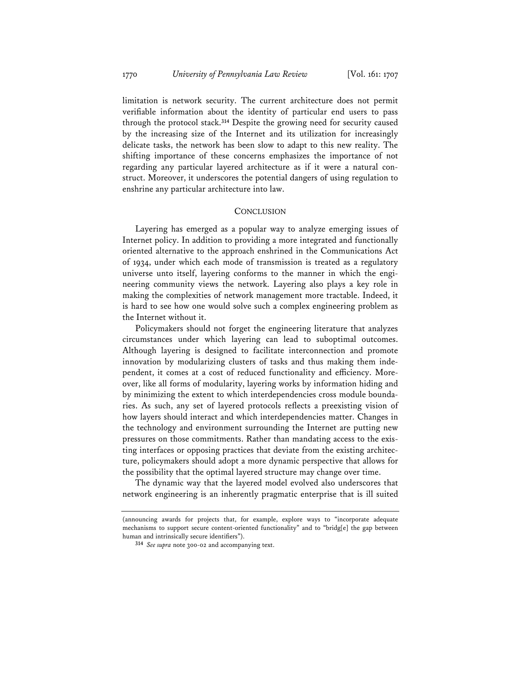limitation is network security. The current architecture does not permit verifiable information about the identity of particular end users to pass through the protocol stack.**<sup>314</sup>** Despite the growing need for security caused by the increasing size of the Internet and its utilization for increasingly delicate tasks, the network has been slow to adapt to this new reality. The shifting importance of these concerns emphasizes the importance of not regarding any particular layered architecture as if it were a natural construct. Moreover, it underscores the potential dangers of using regulation to enshrine any particular architecture into law.

#### **CONCLUSION**

Layering has emerged as a popular way to analyze emerging issues of Internet policy. In addition to providing a more integrated and functionally oriented alternative to the approach enshrined in the Communications Act of 1934, under which each mode of transmission is treated as a regulatory universe unto itself, layering conforms to the manner in which the engineering community views the network. Layering also plays a key role in making the complexities of network management more tractable. Indeed, it is hard to see how one would solve such a complex engineering problem as the Internet without it.

Policymakers should not forget the engineering literature that analyzes circumstances under which layering can lead to suboptimal outcomes. Although layering is designed to facilitate interconnection and promote innovation by modularizing clusters of tasks and thus making them independent, it comes at a cost of reduced functionality and efficiency. Moreover, like all forms of modularity, layering works by information hiding and by minimizing the extent to which interdependencies cross module boundaries. As such, any set of layered protocols reflects a preexisting vision of how layers should interact and which interdependencies matter. Changes in the technology and environment surrounding the Internet are putting new pressures on those commitments. Rather than mandating access to the existing interfaces or opposing practices that deviate from the existing architecture, policymakers should adopt a more dynamic perspective that allows for the possibility that the optimal layered structure may change over time.

The dynamic way that the layered model evolved also underscores that network engineering is an inherently pragmatic enterprise that is ill suited

<sup>(</sup>announcing awards for projects that, for example, explore ways to "incorporate adequate mechanisms to support secure content-oriented functionality" and to "bridg[e] the gap between human and intrinsically secure identifiers").

**<sup>314</sup>** *See supra* note 300-02 and accompanying text.